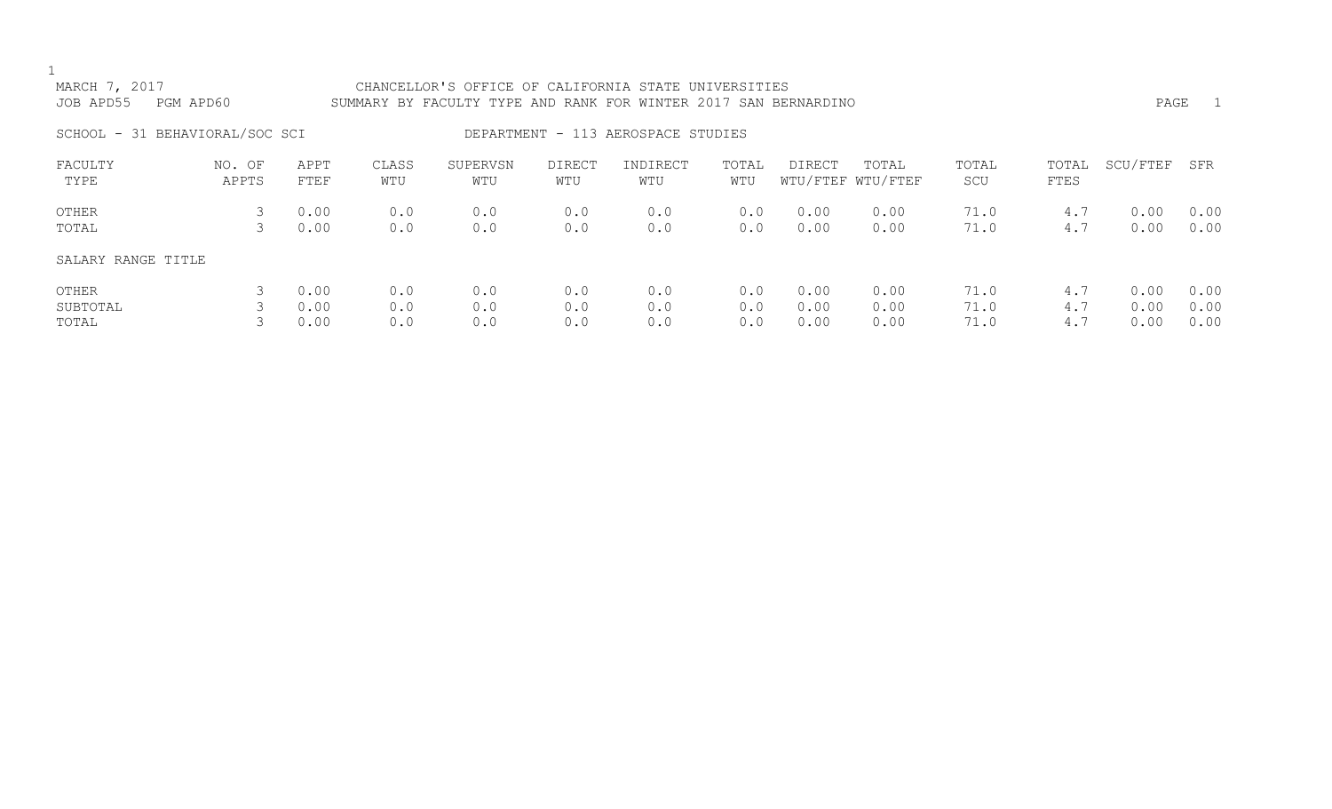| MARCH 7, 2017<br>JOB APD55<br>PGM APD60 |                 |                      |                   | CHANCELLOR'S OFFICE OF CALIFORNIA STATE UNIVERSITIES<br>SUMMARY BY FACULTY TYPE AND RANK FOR WINTER 2017 SAN BERNARDINO |                   |                                    |                   |                      |                            |                      |                   | PAGE                 | $\overline{1}$       |
|-----------------------------------------|-----------------|----------------------|-------------------|-------------------------------------------------------------------------------------------------------------------------|-------------------|------------------------------------|-------------------|----------------------|----------------------------|----------------------|-------------------|----------------------|----------------------|
| SCHOOL - 31 BEHAVIORAL/SOC SCI          |                 |                      |                   |                                                                                                                         |                   | DEPARTMENT - 113 AEROSPACE STUDIES |                   |                      |                            |                      |                   |                      |                      |
| FACULTY<br>TYPE                         | NO. OF<br>APPTS | APPT<br>FTEF         | CLASS<br>WTU      | SUPERVSN<br>WTU                                                                                                         | DIRECT<br>WTU     | INDIRECT<br>WTU                    | TOTAL<br>WTU      | DIRECT               | TOTAL<br>WTU/FTEF WTU/FTEF | TOTAL<br>SCU         | TOTAL<br>FTES     | SCU/FTEF             | SFR                  |
| OTHER<br>TOTAL                          | 3<br>3          | 0.00<br>0.00         | 0.0<br>0.0        | 0.0<br>0.0                                                                                                              | 0.0<br>0.0        | 0.0<br>0.0                         | 0.0<br>0.0        | 0.00<br>0.00         | 0.00<br>0.00               | 71.0<br>71.0         | 4.7<br>4.7        | 0.00<br>0.00         | 0.00<br>0.00         |
| SALARY RANGE TITLE                      |                 |                      |                   |                                                                                                                         |                   |                                    |                   |                      |                            |                      |                   |                      |                      |
| OTHER<br>SUBTOTAL<br>TOTAL              |                 | 0.00<br>0.00<br>0.00 | 0.0<br>0.0<br>0.0 | 0.0<br>0.0<br>0.0                                                                                                       | 0.0<br>0.0<br>0.0 | 0.0<br>0.0<br>0.0                  | 0.0<br>0.0<br>0.0 | 0.00<br>0.00<br>0.00 | 0.00<br>0.00<br>0.00       | 71.0<br>71.0<br>71.0 | 4.7<br>4.7<br>4.7 | 0.00<br>0.00<br>0.00 | 0.00<br>0.00<br>0.00 |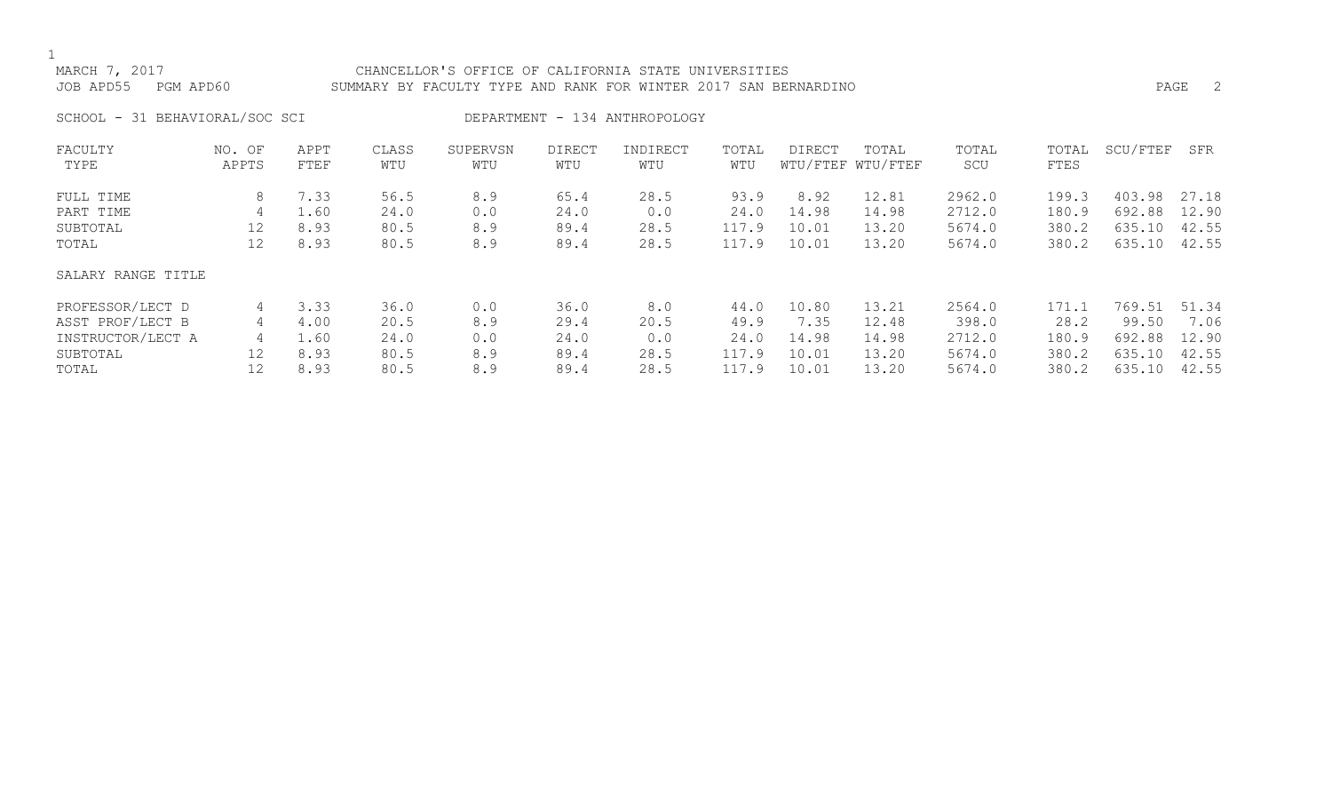## MARCH 7, 2017 CHANCELLOR'S OFFICE OF CALIFORNIA STATE UNIVERSITIES JOB APD55 PGM APD60 SUMMARY BY FACULTY TYPE AND RANK FOR WINTER 2017 SAN BERNARDINO PAGE 2

SCHOOL - 31 BEHAVIORAL/SOC SCI DEPARTMENT - 134 ANTHROPOLOGY

| FACULTY            | NO. OF | APPT | CLASS | SUPERVSN | <b>DIRECT</b> | INDIRECT | TOTAL | <b>DIRECT</b> | TOTAL             | TOTAL  | TOTAL | SCU/FTEF | SFR   |
|--------------------|--------|------|-------|----------|---------------|----------|-------|---------------|-------------------|--------|-------|----------|-------|
| TYPE               | APPTS  | FTEF | WTU   | WTU      | WTU           | WTU      | WTU   |               | WTU/FTEF WTU/FTEF | SCU    | FTES  |          |       |
| FULL TIME          | 8      | 7.33 | 56.5  | 8.9      | 65.4          | 28.5     | 93.9  | 8.92          | 12.81             | 2962.0 | 199.3 | 403.98   | 27.18 |
| PART TIME          | 4      | 1.60 | 24.0  | 0.0      | 24.0          | 0.0      | 24.0  | 14.98         | 14.98             | 2712.0 | 180.9 | 692.88   | 12.90 |
| SUBTOTAL           | 12     | 8.93 | 80.5  | 8.9      | 89.4          | 28.5     | 117.9 | 10.01         | 13.20             | 5674.0 | 380.2 | 635.10   | 42.55 |
| TOTAL              | 12     | 8.93 | 80.5  | 8.9      | 89.4          | 28.5     | 117.9 | 10.01         | 13.20             | 5674.0 | 380.2 | 635.10   | 42.55 |
| SALARY RANGE TITLE |        |      |       |          |               |          |       |               |                   |        |       |          |       |
| PROFESSOR/LECT D   | 4      | 3.33 | 36.0  | 0.0      | 36.0          | 8.0      | 44.0  | 10.80         | 13.21             | 2564.0 | 171.1 | 769.51   | 51.34 |
| ASST PROF/LECT B   | 4      | 4.00 | 20.5  | 8.9      | 29.4          | 20.5     | 49.9  | 7.35          | 12.48             | 398.0  | 28.2  | 99.50    | 7.06  |
| INSTRUCTOR/LECT A  | 4      | 1.60 | 24.0  | 0.0      | 24.0          | 0.0      | 24.0  | 14.98         | 14.98             | 2712.0 | 180.9 | 692.88   | 12.90 |
| SUBTOTAL           | 12     | 8.93 | 80.5  | 8.9      | 89.4          | 28.5     | 117.9 | 10.01         | 13.20             | 5674.0 | 380.2 | 635.10   | 42.55 |
| TOTAL              | 12     | 8.93 | 80.5  | 8.9      | 89.4          | 28.5     | 117.9 | 10.01         | 13.20             | 5674.0 | 380.2 | 635.10   | 42.55 |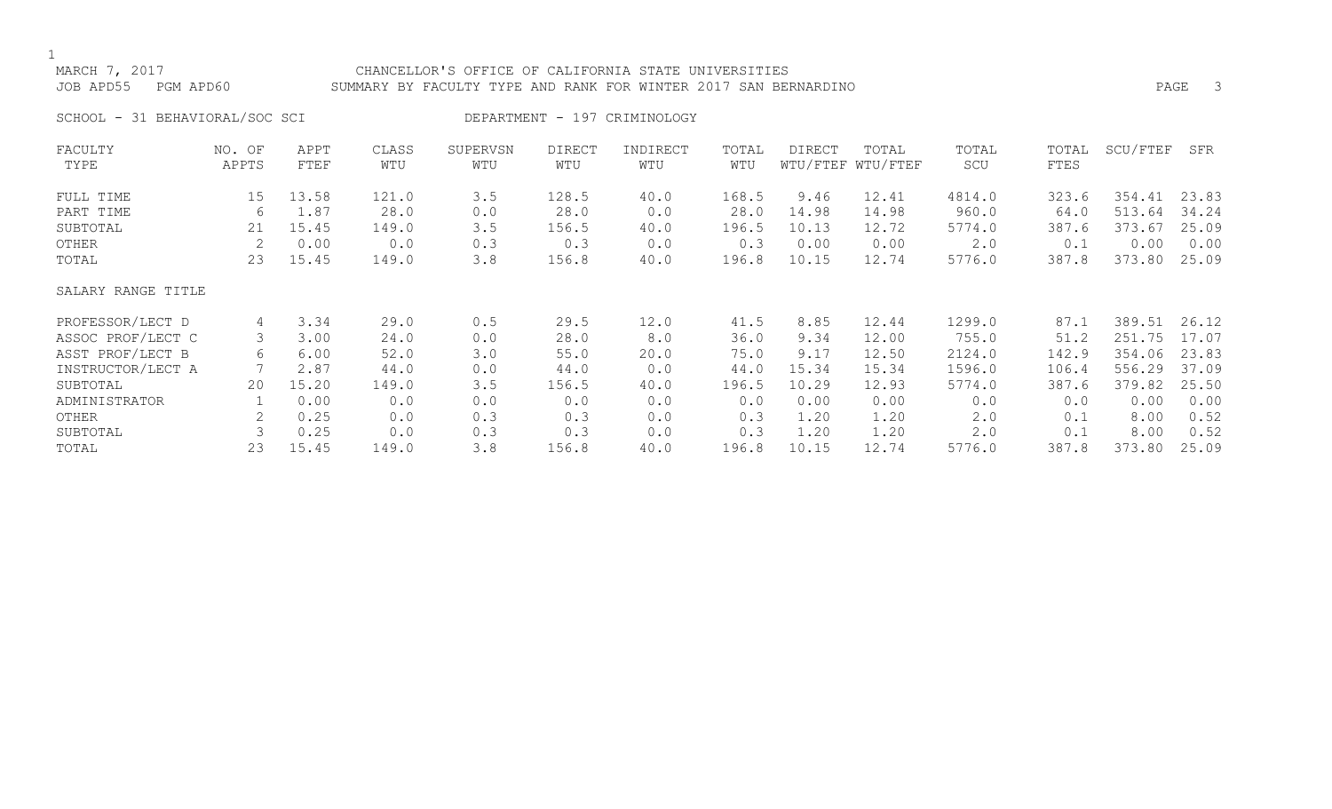## MARCH 7, 2017 CHANCELLOR'S OFFICE OF CALIFORNIA STATE UNIVERSITIES JOB APD55 PGM APD60 SUMMARY BY FACULTY TYPE AND RANK FOR WINTER 2017 SAN BERNARDINO PAGE 3

SCHOOL - 31 BEHAVIORAL/SOC SCI DEPARTMENT - 197 CRIMINOLOGY

| FACULTY            | NO. OF | APPT  | CLASS | SUPERVSN | <b>DIRECT</b> | INDIRECT | TOTAL | <b>DIRECT</b> | TOTAL             | TOTAL  | TOTAL | SCU/FTEF | SFR   |
|--------------------|--------|-------|-------|----------|---------------|----------|-------|---------------|-------------------|--------|-------|----------|-------|
| TYPE               | APPTS  | FTEF  | WTU   | WTU      | WTU           | WTU      | WTU   |               | WTU/FTEF WTU/FTEF | SCU    | FTES  |          |       |
| FULL TIME          | 15     | 13.58 | 121.0 | 3.5      | 128.5         | 40.0     | 168.5 | 9.46          | 12.41             | 4814.0 | 323.6 | 354.41   | 23.83 |
| PART TIME          | 6      | 1.87  | 28.0  | 0.0      | 28.0          | 0.0      | 28.0  | 14.98         | 14.98             | 960.0  | 64.0  | 513.64   | 34.24 |
| SUBTOTAL           | 21     | 15.45 | 149.0 | 3.5      | 156.5         | 40.0     | 196.5 | 10.13         | 12.72             | 5774.0 | 387.6 | 373.67   | 25.09 |
| OTHER              | 2      | 0.00  | 0.0   | 0.3      | 0.3           | 0.0      | 0.3   | 0.00          | 0.00              | 2.0    | 0.1   | 0.00     | 0.00  |
| TOTAL              | 23     | 15.45 | 149.0 | 3.8      | 156.8         | 40.0     | 196.8 | 10.15         | 12.74             | 5776.0 | 387.8 | 373.80   | 25.09 |
| SALARY RANGE TITLE |        |       |       |          |               |          |       |               |                   |        |       |          |       |
| PROFESSOR/LECT D   | 4      | 3.34  | 29.0  | 0.5      | 29.5          | 12.0     | 41.5  | 8.85          | 12.44             | 1299.0 | 87.1  | 389.51   | 26.12 |
| ASSOC PROF/LECT C  |        | 3.00  | 24.0  | 0.0      | 28.0          | 8.0      | 36.0  | 9.34          | 12.00             | 755.0  | 51.2  | 251.75   | 17.07 |
| ASST PROF/LECT B   | 6      | 6.00  | 52.0  | 3.0      | 55.0          | 20.0     | 75.0  | 9.17          | 12.50             | 2124.0 | 142.9 | 354.06   | 23.83 |
| INSTRUCTOR/LECT A  |        | 2.87  | 44.0  | 0.0      | 44.0          | 0.0      | 44.0  | 15.34         | 15.34             | 1596.0 | 106.4 | 556.29   | 37.09 |
| SUBTOTAL           | 20     | 15.20 | 149.0 | 3.5      | 156.5         | 40.0     | 196.5 | 10.29         | 12.93             | 5774.0 | 387.6 | 379.82   | 25.50 |
| ADMINISTRATOR      |        | 0.00  | 0.0   | 0.0      | 0.0           | 0.0      | 0.0   | 0.00          | 0.00              | 0.0    | 0.0   | 0.00     | 0.00  |
| OTHER              |        | 0.25  | 0.0   | 0.3      | 0.3           | 0.0      | 0.3   | 1.20          | 1.20              | 2.0    | 0.1   | 8.00     | 0.52  |
| SUBTOTAL           |        | 0.25  | 0.0   | 0.3      | 0.3           | 0.0      | 0.3   | 1.20          | 1.20              | 2.0    | 0.1   | 8.00     | 0.52  |
| TOTAL              | 23     | 15.45 | 149.0 | 3.8      | 156.8         | 40.0     | 196.8 | 10.15         | 12.74             | 5776.0 | 387.8 | 373.80   | 25.09 |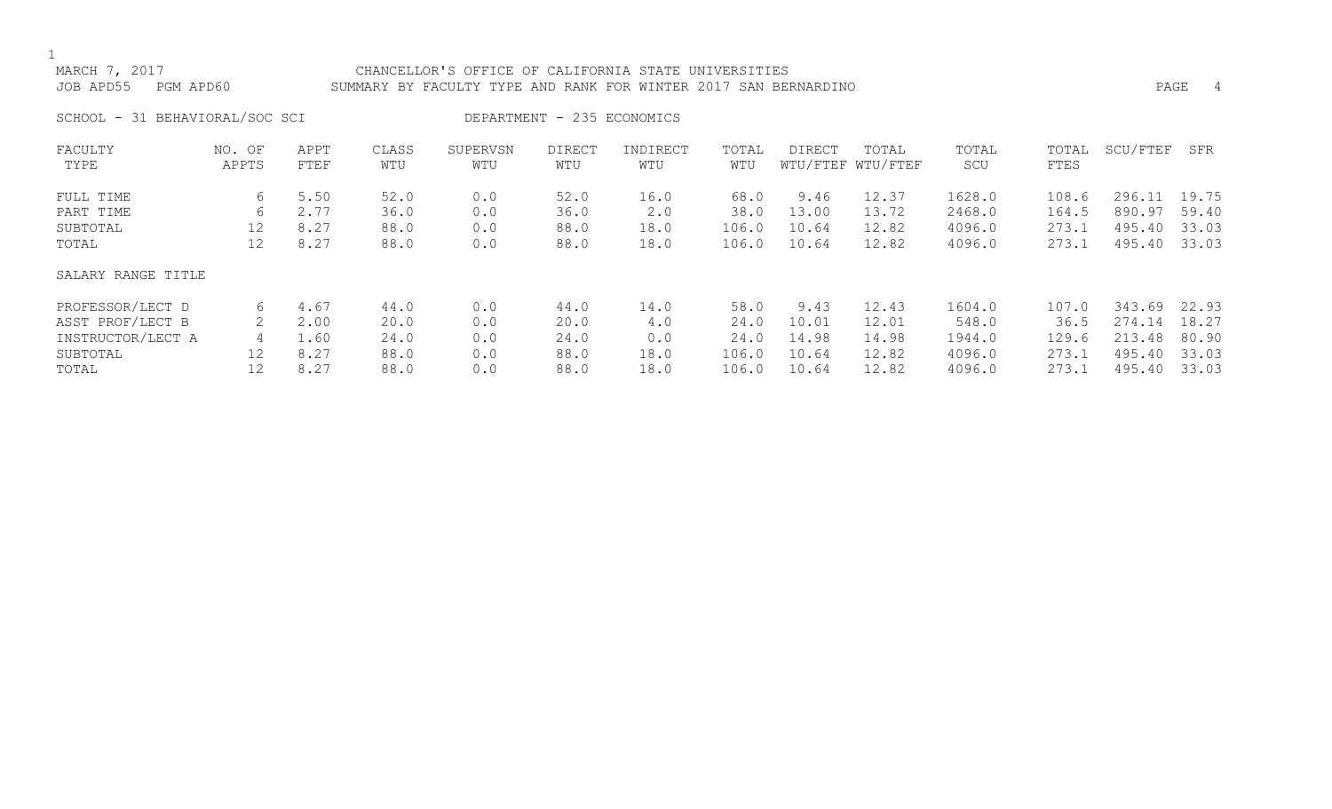# MARCH 7, 2017 CHANCELLOR'S OFFICE OF CALIFORNIA STATE UNIVERSITIES JOB APD55 PGM APD60 SUMMARY BY FACULTY TYPE AND RANK FOR WINTER 2017 SAN BERNARDINO PAGE 4

SCHOOL - 31 BEHAVIORAL/SOC SCI DEPARTMENT - 235 ECONOMICS

| FACULTY            | NO. OF | APPT | CLASS | SUPERVSN | <b>DIRECT</b> | INDIRECT | TOTAL | <b>DIRECT</b> | TOTAL             | TOTAL  | TOTAL | SCU/FTEF | SFR   |
|--------------------|--------|------|-------|----------|---------------|----------|-------|---------------|-------------------|--------|-------|----------|-------|
| TYPE               | APPTS  | FTEF | WTU   | WTU      | WTU           | WTU      | WTU   |               | WTU/FTEF WTU/FTEF | SCU    | FTES  |          |       |
| FULL TIME          | 6      | 5.50 | 52.0  | 0.0      | 52.0          | 16.0     | 68.0  | 9.46          | 12.37             | 1628.0 | 108.6 | 296.11   | 19.75 |
| PART TIME          | 6      | 2.77 | 36.0  | 0.0      | 36.0          | 2.0      | 38.0  | 13.00         | 13.72             | 2468.0 | 164.5 | 890.97   | 59.40 |
| SUBTOTAL           | 12     | 8.27 | 88.0  | 0.0      | 88.0          | 18.0     | 106.0 | 10.64         | 12.82             | 4096.0 | 273.1 | 495.40   | 33.03 |
| TOTAL              | 12     | 8.27 | 88.0  | 0.0      | 88.0          | 18.0     | 106.0 | 10.64         | 12.82             | 4096.0 | 273.1 | 495.40   | 33.03 |
| SALARY RANGE TITLE |        |      |       |          |               |          |       |               |                   |        |       |          |       |
| PROFESSOR/LECT D   | 6      | 4.67 | 44.0  | 0.0      | 44.0          | 14.0     | 58.0  | 9.43          | 12.43             | 1604.0 | 107.0 | 343.69   | 22.93 |
| ASST PROF/LECT B   |        | 2.00 | 20.0  | 0.0      | 20.0          | 4.0      | 24.0  | 10.01         | 12.01             | 548.0  | 36.5  | 274.14   | 18.27 |
| INSTRUCTOR/LECT A  | 4      | 1.60 | 24.0  | 0.0      | 24.0          | 0.0      | 24.0  | 14.98         | 14.98             | 1944.0 | 129.6 | 213.48   | 80.90 |
| SUBTOTAL           | 12     | 8.27 | 88.0  | 0.0      | 88.0          | 18.0     | 106.0 | 10.64         | 12.82             | 4096.0 | 273.1 | 495.40   | 33.03 |
| TOTAL              | 12     | 8.27 | 88.0  | 0.0      | 88.0          | 18.0     | 106.0 | 10.64         | 12.82             | 4096.0 | 273.1 | 495.40   | 33.03 |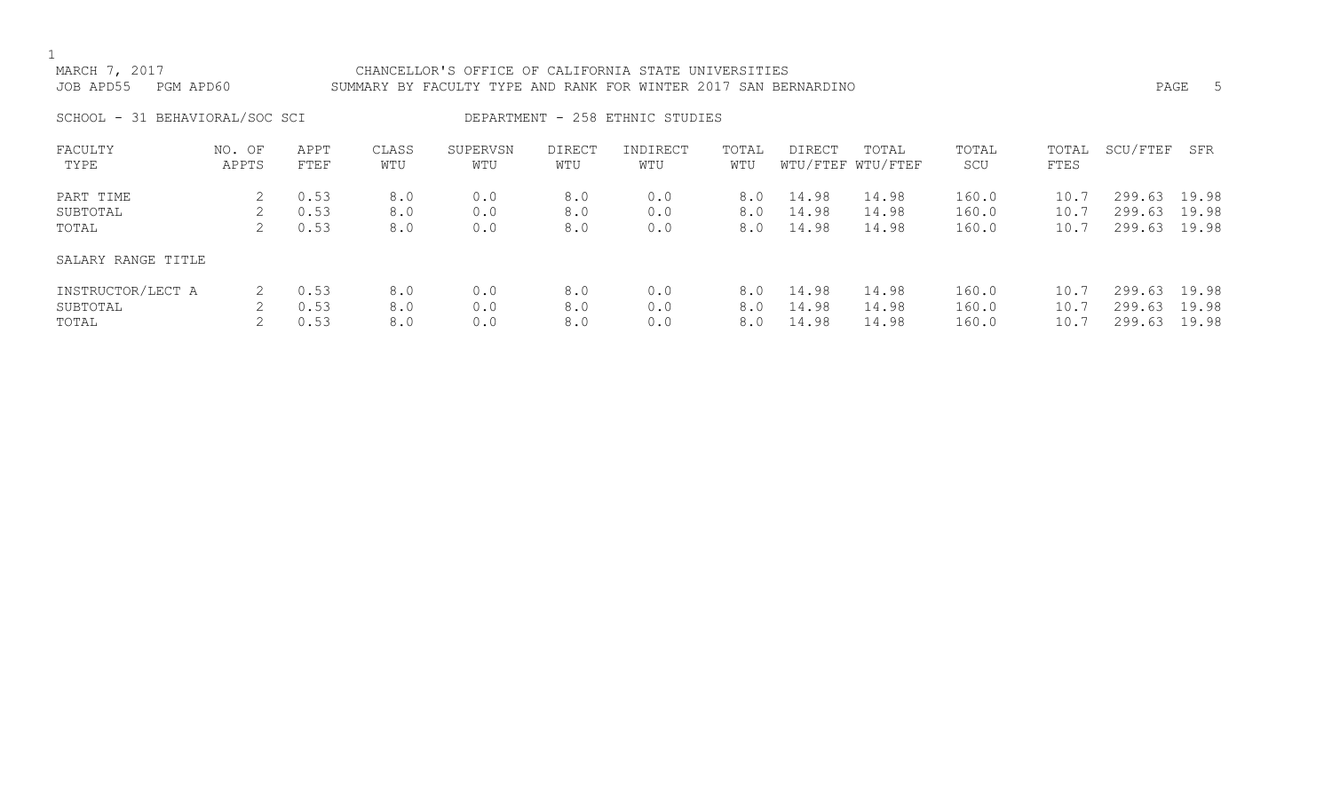# MARCH 7, 2017 CHANCELLOR'S OFFICE OF CALIFORNIA STATE UNIVERSITIES

# JOB APD55 PGM APD60 SUMMARY BY FACULTY TYPE AND RANK FOR WINTER 2017 SAN BERNARDINO PAGE 5

SCHOOL - 31 BEHAVIORAL/SOC SCI DEPARTMENT - 258 ETHNIC STUDIES

| FACULTY<br>TYPE    | NO. OF<br>APPTS | APPT<br>FTEF | CLASS<br>WTU | SUPERVSN<br>WTU | <b>DIRECT</b><br>WTU | INDIRECT<br>WTU | TOTAL<br>WTU | DIRECT | TOTAL<br>WTU/FTEF WTU/FTEF | TOTAL<br>SCU | TOTAL<br>FTES | SCU/FTEF | SFR   |
|--------------------|-----------------|--------------|--------------|-----------------|----------------------|-----------------|--------------|--------|----------------------------|--------------|---------------|----------|-------|
| PART TIME          |                 | 0.53         | 8.0          | 0.0             | 8.0                  | 0.0             | 8.0          | 14.98  | 14.98                      | 160.0        | 10.7          | 299.63   | 19.98 |
| SUBTOTAL           |                 | 0.53         | 8.0          | 0.0             | 8.0                  | 0.0             | 8.0          | 14.98  | 14.98                      | 160.0        | 10.7          | 299.63   | 19.98 |
| TOTAL              |                 | 0.53         | 8.0          | 0.0             | 8.0                  | 0.0             | 8.0          | 14.98  | 14.98                      | 160.0        | 10.7          | 299.63   | 19.98 |
| SALARY RANGE TITLE |                 |              |              |                 |                      |                 |              |        |                            |              |               |          |       |
| INSTRUCTOR/LECT A  |                 | 0.53         | 8.0          | 0.0             | 8.0                  | 0.0             | 8.0          | 14.98  | 14.98                      | 160.0        | 10.7          | 299.63   | 19.98 |
| SUBTOTAL           |                 | 0.53         | 8.0          | 0.0             | 8.0                  | 0.0             | 8.0          | 14.98  | 14.98                      | 160.0        | 10.7          | 299.63   | 19.98 |
| TOTAL              |                 | 0.53         | 8.0          | 0.0             | 8.0                  | 0.0             | 8.0          | 14.98  | 14.98                      | 160.0        | 10.7          | 299.63   | 19.98 |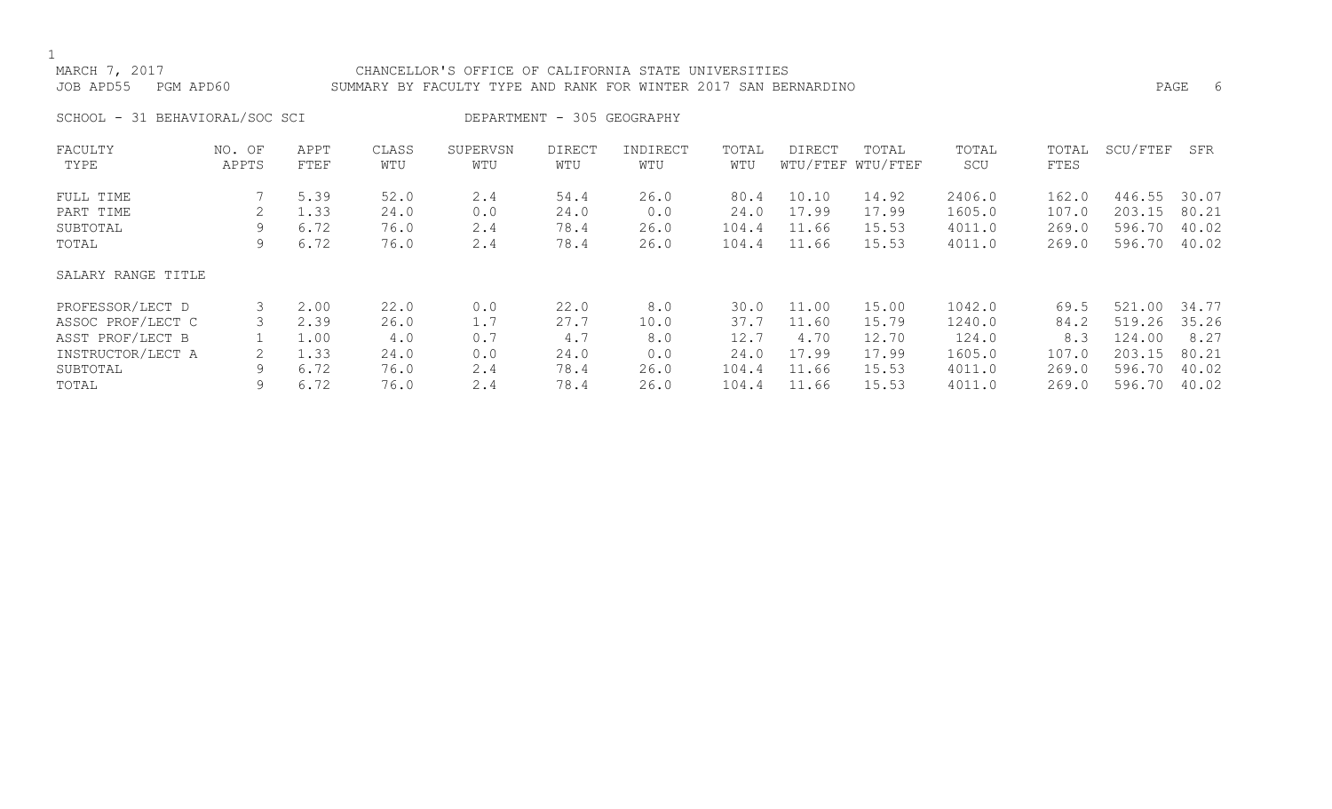# MARCH 7, 2017 CHANCELLOR'S OFFICE OF CALIFORNIA STATE UNIVERSITIES JOB APD55 PGM APD60 SUMMARY BY FACULTY TYPE AND RANK FOR WINTER 2017 SAN BERNARDINO PAGE 6

SCHOOL - 31 BEHAVIORAL/SOC SCI DEPARTMENT - 305 GEOGRAPHY

| FACULTY            | NO. OF | APPT | CLASS | SUPERVSN | DIRECT | INDIRECT | TOTAL | DIRECT | TOTAL             | TOTAL  | TOTAL | SCU/FTEF | SFR   |
|--------------------|--------|------|-------|----------|--------|----------|-------|--------|-------------------|--------|-------|----------|-------|
| TYPE               | APPTS  | FTEF | WTU   | WTU      | WTU    | WTU      | WTU   |        | WTU/FTEF WTU/FTEF | SCU    | FTES  |          |       |
| FULL TIME          |        | 5.39 | 52.0  | 2.4      | 54.4   | 26.0     | 80.4  | 10.10  | 14.92             | 2406.0 | 162.0 | 446.55   | 30.07 |
| PART TIME          |        | 1.33 | 24.0  | 0.0      | 24.0   | 0.0      | 24.0  | 17.99  | 17.99             | 1605.0 | 107.0 | 203.15   | 80.21 |
| SUBTOTAL           |        | 6.72 | 76.0  | 2.4      | 78.4   | 26.0     | 104.4 | 11.66  | 15.53             | 4011.0 | 269.0 | 596.70   | 40.02 |
| TOTAL              | 9      | 6.72 | 76.0  | 2.4      | 78.4   | 26.0     | 104.4 | 11.66  | 15.53             | 4011.0 | 269.0 | 596.70   | 40.02 |
| SALARY RANGE TITLE |        |      |       |          |        |          |       |        |                   |        |       |          |       |
| PROFESSOR/LECT D   |        | 2.00 | 22.0  | 0.0      | 22.0   | 8.0      | 30.0  | 11.00  | 15.00             | 1042.0 | 69.5  | 521.00   | 34.77 |
| ASSOC PROF/LECT C  |        | 2.39 | 26.0  | 1.7      | 27.7   | 10.0     | 37.7  | 11.60  | 15.79             | 1240.0 | 84.2  | 519.26   | 35.26 |
| ASST PROF/LECT B   |        | 1.00 | 4.0   | 0.7      | 4.7    | 8.0      | 12.7  | 4.70   | 12.70             | 124.0  | 8.3   | 124.00   | 8.27  |
| INSTRUCTOR/LECT A  |        | 1.33 | 24.0  | 0.0      | 24.0   | 0.0      | 24.0  | 17.99  | 17.99             | 1605.0 | 107.0 | 203.15   | 80.21 |
| SUBTOTAL           | 9      | 6.72 | 76.0  | 2.4      | 78.4   | 26.0     | 104.4 | 11.66  | 15.53             | 4011.0 | 269.0 | 596.70   | 40.02 |
| TOTAL              | 9      | 6.72 | 76.0  | 2.4      | 78.4   | 26.0     | 104.4 | 11.66  | 15.53             | 4011.0 | 269.0 | 596.70   | 40.02 |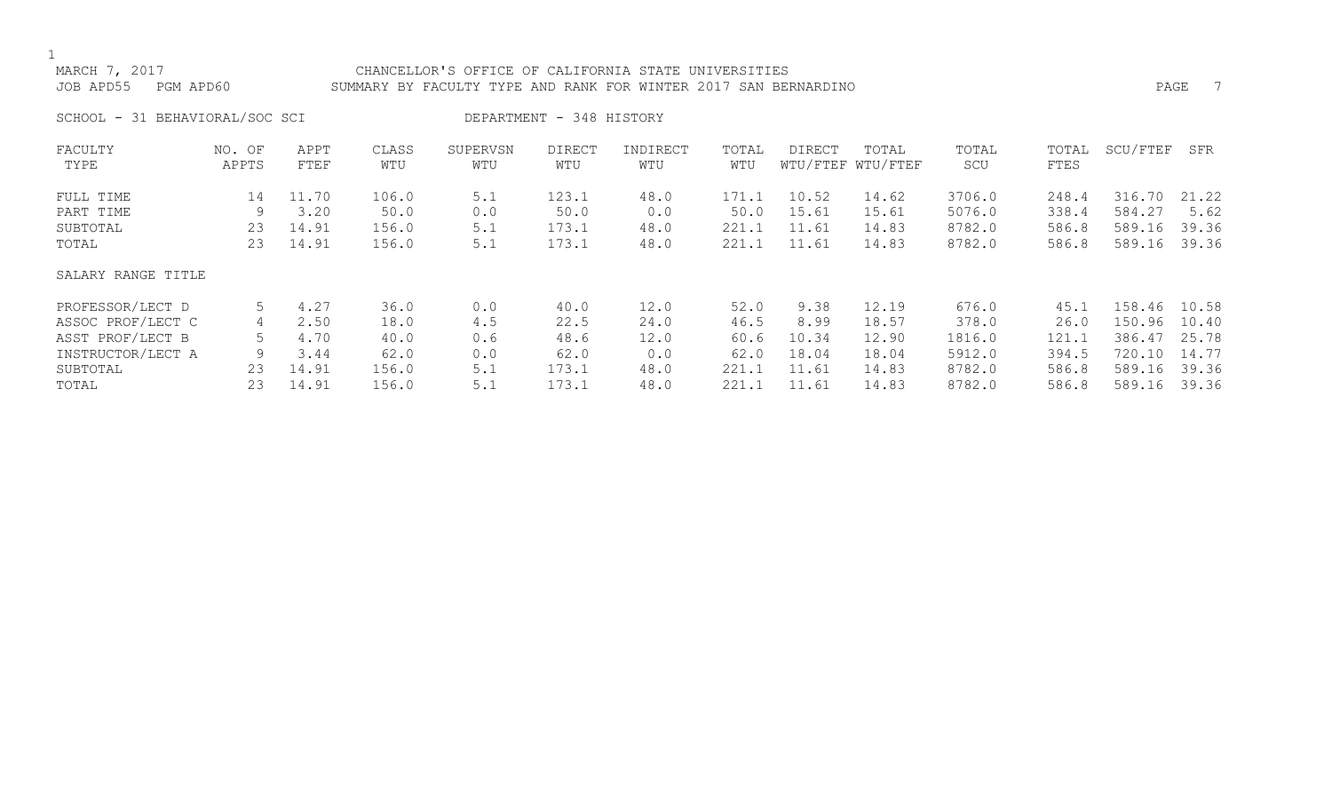# MARCH 7, 2017 CHANCELLOR'S OFFICE OF CALIFORNIA STATE UNIVERSITIES JOB APD55 PGM APD60 SUMMARY BY FACULTY TYPE AND RANK FOR WINTER 2017 SAN BERNARDINO PAGE 7

SCHOOL - 31 BEHAVIORAL/SOC SCI DEPARTMENT - 348 HISTORY

| FACULTY            | NO. OF | APPT  | CLASS | SUPERVSN | <b>DIRECT</b> | INDIRECT | TOTAL | DIRECT | TOTAL             | TOTAL  | TOTAL | SCU/FTEF | SFR   |
|--------------------|--------|-------|-------|----------|---------------|----------|-------|--------|-------------------|--------|-------|----------|-------|
| TYPE               | APPTS  | FTEF  | WTU   | WTU      | WTU           | WTU      | WTU   |        | WTU/FTEF WTU/FTEF | SCU    | FTES  |          |       |
| FULL TIME          | 14     | 11.70 | 106.0 | 5.1      | 123.1         | 48.0     | 171.1 | 10.52  | 14.62             | 3706.0 | 248.4 | 316.70   | 21.22 |
| PART TIME          | 9      | 3.20  | 50.0  | 0.0      | 50.0          | 0.0      | 50.0  | 15.61  | 15.61             | 5076.0 | 338.4 | 584.27   | 5.62  |
| SUBTOTAL           | 23     | 14.91 | 156.0 | 5.1      | 173.1         | 48.0     | 221.1 | 11.61  | 14.83             | 8782.0 | 586.8 | 589.16   | 39.36 |
| TOTAL              | 23     | 14.91 | 156.0 | 5.1      | 173.1         | 48.0     | 221.1 | 11.61  | 14.83             | 8782.0 | 586.8 | 589.16   | 39.36 |
| SALARY RANGE TITLE |        |       |       |          |               |          |       |        |                   |        |       |          |       |
| PROFESSOR/LECT D   |        | 4.27  | 36.0  | 0.0      | 40.0          | 12.0     | 52.0  | 9.38   | 12.19             | 676.0  | 45.1  | 158.46   | 10.58 |
| ASSOC PROF/LECT C  | 4      | 2.50  | 18.0  | 4.5      | 22.5          | 24.0     | 46.5  | 8.99   | 18.57             | 378.0  | 26.0  | 150.96   | 10.40 |
| ASST PROF/LECT B   |        | 4.70  | 40.0  | 0.6      | 48.6          | 12.0     | 60.6  | 10.34  | 12.90             | 1816.0 | 121.1 | 386.47   | 25.78 |
| INSTRUCTOR/LECT A  | 9      | 3.44  | 62.0  | 0.0      | 62.0          | 0.0      | 62.0  | 18.04  | 18.04             | 5912.0 | 394.5 | 720.10   | 14.77 |
| SUBTOTAL           | 23     | 14.91 | 156.0 | 5.1      | 173.1         | 48.0     | 221.1 | 11.61  | 14.83             | 8782.0 | 586.8 | 589.16   | 39.36 |
| TOTAL              | 23     | 14.91 | 156.0 | 5.1      | 173.1         | 48.0     | 221.1 | 11.61  | 14.83             | 8782.0 | 586.8 | 589.16   | 39.36 |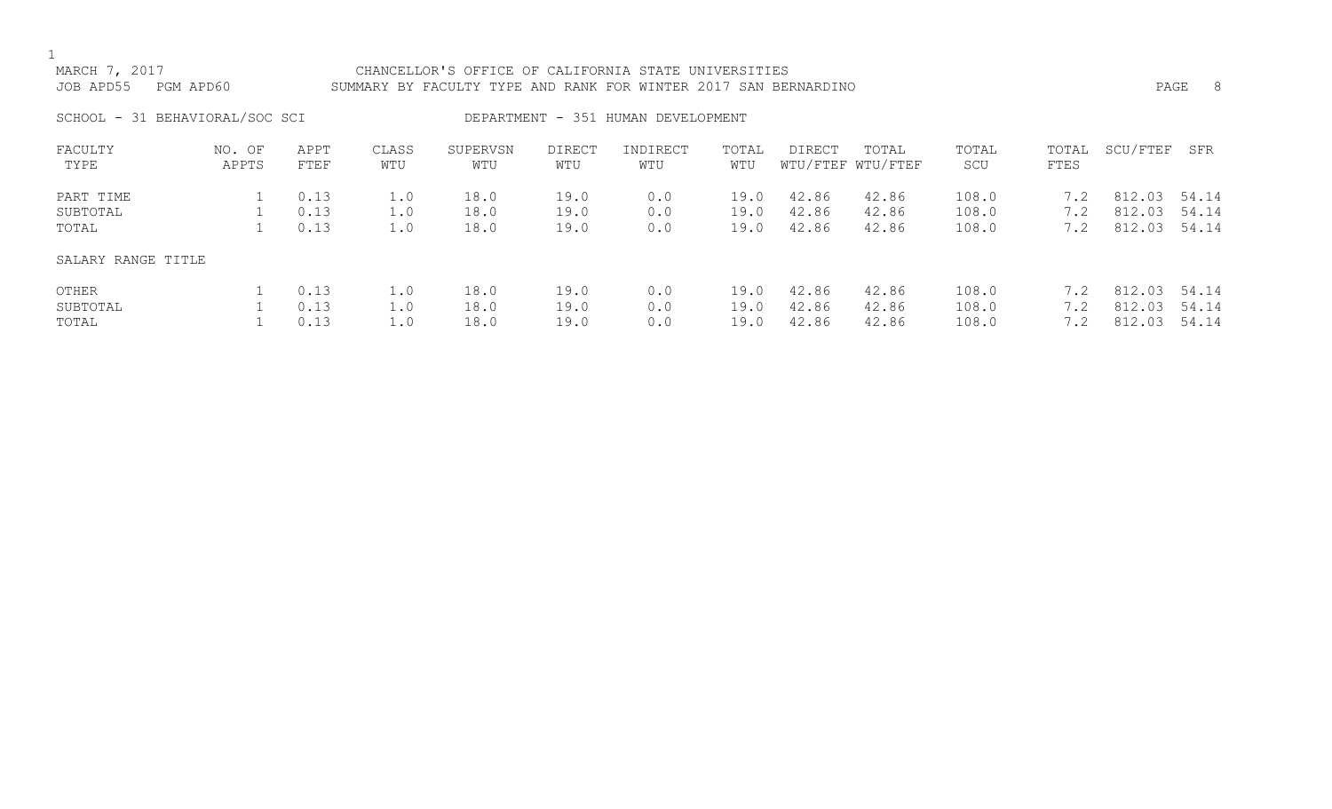# MARCH 7, 2017 CHANCELLOR'S OFFICE OF CALIFORNIA STATE UNIVERSITIES JOB APD55 PGM APD60 SUMMARY BY FACULTY TYPE AND RANK FOR WINTER 2017 SAN BERNARDINO PAGE 8

SCHOOL - 31 BEHAVIORAL/SOC SCI DEPARTMENT - 351 HUMAN DEVELOPMENT

| FACULTY            | NO. OF | APPT | CLASS | SUPERVSN | <b>DIRECT</b> | INDIRECT | TOTAL | <b>DIRECT</b> | TOTAL             | TOTAL | TOTAL | SCU/FTEF | SFR   |
|--------------------|--------|------|-------|----------|---------------|----------|-------|---------------|-------------------|-------|-------|----------|-------|
| TYPE               | APPTS  | FTEF | WTU   | WTU      | WTU           | WTU      | WTU   |               | WTU/FTEF WTU/FTEF | SCU   | FTES  |          |       |
| PART TIME          |        | 0.13 | 1.0   | 18.0     | 19.0          | 0.0      | 19.0  | 42.86         | 42.86             | 108.0 | 7.2   | 812.03   | 54.14 |
| SUBTOTAL           |        | 0.13 | 1.0   | 18.0     | 19.0          | 0.0      | 19.0  | 42.86         | 42.86             | 108.0 | 7.2   | 812.03   | 54.14 |
| TOTAL              |        | 0.13 | 1.0   | 18.0     | 19.0          | 0.0      | 19.0  | 42.86         | 42.86             | 108.0 | 7.2   | 812.03   | 54.14 |
| SALARY RANGE TITLE |        |      |       |          |               |          |       |               |                   |       |       |          |       |
| OTHER              |        | 0.13 | 1.0   | 18.0     | 19.0          | 0.0      | 19.0  | 42.86         | 42.86             | 108.0 | 7.2   | 812.03   | 54.14 |
| SUBTOTAL           |        | 0.13 | 1.0   | 18.0     | 19.0          | 0.0      | 19.0  | 42.86         | 42.86             | 108.0 | 7.2   | 812.03   | 54.14 |
| TOTAL              |        | 0.13 | 1.0   | 18.0     | 19.0          | 0.0      | 19.0  | 42.86         | 42.86             | 108.0 |       | 812.03   | 54.14 |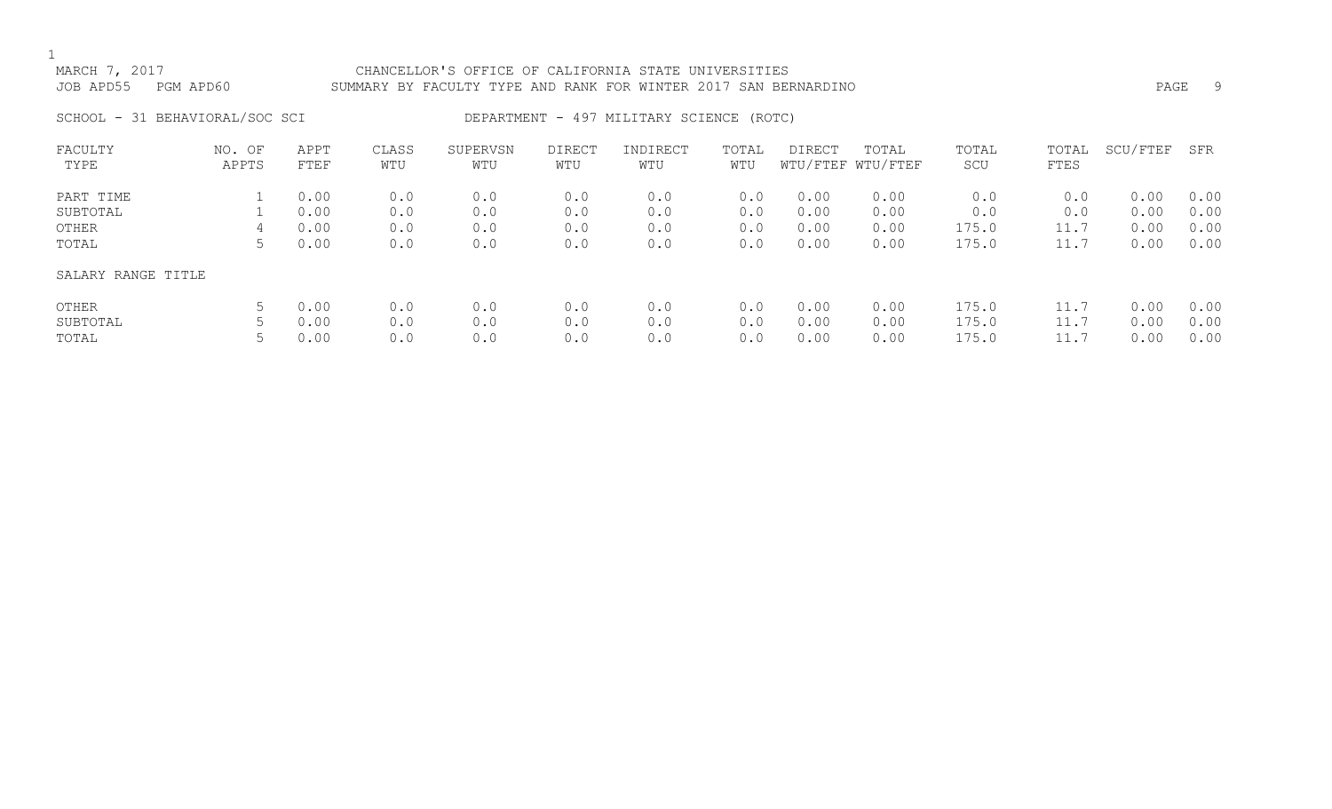# MARCH 7, 2017 CHANCELLOR'S OFFICE OF CALIFORNIA STATE UNIVERSITIES JOB APD55 PGM APD60 SUMMARY BY FACULTY TYPE AND RANK FOR WINTER 2017 SAN BERNARDINO PAGE 9

# SCHOOL - 31 BEHAVIORAL/SOC SCI DEPARTMENT - 497 MILITARY SCIENCE (ROTC)

| FACULTY            | OF<br>NO. | APPT | CLASS | SUPERVSN | <b>DIRECT</b> | INDIRECT | TOTAL | DIRECT | TOTAL             | TOTAL | TOTAL | SCU/FTEF | SFR  |
|--------------------|-----------|------|-------|----------|---------------|----------|-------|--------|-------------------|-------|-------|----------|------|
| TYPE               | APPTS     | FTEF | WTU   | WTU      | WTU           | WTU      | WTU   |        | WTU/FTEF WTU/FTEF | SCU   | FTES  |          |      |
| PART TIME          |           | 0.00 | 0.0   | 0.0      | 0.0           | 0.0      | 0.0   | 0.00   | 0.00              | 0.0   | 0.0   | 0.00     | 0.00 |
|                    |           |      |       |          |               |          |       |        |                   |       |       |          |      |
| SUBTOTAL           |           | 0.00 | 0.0   | 0.0      | 0.0           | 0.0      | 0.0   | 0.00   | 0.00              | 0.0   | 0.0   | 0.00     | 0.00 |
| OTHER              | 4         | 0.00 | 0.0   | 0.0      | 0.0           | 0.0      | 0.0   | 0.00   | 0.00              | 175.0 | 11.7  | 0.00     | 0.00 |
| TOTAL              | C.        | 0.00 | 0.0   | 0.0      | 0.0           | 0.0      | 0.0   | 0.00   | 0.00              | 175.0 | 11.7  | 0.00     | 0.00 |
| SALARY RANGE TITLE |           |      |       |          |               |          |       |        |                   |       |       |          |      |
| OTHER              | C.        | 0.00 | 0.0   | 0.0      | 0.0           | 0.0      | 0.0   | 0.00   | 0.00              | 175.0 | 11.7  | 0.00     | 0.00 |
| SUBTOTAL           |           | 0.00 | 0.0   | 0.0      | 0.0           | 0.0      | 0.0   | 0.00   | 0.00              | 175.0 | 11.7  | 0.00     | 0.00 |
| TOTAL              |           | 0.00 | 0.0   | 0.0      | 0.0           | 0.0      | 0.0   | 0.00   | 0.00              | 175.0 |       | 0.00     | 0.00 |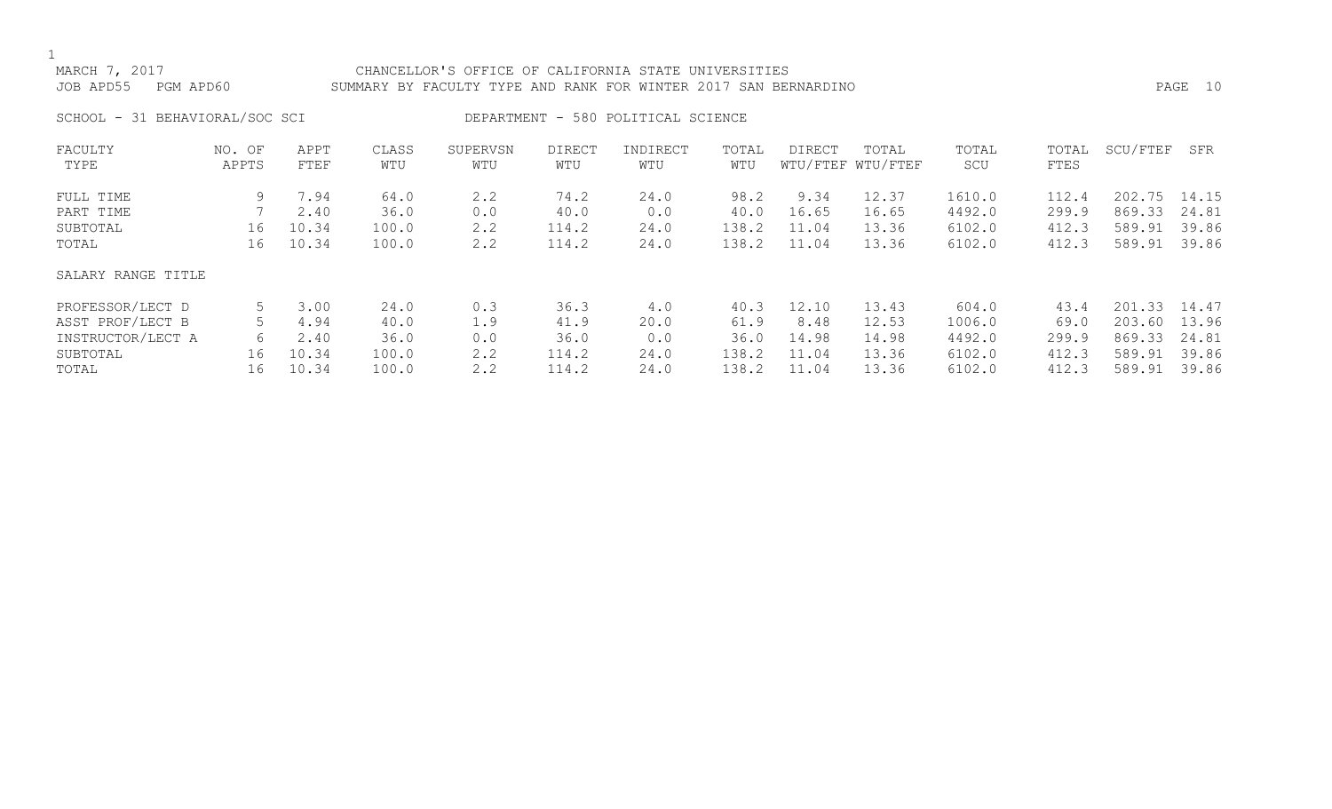# MARCH 7, 2017 CHANCELLOR'S OFFICE OF CALIFORNIA STATE UNIVERSITIES JOB APD55 PGM APD60 SUMMARY BY FACULTY TYPE AND RANK FOR WINTER 2017 SAN BERNARDINO PAGE 10

SCHOOL - 31 BEHAVIORAL/SOC SCI DEPARTMENT - 580 POLITICAL SCIENCE

| FACULTY            | NO. OF | APPT  | CLASS | SUPERVSN | <b>DIRECT</b> | INDIRECT | TOTAL | <b>DIRECT</b> | TOTAL             | TOTAL  | TOTAL | SCU/FTEF | SFR   |
|--------------------|--------|-------|-------|----------|---------------|----------|-------|---------------|-------------------|--------|-------|----------|-------|
| TYPE               | APPTS  | FTEF  | WTU   | WTU      | WTU           | WTU      | WTU   |               | WTU/FTEF WTU/FTEF | SCU    | FTES  |          |       |
| FULL TIME          | 9      | 7.94  | 64.0  | 2.2      | 74.2          | 24.0     | 98.2  | 9.34          | 12.37             | 1610.0 | 112.4 | 202.75   | 14.15 |
| PART TIME          |        | 2.40  | 36.0  | 0.0      | 40.0          | 0.0      | 40.0  | 16.65         | 16.65             | 4492.0 | 299.9 | 869.33   | 24.81 |
| SUBTOTAL           | 16     | 10.34 | 100.0 | 2.2      | 114.2         | 24.0     | 138.2 | 11.04         | 13.36             | 6102.0 | 412.3 | 589.91   | 39.86 |
| TOTAL              | 16     | 10.34 | 100.0 | 2.2      | 114.2         | 24.0     | 138.2 | 11.04         | 13.36             | 6102.0 | 412.3 | 589.91   | 39.86 |
| SALARY RANGE TITLE |        |       |       |          |               |          |       |               |                   |        |       |          |       |
| PROFESSOR/LECT D   | 5      | 3.00  | 24.0  | 0.3      | 36.3          | 4.0      | 40.3  | 12.10         | 13.43             | 604.0  | 43.4  | 201.33   | 14.47 |
| ASST PROF/LECT B   |        | 4.94  | 40.0  | 1.9      | 41.9          | 20.0     | 61.9  | 8.48          | 12.53             | 1006.0 | 69.0  | 203.60   | 13.96 |
| INSTRUCTOR/LECT A  | 6      | 2.40  | 36.0  | 0.0      | 36.0          | 0.0      | 36.0  | 14.98         | 14.98             | 4492.0 | 299.9 | 869.33   | 24.81 |
| SUBTOTAL           | 16     | 10.34 | 100.0 | 2.2      | 114.2         | 24.0     | 138.2 | 11.04         | 13.36             | 6102.0 | 412.3 | 589.91   | 39.86 |
| TOTAL              | 16     | 10.34 | 100.0 | 2.2      | 114.2         | 24.0     | 138.2 | 11.04         | 13.36             | 6102.0 | 412.3 | 589.91   | 39.86 |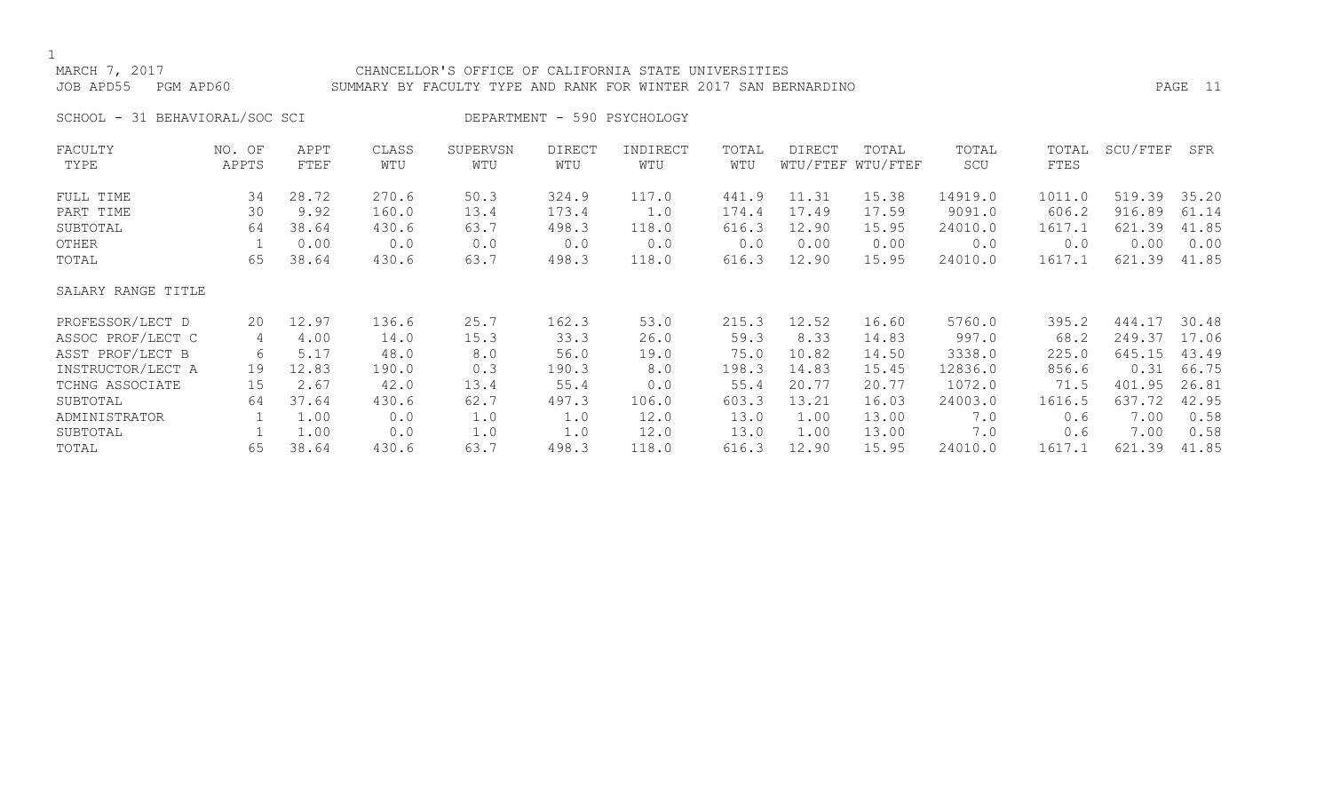# MARCH 7, 2017 CHANCELLOR'S OFFICE OF CALIFORNIA STATE UNIVERSITIES JOB APD55 PGM APD60 SUMMARY BY FACULTY TYPE AND RANK FOR WINTER 2017 SAN BERNARDINO PAGE 11

SCHOOL - 31 BEHAVIORAL/SOC SCI DEPARTMENT - 590 PSYCHOLOGY

| FACULTY            | NO. OF | APPT  | CLASS | SUPERVSN | <b>DIRECT</b> | INDIRECT | TOTAL | <b>DIRECT</b> | TOTAL             | TOTAL   | TOTAL  | SCU/FTEF | SFR   |
|--------------------|--------|-------|-------|----------|---------------|----------|-------|---------------|-------------------|---------|--------|----------|-------|
| TYPE               | APPTS  | FTEF  | WTU   | WTU      | WTU           | WTU      | WTU   |               | WTU/FTEF WTU/FTEF | SCU     | FTES   |          |       |
| FULL TIME          | 34     | 28.72 | 270.6 | 50.3     | 324.9         | 117.0    | 441.9 | 11.31         | 15.38             | 14919.0 | 1011.0 | 519.39   | 35.20 |
| PART TIME          | 30     | 9.92  | 160.0 | 13.4     | 173.4         | 1.0      | 174.4 | 17.49         | 17.59             | 9091.0  | 606.2  | 916.89   | 61.14 |
| SUBTOTAL           | 64     | 38.64 | 430.6 | 63.7     | 498.3         | 118.0    | 616.3 | 12.90         | 15.95             | 24010.0 | 1617.1 | 621.39   | 41.85 |
| OTHER              |        | 0.00  | 0.0   | 0.0      | 0.0           | 0.0      | 0.0   | 0.00          | 0.00              | 0.0     | 0.0    | 0.00     | 0.00  |
| TOTAL              | 65     | 38.64 | 430.6 | 63.7     | 498.3         | 118.0    | 616.3 | 12.90         | 15.95             | 24010.0 | 1617.1 | 621.39   | 41.85 |
| SALARY RANGE TITLE |        |       |       |          |               |          |       |               |                   |         |        |          |       |
| PROFESSOR/LECT D   | 20     | 12.97 | 136.6 | 25.7     | 162.3         | 53.0     | 215.3 | 12.52         | 16.60             | 5760.0  | 395.2  | 444.17   | 30.48 |
| ASSOC PROF/LECT C  | 4      | 4.00  | 14.0  | 15.3     | 33.3          | 26.0     | 59.3  | 8.33          | 14.83             | 997.0   | 68.2   | 249.37   | 17.06 |
| ASST PROF/LECT B   | 6      | 5.17  | 48.0  | 8.0      | 56.0          | 19.0     | 75.0  | 10.82         | 14.50             | 3338.0  | 225.0  | 645.15   | 43.49 |
| INSTRUCTOR/LECT A  | 19     | 12.83 | 190.0 | 0.3      | 190.3         | 8.0      | 198.3 | 14.83         | 15.45             | 12836.0 | 856.6  | 0.31     | 66.75 |
| TCHNG ASSOCIATE    | 15     | 2.67  | 42.0  | 13.4     | 55.4          | 0.0      | 55.4  | 20.77         | 20.77             | 1072.0  | 71.5   | 401.95   | 26.81 |
| SUBTOTAL           | 64     | 37.64 | 430.6 | 62.7     | 497.3         | 106.0    | 603.3 | 13.21         | 16.03             | 24003.0 | 1616.5 | 637.72   | 42.95 |
| ADMINISTRATOR      |        | 1.00  | 0.0   | 1.0      | 1.0           | 12.0     | 13.0  | 1.00          | 13.00             | 7.0     | 0.6    | 7.00     | 0.58  |
| SUBTOTAL           |        | 1.00  | 0.0   | 1.0      | 1.0           | 12.0     | 13.0  | 1.00          | 13.00             | 7.0     | 0.6    | 7.00     | 0.58  |
| TOTAL              | 65     | 38.64 | 430.6 | 63.7     | 498.3         | 118.0    | 616.3 | 12.90         | 15.95             | 24010.0 | 1617.1 | 621.39   | 41.85 |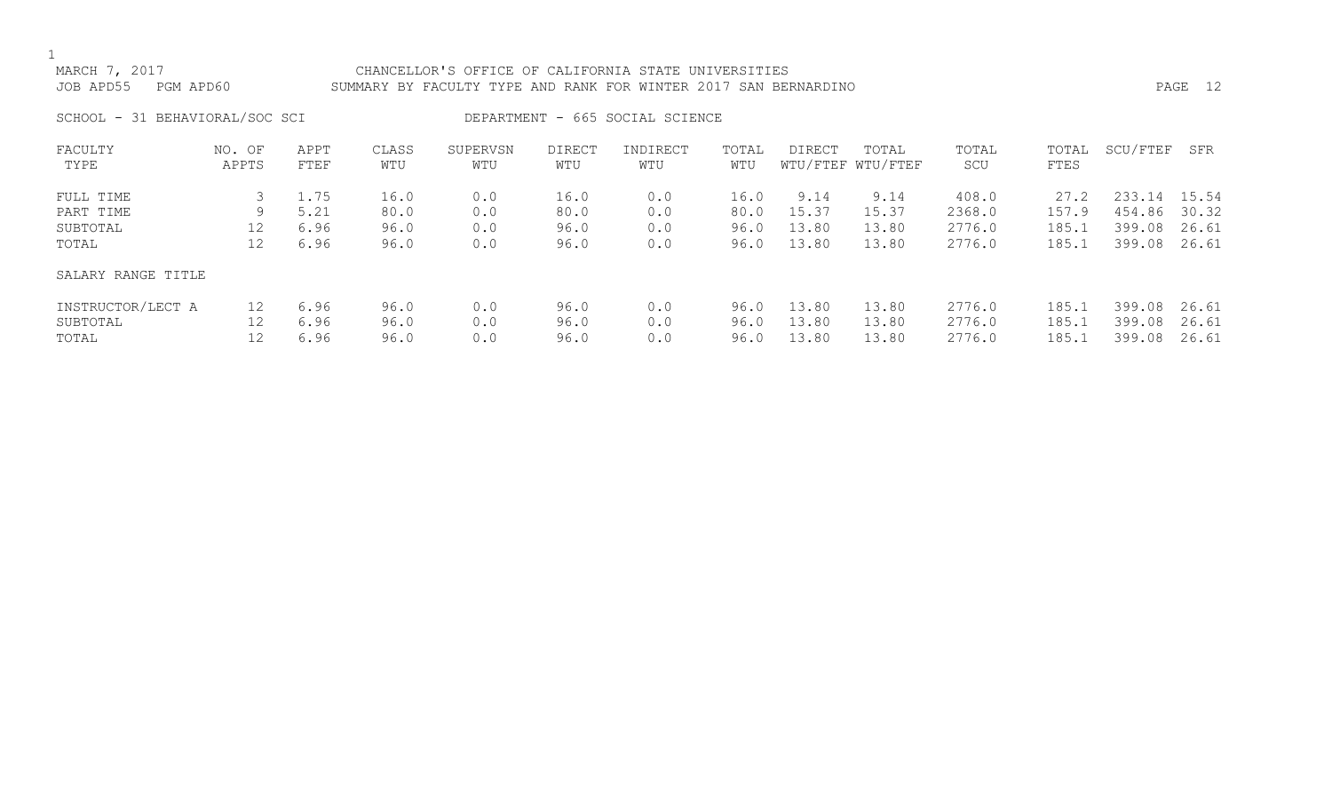# MARCH 7, 2017 CHANCELLOR'S OFFICE OF CALIFORNIA STATE UNIVERSITIES JOB APD55 PGM APD60 SUMMARY BY FACULTY TYPE AND RANK FOR WINTER 2017 SAN BERNARDINO PAGE 12

SCHOOL - 31 BEHAVIORAL/SOC SCI DEPARTMENT - 665 SOCIAL SCIENCE

| FACULTY            | NO. OF | APPT | CLASS | SUPERVSN | <b>DIRECT</b> | INDIRECT | TOTAL | <b>DIRECT</b> | TOTAL             | TOTAL  | TOTAL | SCU/FTEF | SFR   |
|--------------------|--------|------|-------|----------|---------------|----------|-------|---------------|-------------------|--------|-------|----------|-------|
| TYPE               | APPTS  | FTEF | WTU   | WTU      | WTU           | WTU      | WTU   |               | WTU/FTEF WTU/FTEF | SCU    | FTES  |          |       |
| FULL TIME          |        | 1.75 | 16.0  | 0.0      | 16.0          | 0.0      | 16.0  | 9.14          | 9.14              | 408.0  | 27.2  | 233.14   | 15.54 |
| PART TIME          | 9      | 5.21 | 80.0  | 0.0      | 80.0          | 0.0      | 80.0  | 15.37         | 15.37             | 2368.0 | 157.9 | 454.86   | 30.32 |
| SUBTOTAL           | 12     | 6.96 | 96.0  | 0.0      | 96.0          | 0.0      | 96.0  | 13.80         | 13.80             | 2776.0 | 185.1 | 399.08   | 26.61 |
| TOTAL              | 12     | 6.96 | 96.0  | 0.0      | 96.0          | 0.0      | 96.0  | 13.80         | 13.80             | 2776.0 | 185.1 | 399.08   | 26.61 |
| SALARY RANGE TITLE |        |      |       |          |               |          |       |               |                   |        |       |          |       |
| INSTRUCTOR/LECT A  | 12     | 6.96 | 96.0  | 0.0      | 96.0          | 0.0      | 96.0  | 13.80         | 13.80             | 2776.0 | 185.1 | 399.08   | 26.61 |
| SUBTOTAL           | 12     | 6.96 | 96.0  | 0.0      | 96.0          | 0.0      | 96.0  | 13.80         | 13.80             | 2776.0 | 185.1 | 399.08   | 26.61 |
| TOTAL              |        | 6.96 | 96.0  | 0.0      | 96.0          | 0.0      | 96.0  | 13.80         | 13.80             | 2776.0 | 185.1 | 399.08   | 26.61 |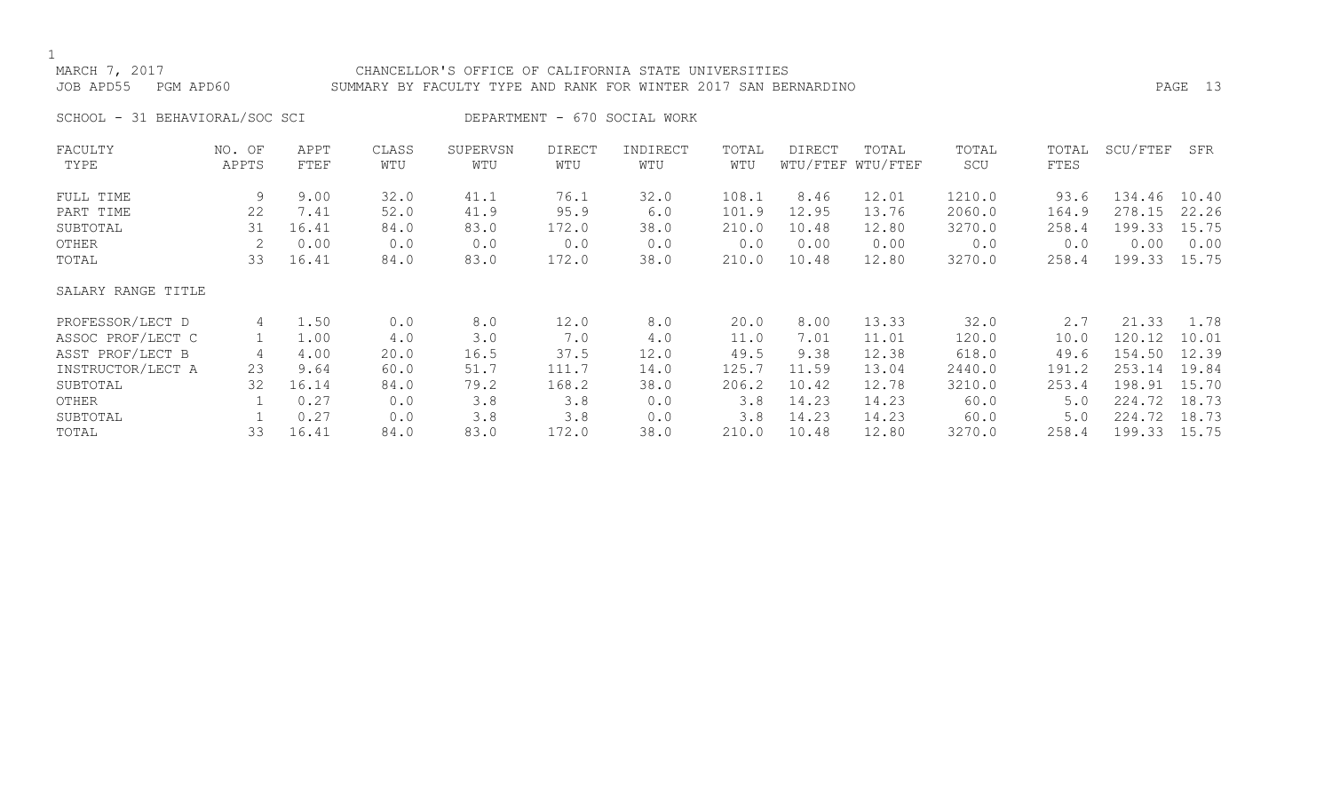# MARCH 7, 2017 CHANCELLOR'S OFFICE OF CALIFORNIA STATE UNIVERSITIES JOB APD55 PGM APD60 SUMMARY BY FACULTY TYPE AND RANK FOR WINTER 2017 SAN BERNARDINO PAGE 13

SCHOOL - 31 BEHAVIORAL/SOC SCI DEPARTMENT - 670 SOCIAL WORK

| FACULTY            | NO. OF | APPT  | CLASS | SUPERVSN | <b>DIRECT</b> | INDIRECT | TOTAL | DIRECT | TOTAL             | TOTAL  | TOTAL | SCU/FTEF | SFR   |
|--------------------|--------|-------|-------|----------|---------------|----------|-------|--------|-------------------|--------|-------|----------|-------|
| TYPE               | APPTS  | FTEF  | WTU   | WTU      | WTU           | WTU      | WTU   |        | WTU/FTEF WTU/FTEF | SCU    | FTES  |          |       |
| FULL TIME          | 9      | 9.00  | 32.0  | 41.1     | 76.1          | 32.0     | 108.1 | 8.46   | 12.01             | 1210.0 | 93.6  | 134.46   | 10.40 |
| PART TIME          | 22     | 7.41  | 52.0  | 41.9     | 95.9          | 6.0      | 101.9 | 12.95  | 13.76             | 2060.0 | 164.9 | 278.15   | 22.26 |
| SUBTOTAL           | 31     | 16.41 | 84.0  | 83.0     | 172.0         | 38.0     | 210.0 | 10.48  | 12.80             | 3270.0 | 258.4 | 199.33   | 15.75 |
| OTHER              |        | 0.00  | 0.0   | 0.0      | 0.0           | 0.0      | 0.0   | 0.00   | 0.00              | 0.0    | 0.0   | 0.00     | 0.00  |
| TOTAL              | 33     | 16.41 | 84.0  | 83.0     | 172.0         | 38.0     | 210.0 | 10.48  | 12.80             | 3270.0 | 258.4 | 199.33   | 15.75 |
| SALARY RANGE TITLE |        |       |       |          |               |          |       |        |                   |        |       |          |       |
| PROFESSOR/LECT D   | 4      | 1.50  | 0.0   | 8.0      | 12.0          | 8.0      | 20.0  | 8.00   | 13.33             | 32.0   | 2.7   | 21.33    | 1.78  |
| ASSOC PROF/LECT C  |        | 1.00  | 4.0   | 3.0      | 7.0           | 4.0      | 11.0  | 7.01   | 11.01             | 120.0  | 10.0  | 120.12   | 10.01 |
| ASST PROF/LECT B   | 4      | 4.00  | 20.0  | 16.5     | 37.5          | 12.0     | 49.5  | 9.38   | 12.38             | 618.0  | 49.6  | 154.50   | 12.39 |
| INSTRUCTOR/LECT A  | 23     | 9.64  | 60.0  | 51.7     | 111.7         | 14.0     | 125.7 | 11.59  | 13.04             | 2440.0 | 191.2 | 253.14   | 19.84 |
| SUBTOTAL           | 32     | 16.14 | 84.0  | 79.2     | 168.2         | 38.0     | 206.2 | 10.42  | 12.78             | 3210.0 | 253.4 | 198.91   | 15.70 |
| OTHER              |        | 0.27  | 0.0   | 3.8      | 3.8           | 0.0      | 3.8   | 14.23  | 14.23             | 60.0   | 5.0   | 224.72   | 18.73 |
| SUBTOTAL           |        | 0.27  | 0.0   | 3.8      | 3.8           | 0.0      | 3.8   | 14.23  | 14.23             | 60.0   | 5.0   | 224.72   | 18.73 |
| TOTAL              | 33     | 16.41 | 84.0  | 83.0     | 172.0         | 38.0     | 210.0 | 10.48  | 12.80             | 3270.0 | 258.4 | 199.33   | 15.75 |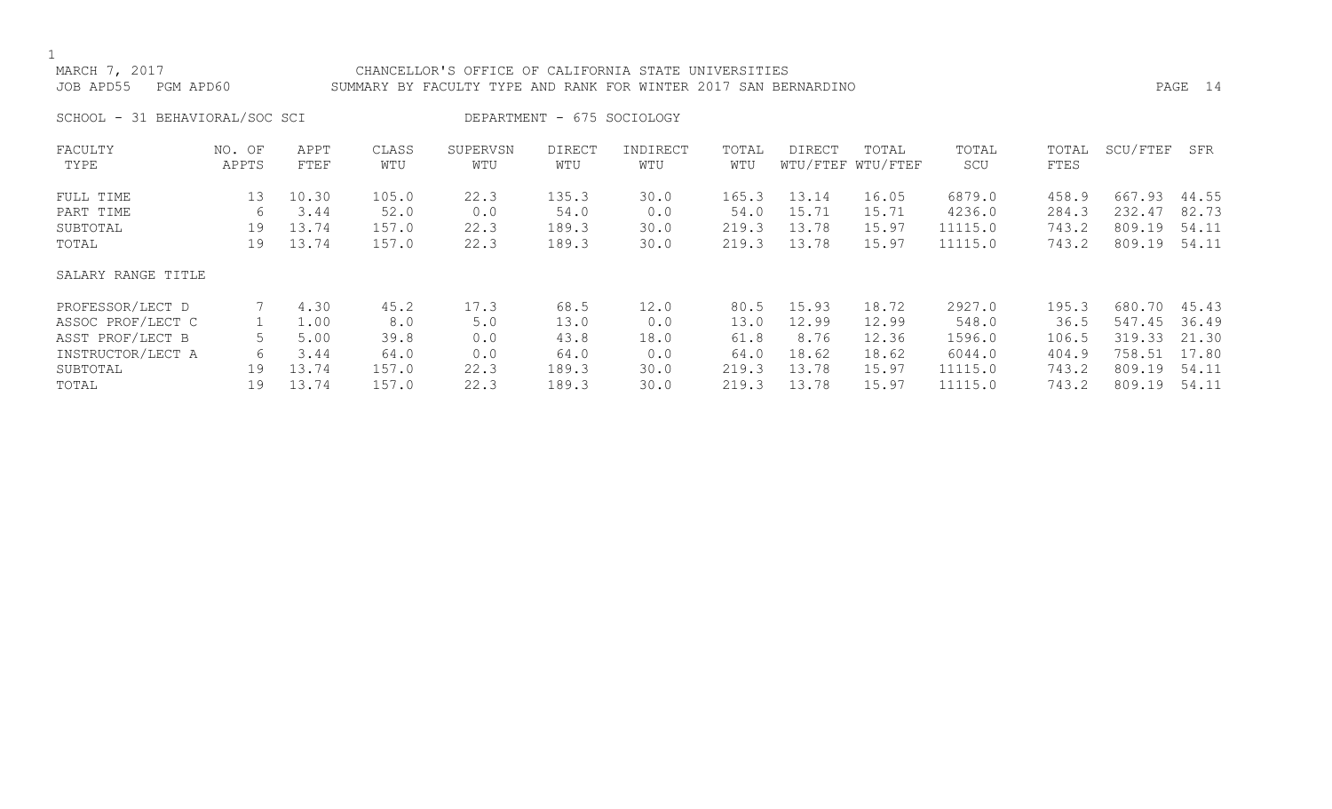# MARCH 7, 2017 CHANCELLOR'S OFFICE OF CALIFORNIA STATE UNIVERSITIES

# JOB APD55 PGM APD60 SUMMARY BY FACULTY TYPE AND RANK FOR WINTER 2017 SAN BERNARDINO PAGE 14

SCHOOL - 31 BEHAVIORAL/SOC SCI DEPARTMENT - 675 SOCIOLOGY

| FACULTY            | NO. OF | APPT  | CLASS | SUPERVSN | <b>DIRECT</b> | INDIRECT | TOTAL | <b>DIRECT</b> | TOTAL             | TOTAL   | TOTAL | SCU/FTEF | SFR   |
|--------------------|--------|-------|-------|----------|---------------|----------|-------|---------------|-------------------|---------|-------|----------|-------|
| TYPE               | APPTS  | FTEF  | WTU   | WTU      | WTU           | WTU      | WTU   |               | WTU/FTEF WTU/FTEF | SCU     | FTES  |          |       |
| FULL TIME          | 13     | 10.30 | 105.0 | 22.3     | 135.3         | 30.0     | 165.3 | 13.14         | 16.05             | 6879.0  | 458.9 | 667.93   | 44.55 |
| PART TIME          | 6      | 3.44  | 52.0  | 0.0      | 54.0          | 0.0      | 54.0  | 15.71         | 15.71             | 4236.0  | 284.3 | 232.47   | 82.73 |
| SUBTOTAL           | 19     | 13.74 | 157.0 | 22.3     | 189.3         | 30.0     | 219.3 | 13.78         | 15.97             | 11115.0 | 743.2 | 809.19   | 54.11 |
| TOTAL              | 19     | 13.74 | 157.0 | 22.3     | 189.3         | 30.0     | 219.3 | 13.78         | 15.97             | 11115.0 | 743.2 | 809.19   | 54.11 |
| SALARY RANGE TITLE |        |       |       |          |               |          |       |               |                   |         |       |          |       |
| PROFESSOR/LECT D   |        | 4.30  | 45.2  | 17.3     | 68.5          | 12.0     | 80.5  | 15.93         | 18.72             | 2927.0  | 195.3 | 680.70   | 45.43 |
| ASSOC PROF/LECT C  |        | 1.00  | 8.0   | 5.0      | 13.0          | 0.0      | 13.0  | 12.99         | 12.99             | 548.0   | 36.5  | 547.45   | 36.49 |
| ASST PROF/LECT B   |        | 5.00  | 39.8  | 0.0      | 43.8          | 18.0     | 61.8  | 8.76          | 12.36             | 1596.0  | 106.5 | 319.33   | 21.30 |
| INSTRUCTOR/LECT A  | 6      | 3.44  | 64.0  | 0.0      | 64.0          | 0.0      | 64.0  | 18.62         | 18.62             | 6044.0  | 404.9 | 758.51   | 17.80 |
| SUBTOTAL           | 19     | 13.74 | 157.0 | 22.3     | 189.3         | 30.0     | 219.3 | 13.78         | 15.97             | 11115.0 | 743.2 | 809.19   | 54.11 |
| TOTAL              | 19     | 13.74 | 157.0 | 22.3     | 189.3         | 30.0     | 219.3 | 13.78         | 15.97             | 11115.0 | 743.2 | 809.19   | 54.11 |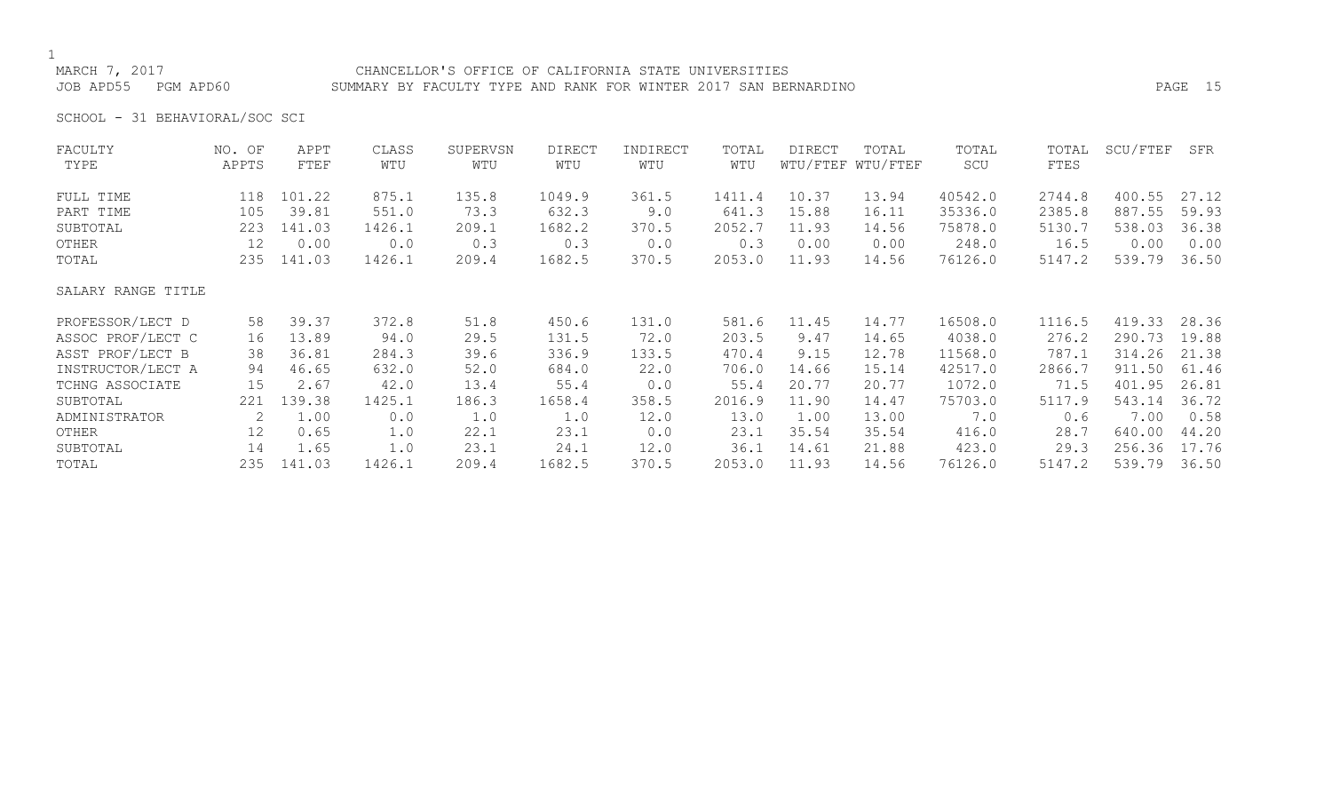# MARCH 7, 2017 CHANCELLOR'S OFFICE OF CALIFORNIA STATE UNIVERSITIES JOB APD55 PGM APD60 SUMMARY BY FACULTY TYPE AND RANK FOR WINTER 2017 SAN BERNARDINO PAGE 15

SCHOOL - 31 BEHAVIORAL/SOC SCI

| FACULTY            | NO. OF | APPT   | CLASS  | SUPERVSN | <b>DIRECT</b> | INDIRECT | TOTAL  | DIRECT | TOTAL             | TOTAL   | TOTAL  | SCU/FTEF | SFR   |
|--------------------|--------|--------|--------|----------|---------------|----------|--------|--------|-------------------|---------|--------|----------|-------|
| TYPE               | APPTS  | FTEF   | WTU    | WTU      | WTU           | WTU      | WTU    |        | WTU/FTEF WTU/FTEF | SCU     | FTES   |          |       |
| FULL TIME          | 118    | 101.22 | 875.1  | 135.8    | 1049.9        | 361.5    | 1411.4 | 10.37  | 13.94             | 40542.0 | 2744.8 | 400.55   | 27.12 |
| PART TIME          | 105    | 39.81  | 551.0  | 73.3     | 632.3         | 9.0      | 641.3  | 15.88  | 16.11             | 35336.0 | 2385.8 | 887.55   | 59.93 |
| SUBTOTAL           | 223    | 141.03 | 1426.1 | 209.1    | 1682.2        | 370.5    | 2052.7 | 11.93  | 14.56             | 75878.0 | 5130.7 | 538.03   | 36.38 |
| OTHER              | 12     | 0.00   | 0.0    | 0.3      | 0.3           | 0.0      | 0.3    | 0.00   | 0.00              | 248.0   | 16.5   | 0.00     | 0.00  |
| TOTAL              | 235    | 141.03 | 1426.1 | 209.4    | 1682.5        | 370.5    | 2053.0 | 11.93  | 14.56             | 76126.0 | 5147.2 | 539.79   | 36.50 |
| SALARY RANGE TITLE |        |        |        |          |               |          |        |        |                   |         |        |          |       |
| PROFESSOR/LECT D   | 58     | 39.37  | 372.8  | 51.8     | 450.6         | 131.0    | 581.6  | 11.45  | 14.77             | 16508.0 | 1116.5 | 419.33   | 28.36 |
| ASSOC PROF/LECT C  | 16     | 13.89  | 94.0   | 29.5     | 131.5         | 72.0     | 203.5  | 9.47   | 14.65             | 4038.0  | 276.2  | 290.73   | 19.88 |
| ASST PROF/LECT B   | 38     | 36.81  | 284.3  | 39.6     | 336.9         | 133.5    | 470.4  | 9.15   | 12.78             | 11568.0 | 787.1  | 314.26   | 21.38 |
| INSTRUCTOR/LECT A  | 94     | 46.65  | 632.0  | 52.0     | 684.0         | 22.0     | 706.0  | 14.66  | 15.14             | 42517.0 | 2866.7 | 911.50   | 61.46 |
| TCHNG ASSOCIATE    | 15     | 2.67   | 42.0   | 13.4     | 55.4          | 0.0      | 55.4   | 20.77  | 20.77             | 1072.0  | 71.5   | 401.95   | 26.81 |
| SUBTOTAL           | 221    | 139.38 | 1425.1 | 186.3    | 1658.4        | 358.5    | 2016.9 | 11.90  | 14.47             | 75703.0 | 5117.9 | 543.14   | 36.72 |
| ADMINISTRATOR      | 2      | 1.00   | 0.0    | 1.0      | 1.0           | 12.0     | 13.0   | 1.00   | 13.00             | 7.0     | 0.6    | 7.00     | 0.58  |
| OTHER              | 12     | 0.65   | 1.0    | 22.1     | 23.1          | 0.0      | 23.1   | 35.54  | 35.54             | 416.0   | 28.7   | 640.00   | 44.20 |
| SUBTOTAL           | 14     | 1.65   | 1.0    | 23.1     | 24.1          | 12.0     | 36.1   | 14.61  | 21.88             | 423.0   | 29.3   | 256.36   | 17.76 |
| TOTAL              | 235    | 141.03 | 1426.1 | 209.4    | 1682.5        | 370.5    | 2053.0 | 11.93  | 14.56             | 76126.0 | 5147.2 | 539.79   | 36.50 |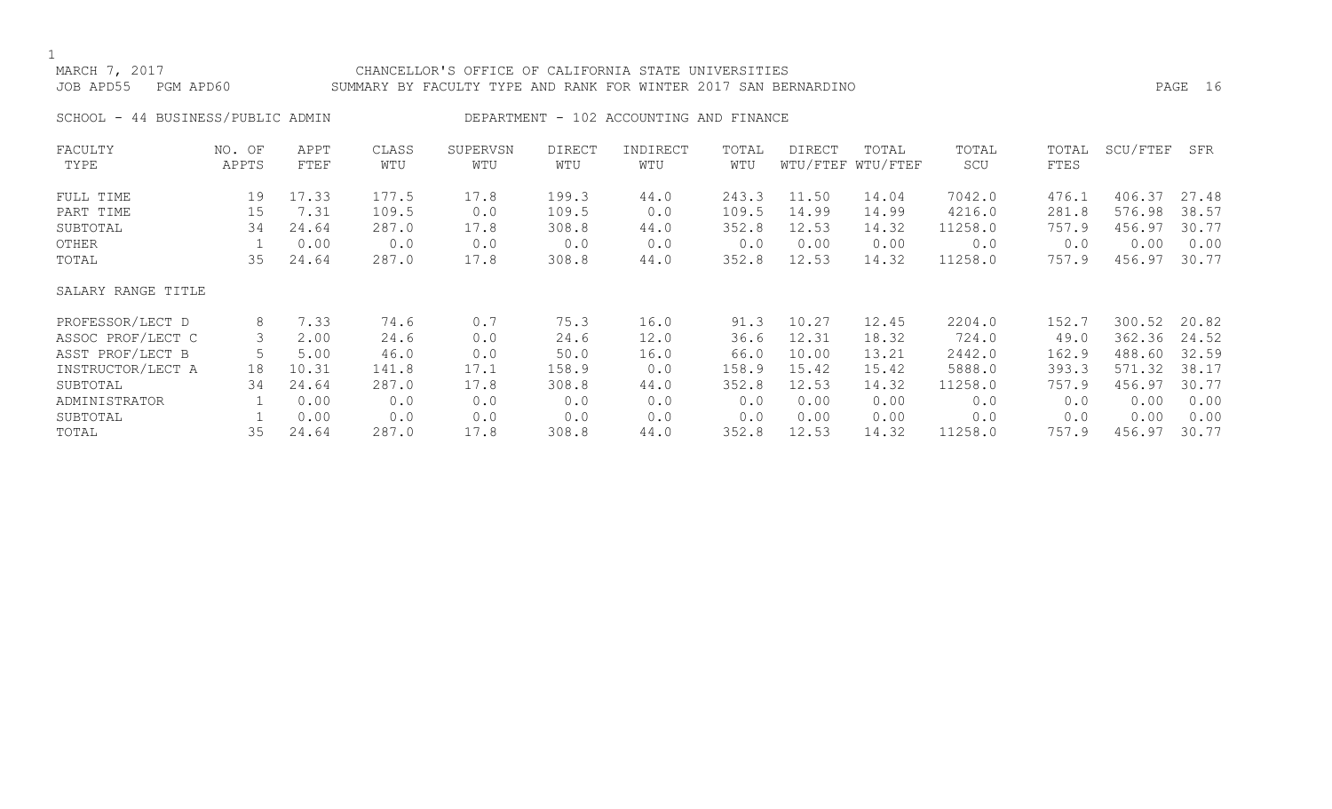# MARCH 7, 2017 CHANCELLOR'S OFFICE OF CALIFORNIA STATE UNIVERSITIES JOB APD55 PGM APD60 SUMMARY BY FACULTY TYPE AND RANK FOR WINTER 2017 SAN BERNARDINO PAGE 16

SCHOOL - 44 BUSINESS/PUBLIC ADMIN DEPARTMENT - 102 ACCOUNTING AND FINANCE

| FACULTY            | NO. OF | APPT  | CLASS | SUPERVSN | <b>DIRECT</b> | INDIRECT | TOTAL | DIRECT | TOTAL             | TOTAL   | TOTAL | SCU/FTEF | SFR   |
|--------------------|--------|-------|-------|----------|---------------|----------|-------|--------|-------------------|---------|-------|----------|-------|
| TYPE               | APPTS  | FTEF  | WTU   | WTU      | WTU           | WTU      | WTU   |        | WTU/FTEF WTU/FTEF | SCU     | FTES  |          |       |
| FULL TIME          | 19     | 17.33 | 177.5 | 17.8     | 199.3         | 44.0     | 243.3 | 11.50  | 14.04             | 7042.0  | 476.1 | 406.37   | 27.48 |
| PART TIME          | 15     | 7.31  | 109.5 | 0.0      | 109.5         | 0.0      | 109.5 | 14.99  | 14.99             | 4216.0  | 281.8 | 576.98   | 38.57 |
| SUBTOTAL           | 34     | 24.64 | 287.0 | 17.8     | 308.8         | 44.0     | 352.8 | 12.53  | 14.32             | 11258.0 | 757.9 | 456.97   | 30.77 |
| OTHER              |        | 0.00  | 0.0   | 0.0      | 0.0           | 0.0      | 0.0   | 0.00   | 0.00              | 0.0     | 0.0   | 0.00     | 0.00  |
| TOTAL              | 35     | 24.64 | 287.0 | 17.8     | 308.8         | 44.0     | 352.8 | 12.53  | 14.32             | 11258.0 | 757.9 | 456.97   | 30.77 |
| SALARY RANGE TITLE |        |       |       |          |               |          |       |        |                   |         |       |          |       |
| PROFESSOR/LECT D   | 8      | 7.33  | 74.6  | 0.7      | 75.3          | 16.0     | 91.3  | 10.27  | 12.45             | 2204.0  | 152.7 | 300.52   | 20.82 |
| ASSOC PROF/LECT C  | 3      | 2.00  | 24.6  | 0.0      | 24.6          | 12.0     | 36.6  | 12.31  | 18.32             | 724.0   | 49.0  | 362.36   | 24.52 |
| ASST PROF/LECT B   |        | 5.00  | 46.0  | 0.0      | 50.0          | 16.0     | 66.0  | 10.00  | 13.21             | 2442.0  | 162.9 | 488.60   | 32.59 |
| INSTRUCTOR/LECT A  | 18     | 10.31 | 141.8 | 17.1     | 158.9         | 0.0      | 158.9 | 15.42  | 15.42             | 5888.0  | 393.3 | 571.32   | 38.17 |
| SUBTOTAL           | 34     | 24.64 | 287.0 | 17.8     | 308.8         | 44.0     | 352.8 | 12.53  | 14.32             | 11258.0 | 757.9 | 456.97   | 30.77 |
| ADMINISTRATOR      |        | 0.00  | 0.0   | 0.0      | 0.0           | 0.0      | 0.0   | 0.00   | 0.00              | 0.0     | 0.0   | 0.00     | 0.00  |
| SUBTOTAL           |        | 0.00  | 0.0   | 0.0      | 0.0           | 0.0      | 0.0   | 0.00   | 0.00              | 0.0     | 0.0   | 0.00     | 0.00  |
| TOTAL              | 35     | 24.64 | 287.0 | 17.8     | 308.8         | 44.0     | 352.8 | 12.53  | 14.32             | 11258.0 | 757.9 | 456.97   | 30.77 |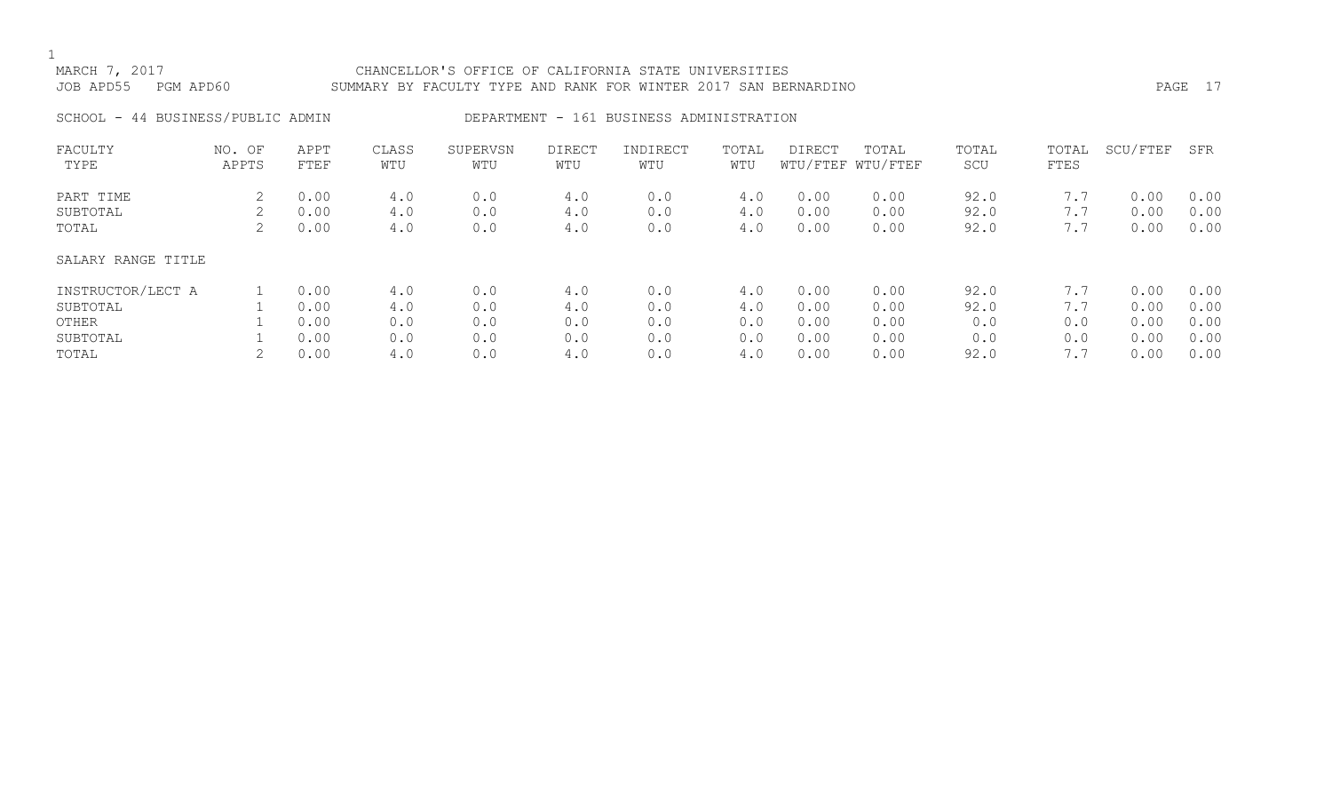# MARCH 7, 2017 CHANCELLOR'S OFFICE OF CALIFORNIA STATE UNIVERSITIES JOB APD55 PGM APD60 SUMMARY BY FACULTY TYPE AND RANK FOR WINTER 2017 SAN BERNARDINO PAGE 17

# SCHOOL - 44 BUSINESS/PUBLIC ADMIN DEPARTMENT - 161 BUSINESS ADMINISTRATION

| FACULTY            | NO.<br>OF | APPT | CLASS | SUPERVSN | <b>DIRECT</b> | INDIRECT | TOTAL | DIRECT | TOTAL             | TOTAL | TOTAL | SCU/FTEF | SFR  |
|--------------------|-----------|------|-------|----------|---------------|----------|-------|--------|-------------------|-------|-------|----------|------|
| TYPE               | APPTS     | FTEF | WTU   | WTU      | WTU           | WTU      | WTU   |        | WTU/FTEF WTU/FTEF | SCU   | FTES  |          |      |
| PART TIME          |           | 0.00 | 4.0   | 0.0      | 4.0           | 0.0      | 4.0   | 0.00   | 0.00              | 92.0  | 7.7   | 0.00     | 0.00 |
| SUBTOTAL           |           | 0.00 | 4.0   | 0.0      | 4.0           | 0.0      | 4.0   | 0.00   | 0.00              | 92.0  | 7.7   | 0.00     | 0.00 |
| TOTAL              |           | 0.00 | 4.0   | 0.0      | 4.0           | 0.0      | 4.0   | 0.00   | 0.00              | 92.0  | 7.7   | 0.00     | 0.00 |
| SALARY RANGE TITLE |           |      |       |          |               |          |       |        |                   |       |       |          |      |
| INSTRUCTOR/LECT A  |           | 0.00 | 4.0   | 0.0      | 4.0           | 0.0      | 4.0   | 0.00   | 0.00              | 92.0  | 7.7   | 0.00     | 0.00 |
| SUBTOTAL           |           | 0.00 | 4.0   | 0.0      | 4.0           | 0.0      | 4.0   | 0.00   | 0.00              | 92.0  | 7.7   | 0.00     | 0.00 |
| OTHER              |           | 0.00 | 0.0   | 0.0      | 0.0           | 0.0      | 0.0   | 0.00   | 0.00              | 0.0   | 0.0   | 0.00     | 0.00 |
| SUBTOTAL           |           | 0.00 | 0.0   | 0.0      | 0.0           | 0.0      | 0.0   | 0.00   | 0.00              | 0.0   | 0.0   | 0.00     | 0.00 |
| TOTAL              |           | 0.00 | 4.0   | 0.0      | 4.0           | 0.0      | 4.0   | 0.00   | 0.00              | 92.0  | 7.7   | 0.00     | 0.00 |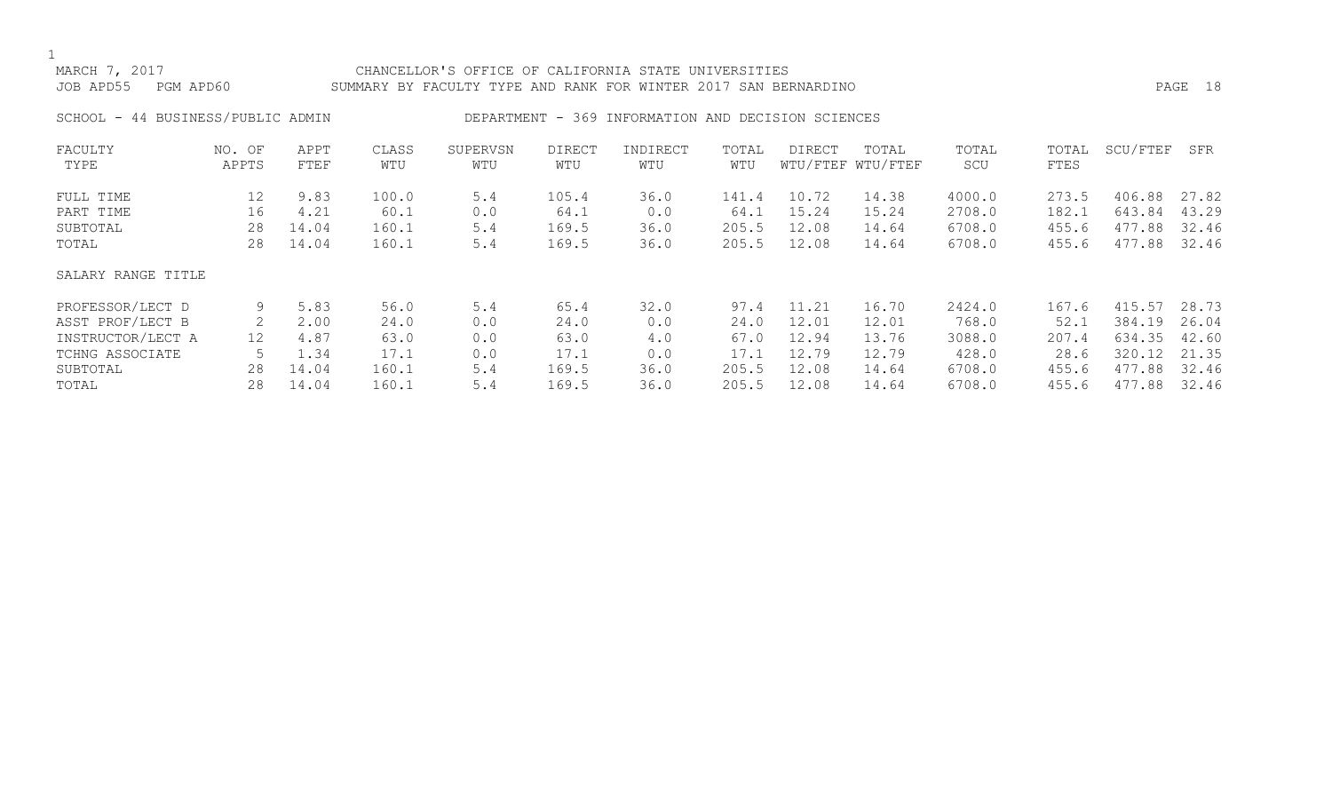# MARCH 7, 2017 CHANCELLOR'S OFFICE OF CALIFORNIA STATE UNIVERSITIES JOB APD55 PGM APD60 SUMMARY BY FACULTY TYPE AND RANK FOR WINTER 2017 SAN BERNARDINO PAGE 18

SCHOOL - 44 BUSINESS/PUBLIC ADMIN DEPARTMENT - 369 INFORMATION AND DECISION SCIENCES

| FACULTY            | NO. OF | APPT  | CLASS | SUPERVSN | DIRECT | INDIRECT | TOTAL | DIRECT | TOTAL             | TOTAL  | TOTAL | SCU/FTEF   | SFR   |
|--------------------|--------|-------|-------|----------|--------|----------|-------|--------|-------------------|--------|-------|------------|-------|
| TYPE               | APPTS  | FTEF  | WTU   | WTU      | WTU    | WTU      | WTU   |        | WTU/FTEF WTU/FTEF | SCU    | FTES  |            |       |
| FULL TIME          | 12     | 9.83  | 100.0 | 5.4      | 105.4  | 36.0     | 141.4 | 10.72  | 14.38             | 4000.0 | 273.5 | 406.88     | 27.82 |
| PART TIME          | 16     | 4.21  | 60.1  | 0.0      | 64.1   | 0.0      | 64.1  | 15.24  | 15.24             | 2708.0 | 182.1 | 643.84     | 43.29 |
| SUBTOTAL           | 28     | 14.04 | 160.1 | 5.4      | 169.5  | 36.0     | 205.5 | 12.08  | 14.64             | 6708.0 | 455.6 | 477.88     | 32.46 |
| TOTAL              | 28     | 14.04 | 160.1 | 5.4      | 169.5  | 36.0     | 205.5 | 12.08  | 14.64             | 6708.0 | 455.6 | 477.88     | 32.46 |
| SALARY RANGE TITLE |        |       |       |          |        |          |       |        |                   |        |       |            |       |
| PROFESSOR/LECT D   | 9      | 5.83  | 56.0  | 5.4      | 65.4   | 32.0     | 97.4  | 11.21  | 16.70             | 2424.0 | 167.6 | 415.57     | 28.73 |
| ASST PROF/LECT B   | 2      | 2.00  | 24.0  | 0.0      | 24.0   | 0.0      | 24.0  | 12.01  | 12.01             | 768.0  | 52.1  | 384.19     | 26.04 |
| INSTRUCTOR/LECT A  | 12     | 4.87  | 63.0  | 0.0      | 63.0   | 4.0      | 67.0  | 12.94  | 13.76             | 3088.0 | 207.4 | 634.35     | 42.60 |
| TCHNG ASSOCIATE    |        | 1.34  | 17.1  | 0.0      | 17.1   | 0.0      | 17.1  | 12.79  | 12.79             | 428.0  | 28.6  | 320.12     | 21.35 |
| SUBTOTAL           | 28     | 14.04 | 160.1 | 5.4      | 169.5  | 36.0     | 205.5 | 12.08  | 14.64             | 6708.0 | 455.6 | 477<br>.88 | 32.46 |
| TOTAL              | 28     | 14.04 | 160.1 | 5.4      | 169.5  | 36.0     | 205.5 | 12.08  | 14.64             | 6708.0 | 455.6 | 477.88     | 32.46 |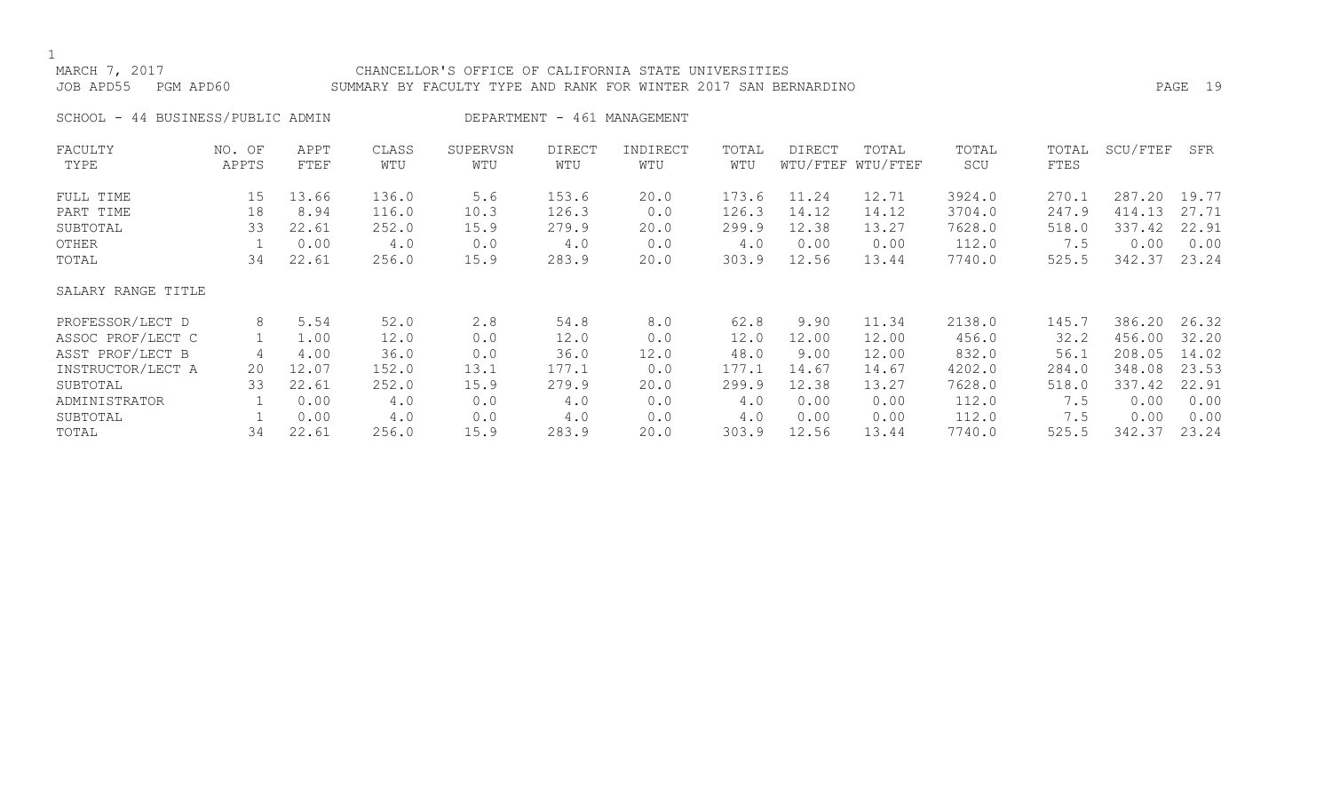# MARCH 7, 2017 CHANCELLOR'S OFFICE OF CALIFORNIA STATE UNIVERSITIES JOB APD55 PGM APD60 SUMMARY BY FACULTY TYPE AND RANK FOR WINTER 2017 SAN BERNARDINO PAGE 19

SCHOOL - 44 BUSINESS/PUBLIC ADMIN DEPARTMENT - 461 MANAGEMENT

| FACULTY            | NO. OF | APPT  | CLASS | SUPERVSN | DIRECT | INDIRECT | TOTAL | <b>DIRECT</b> | TOTAL             | TOTAL  | TOTAL | SCU/FTEF | SFR   |
|--------------------|--------|-------|-------|----------|--------|----------|-------|---------------|-------------------|--------|-------|----------|-------|
| TYPE               | APPTS  | FTEF  | WTU   | WTU      | WTU    | WTU      | WTU   |               | WTU/FTEF WTU/FTEF | SCU    | FTES  |          |       |
| FULL TIME          | 15     | 13.66 | 136.0 | 5.6      | 153.6  | 20.0     | 173.6 | 11.24         | 12.71             | 3924.0 | 270.1 | 287.20   | 19.77 |
| PART TIME          | 18     | 8.94  | 116.0 | 10.3     | 126.3  | 0.0      | 126.3 | 14.12         | 14.12             | 3704.0 | 247.9 | 414.13   | 27.71 |
| SUBTOTAL           | 33     | 22.61 | 252.0 | 15.9     | 279.9  | 20.0     | 299.9 | 12.38         | 13.27             | 7628.0 | 518.0 | 337.42   | 22.91 |
| OTHER              |        | 0.00  | 4.0   | 0.0      | 4.0    | 0.0      | 4.0   | 0.00          | 0.00              | 112.0  | 7.5   | 0.00     | 0.00  |
| TOTAL              | 34     | 22.61 | 256.0 | 15.9     | 283.9  | 20.0     | 303.9 | 12.56         | 13.44             | 7740.0 | 525.5 | 342.37   | 23.24 |
| SALARY RANGE TITLE |        |       |       |          |        |          |       |               |                   |        |       |          |       |
| PROFESSOR/LECT D   | 8      | 5.54  | 52.0  | 2.8      | 54.8   | 8.0      | 62.8  | 9.90          | 11.34             | 2138.0 | 145.7 | 386.20   | 26.32 |
| ASSOC PROF/LECT C  |        | 1.00  | 12.0  | 0.0      | 12.0   | 0.0      | 12.0  | 12.00         | 12.00             | 456.0  | 32.2  | 456.00   | 32.20 |
| ASST PROF/LECT B   |        | 4.00  | 36.0  | 0.0      | 36.0   | 12.0     | 48.0  | 9.00          | 12.00             | 832.0  | 56.1  | 208.05   | 14.02 |
| INSTRUCTOR/LECT A  | 20     | 12.07 | 152.0 | 13.1     | 177.1  | 0.0      | 177.1 | 14.67         | 14.67             | 4202.0 | 284.0 | 348.08   | 23.53 |
| SUBTOTAL           | 33     | 22.61 | 252.0 | 15.9     | 279.9  | 20.0     | 299.9 | 12.38         | 13.27             | 7628.0 | 518.0 | 337.42   | 22.91 |
| ADMINISTRATOR      |        | 0.00  | 4.0   | 0.0      | 4.0    | 0.0      | 4.0   | 0.00          | 0.00              | 112.0  | 7.5   | 0.00     | 0.00  |
| SUBTOTAL           |        | 0.00  | 4.0   | 0.0      | 4.0    | 0.0      | 4.0   | 0.00          | 0.00              | 112.0  | 7.5   | 0.00     | 0.00  |
| TOTAL              | 34     | 22.61 | 256.0 | 15.9     | 283.9  | 20.0     | 303.9 | 12.56         | 13.44             | 7740.0 | 525.5 | 342.37   | 23.24 |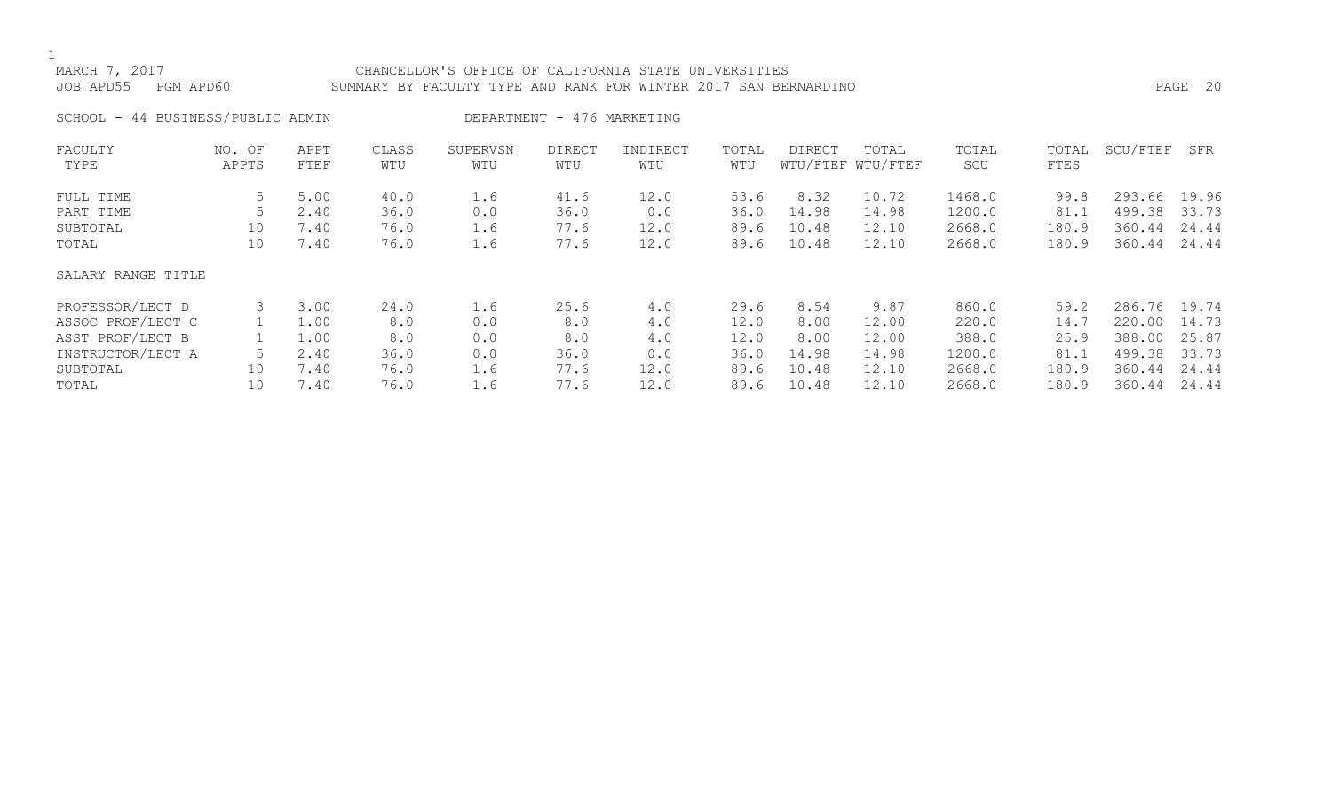# MARCH 7, 2017 CHANCELLOR'S OFFICE OF CALIFORNIA STATE UNIVERSITIES JOB APD55 PGM APD60 SUMMARY BY FACULTY TYPE AND RANK FOR WINTER 2017 SAN BERNARDINO PAGE 20

# SCHOOL - 44 BUSINESS/PUBLIC ADMIN DEPARTMENT - 476 MARKETING

| FACULTY            | NO. OF | APPT | CLASS | SUPERVSN | <b>DIRECT</b> | INDIRECT | TOTAL | DIRECT | TOTAL             | TOTAL  | TOTAL | SCU/FTEF | SFR   |
|--------------------|--------|------|-------|----------|---------------|----------|-------|--------|-------------------|--------|-------|----------|-------|
| TYPE               | APPTS  | FTEF | WTU   | WTU      | WTU           | WTU      | WTU   |        | WTU/FTEF WTU/FTEF | SCU    | FTES  |          |       |
| FULL TIME          | 5      | 5.00 | 40.0  | 1.6      | 41.6          | 12.0     | 53.6  | 8.32   | 10.72             | 1468.0 | 99.8  | 293.66   | 19.96 |
| PART TIME          |        | 2.40 | 36.0  | 0.0      | 36.0          | 0.0      | 36.0  | 14.98  | 14.98             | 1200.0 | 81.1  | 499.38   | 33.73 |
| SUBTOTAL           | 10     | 7.40 | 76.0  | 1.6      | 77.6          | 12.0     | 89.6  | 10.48  | 12.10             | 2668.0 | 180.9 | 360.44   | 24.44 |
| TOTAL              | 10     | 7.40 | 76.0  | 1.6      | 77.6          | 12.0     | 89.6  | 10.48  | 12.10             | 2668.0 | 180.9 | 360.44   | 24.44 |
| SALARY RANGE TITLE |        |      |       |          |               |          |       |        |                   |        |       |          |       |
| PROFESSOR/LECT D   | 3      | 3.00 | 24.0  | 1.6      | 25.6          | 4.0      | 29.6  | 8.54   | 9.87              | 860.0  | 59.2  | 286.76   | 19.74 |
| ASSOC PROF/LECT C  |        | 1.00 | 8.0   | 0.0      | 8.0           | 4.0      | 12.0  | 8.00   | 12.00             | 220.0  | 14.7  | 220.00   | 14.73 |
| ASST PROF/LECT B   |        | 1.00 | 8.0   | 0.0      | 8.0           | 4.0      | 12.0  | 8.00   | 12.00             | 388.0  | 25.9  | 388.00   | 25.87 |
| INSTRUCTOR/LECT A  |        | 2.40 | 36.0  | 0.0      | 36.0          | 0.0      | 36.0  | 14.98  | 14.98             | 1200.0 | 81.1  | 499.38   | 33.73 |
| SUBTOTAL           | 10     | 7.40 | 76.0  | 1.6      | 77.6          | 12.0     | 89.6  | 10.48  | 12.10             | 2668.0 | 180.9 | 360.44   | 24.44 |
| TOTAL              | 10     | 7.40 | 76.0  | 1.6      | 77.6          | 12.0     | 89.6  | 10.48  | 12.10             | 2668.0 | 180.9 | 360.44   | 24.44 |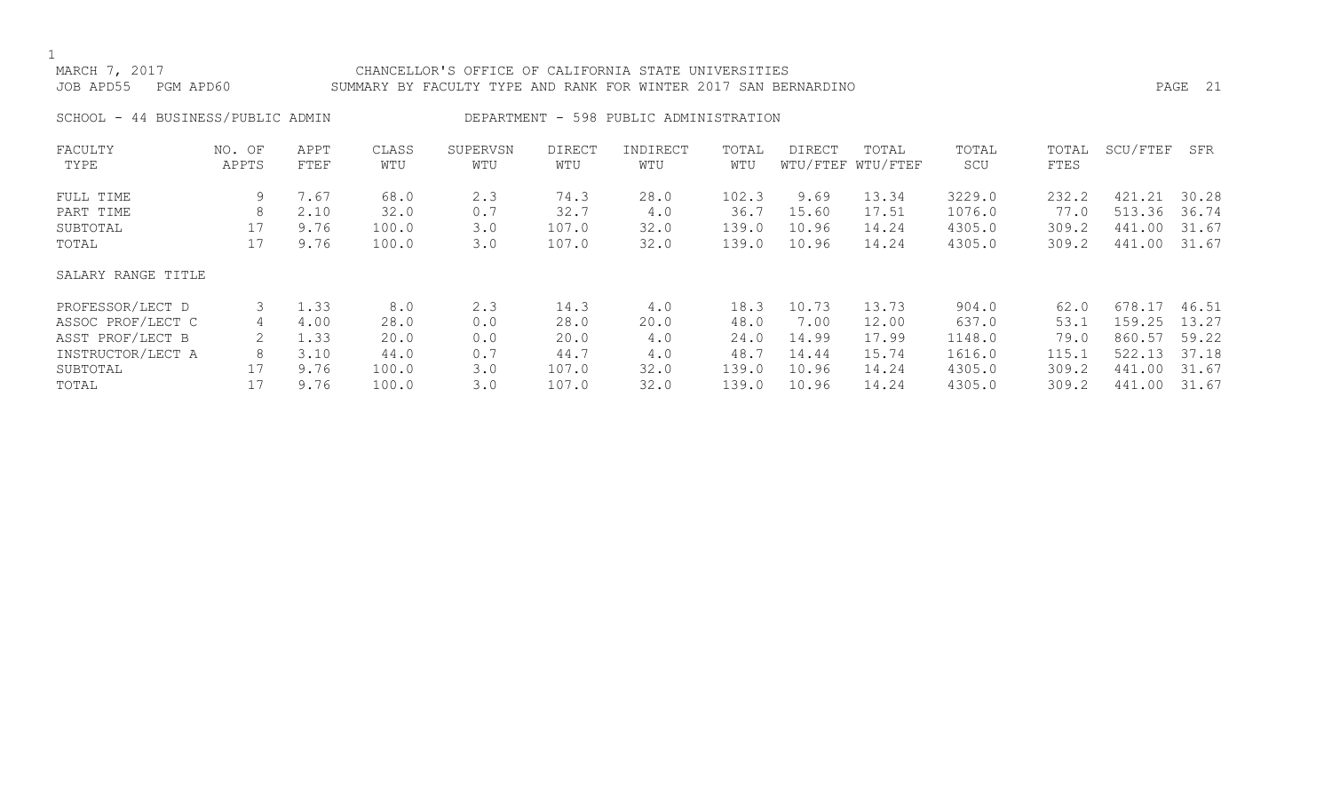# MARCH 7, 2017 CHANCELLOR'S OFFICE OF CALIFORNIA STATE UNIVERSITIES JOB APD55 PGM APD60 SUMMARY BY FACULTY TYPE AND RANK FOR WINTER 2017 SAN BERNARDINO PAGE 21

SCHOOL - 44 BUSINESS/PUBLIC ADMIN DEPARTMENT - 598 PUBLIC ADMINISTRATION

| FACULTY            | NO. OF | APPT | CLASS | SUPERVSN | <b>DIRECT</b> | INDIRECT | TOTAL | DIRECT | TOTAL             | TOTAL  | TOTAL | SCU/FTEF   | SFR   |
|--------------------|--------|------|-------|----------|---------------|----------|-------|--------|-------------------|--------|-------|------------|-------|
| TYPE               | APPTS  | FTEF | WTU   | WTU      | WTU           | WTU      | WTU   |        | WTU/FTEF WTU/FTEF | SCU    | FTES  |            |       |
| FULL TIME          | 9      | 7.67 | 68.0  | 2.3      | 74.3          | 28.0     | 102.3 | 9.69   | 13.34             | 3229.0 | 232.2 | .21<br>421 | 30.28 |
| PART TIME          | 8      | 2.10 | 32.0  | 0.7      | 32.7          | 4.0      | 36.7  | 15.60  | 17.51             | 1076.0 | 77.0  | 513.36     | 36.74 |
| SUBTOTAL           | 17     | 9.76 | 100.0 | 3.0      | 107.0         | 32.0     | 139.0 | 10.96  | 14.24             | 4305.0 | 309.2 | 441.00     | 31.67 |
| TOTAL              | 17     | 9.76 | 100.0 | 3.0      | 107.0         | 32.0     | 139.0 | 10.96  | 14.24             | 4305.0 | 309.2 | 441.00     | 31.67 |
| SALARY RANGE TITLE |        |      |       |          |               |          |       |        |                   |        |       |            |       |
| PROFESSOR/LECT D   | 3      | 1.33 | 8.0   | 2.3      | 14.3          | 4.0      | 18.3  | 10.73  | 13.73             | 904.0  | 62.0  | 678.17     | 46.51 |
| ASSOC PROF/LECT C  | 4      | 4.00 | 28.0  | 0.0      | 28.0          | 20.0     | 48.0  | 7.00   | 12.00             | 637.0  | 53.1  | 159.25     | 13.27 |
| ASST PROF/LECT B   | 2      | 1.33 | 20.0  | 0.0      | 20.0          | 4.0      | 24.0  | 14.99  | 17.99             | 1148.0 | 79.0  | 860.57     | 59.22 |
| INSTRUCTOR/LECT A  | 8      | 3.10 | 44.0  | 0.7      | 44.7          | 4.0      | 48.7  | 14.44  | 15.74             | 1616.0 | 115.1 | 522.13     | 37.18 |
| SUBTOTAL           |        | 9.76 | 100.0 | 3.0      | 107.0         | 32.0     | 139.0 | 10.96  | 14.24             | 4305.0 | 309.2 | 441<br>.00 | 31.67 |
| TOTAL              |        | 9.76 | 100.0 | 3.0      | 107.0         | 32.0     | 139.0 | 10.96  | 14.24             | 4305.0 | 309.2 | 441.00     | 31.67 |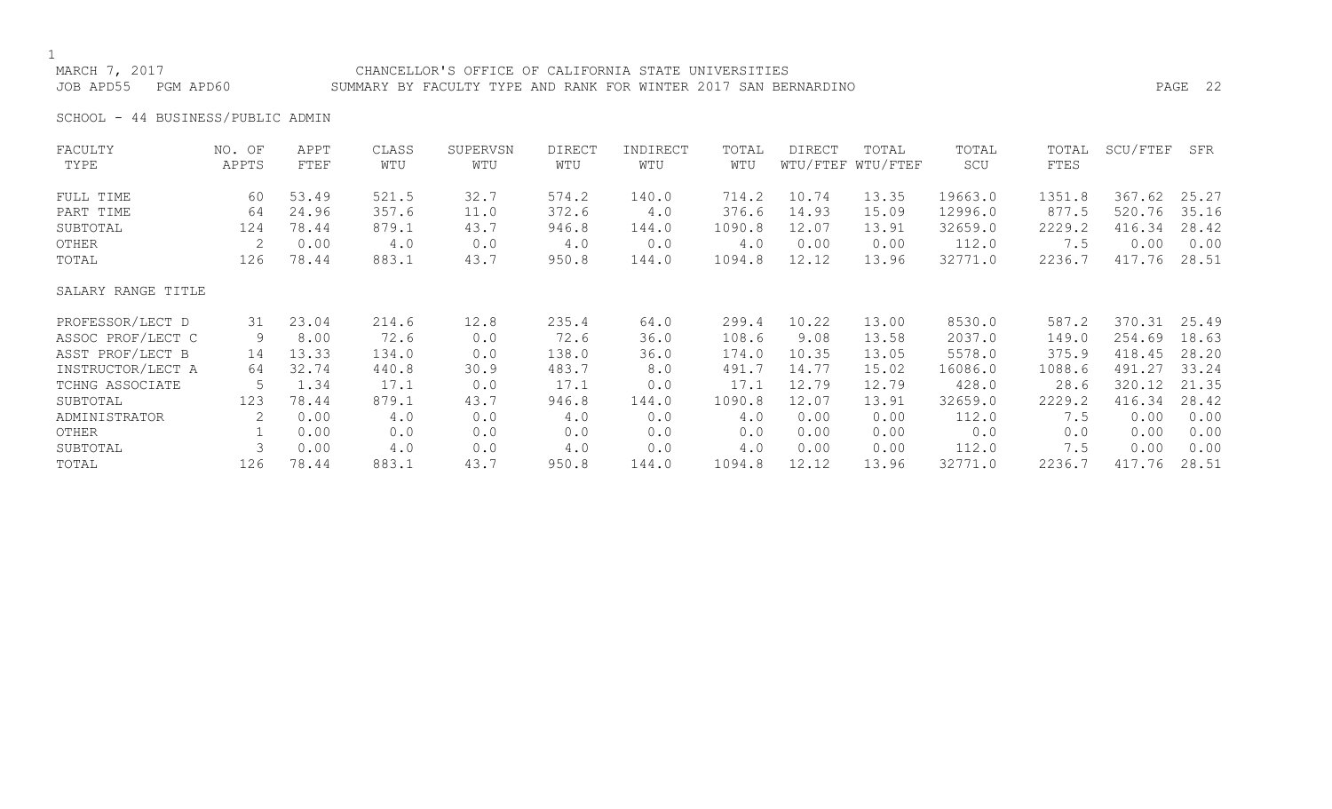# MARCH 7, 2017 CHANCELLOR'S OFFICE OF CALIFORNIA STATE UNIVERSITIES JOB APD55 PGM APD60 SUMMARY BY FACULTY TYPE AND RANK FOR WINTER 2017 SAN BERNARDINO PAGE 22

SCHOOL - 44 BUSINESS/PUBLIC ADMIN

| FACULTY            | NO. OF | APPT  | CLASS | SUPERVSN | <b>DIRECT</b> | INDIRECT | TOTAL  | DIRECT | TOTAL             | TOTAL   | TOTAL  | SCU/FTEF | SFR   |
|--------------------|--------|-------|-------|----------|---------------|----------|--------|--------|-------------------|---------|--------|----------|-------|
| TYPE               | APPTS  | FTEF  | WTU   | WTU      | WTU           | WTU      | WTU    |        | WTU/FTEF WTU/FTEF | SCU     | FTES   |          |       |
| FULL TIME          | 60     | 53.49 | 521.5 | 32.7     | 574.2         | 140.0    | 714.2  | 10.74  | 13.35             | 19663.0 | 1351.8 | 367.62   | 25.27 |
| PART TIME          | 64     | 24.96 | 357.6 | 11.0     | 372.6         | 4.0      | 376.6  | 14.93  | 15.09             | 12996.0 | 877.5  | 520.76   | 35.16 |
| SUBTOTAL           | 124    | 78.44 | 879.1 | 43.7     | 946.8         | 144.0    | 1090.8 | 12.07  | 13.91             | 32659.0 | 2229.2 | 416.34   | 28.42 |
| OTHER              | 2      | 0.00  | 4.0   | 0.0      | 4.0           | 0.0      | 4.0    | 0.00   | 0.00              | 112.0   | 7.5    | 0.00     | 0.00  |
| TOTAL              | 126    | 78.44 | 883.1 | 43.7     | 950.8         | 144.0    | 1094.8 | 12.12  | 13.96             | 32771.0 | 2236.7 | 417.76   | 28.51 |
| SALARY RANGE TITLE |        |       |       |          |               |          |        |        |                   |         |        |          |       |
| PROFESSOR/LECT D   | 31     | 23.04 | 214.6 | 12.8     | 235.4         | 64.0     | 299.4  | 10.22  | 13.00             | 8530.0  | 587.2  | 370.31   | 25.49 |
| ASSOC PROF/LECT C  | 9      | 8.00  | 72.6  | 0.0      | 72.6          | 36.0     | 108.6  | 9.08   | 13.58             | 2037.0  | 149.0  | 254.69   | 18.63 |
| ASST PROF/LECT B   | 14     | 13.33 | 134.0 | 0.0      | 138.0         | 36.0     | 174.0  | 10.35  | 13.05             | 5578.0  | 375.9  | 418.45   | 28.20 |
| INSTRUCTOR/LECT A  | 64     | 32.74 | 440.8 | 30.9     | 483.7         | 8.0      | 491.7  | 14.77  | 15.02             | 16086.0 | 1088.6 | 491.27   | 33.24 |
| TCHNG ASSOCIATE    | 5      | 1.34  | 17.1  | 0.0      | 17.1          | 0.0      | 17.1   | 12.79  | 12.79             | 428.0   | 28.6   | 320.12   | 21.35 |
| SUBTOTAL           | 123    | 78.44 | 879.1 | 43.7     | 946.8         | 144.0    | 1090.8 | 12.07  | 13.91             | 32659.0 | 2229.2 | 416.34   | 28.42 |
| ADMINISTRATOR      | 2      | 0.00  | 4.0   | 0.0      | 4.0           | 0.0      | 4.0    | 0.00   | 0.00              | 112.0   | 7.5    | 0.00     | 0.00  |
| OTHER              |        | 0.00  | 0.0   | 0.0      | 0.0           | 0.0      | 0.0    | 0.00   | 0.00              | 0.0     | 0.0    | 0.00     | 0.00  |
| SUBTOTAL           |        | 0.00  | 4.0   | 0.0      | 4.0           | 0.0      | 4.0    | 0.00   | 0.00              | 112.0   | 7.5    | 0.00     | 0.00  |
| TOTAL              | 126    | 78.44 | 883.1 | 43.7     | 950.8         | 144.0    | 1094.8 | 12.12  | 13.96             | 32771.0 | 2236.7 | 417.76   | 28.51 |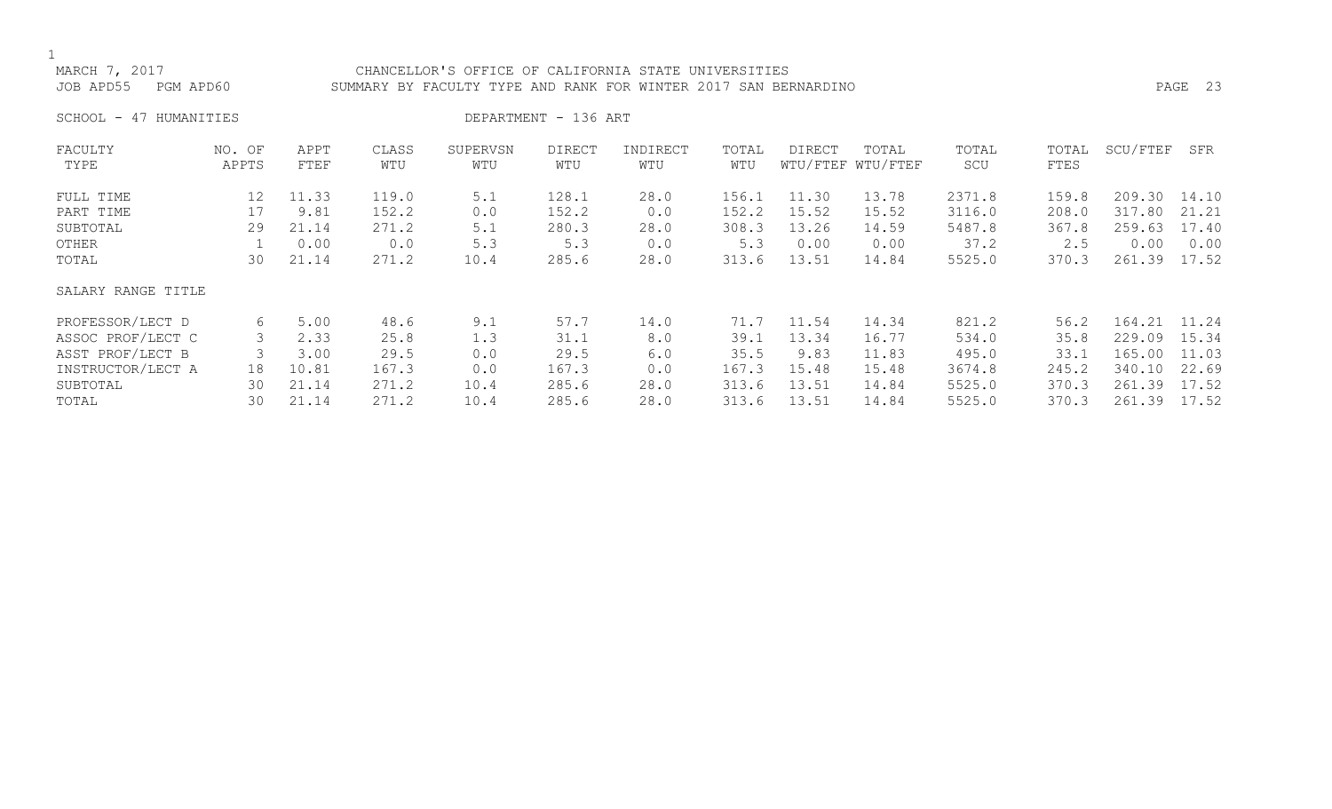# MARCH 7, 2017 CHANCELLOR'S OFFICE OF CALIFORNIA STATE UNIVERSITIES JOB APD55 PGM APD60 SUMMARY BY FACULTY TYPE AND RANK FOR WINTER 2017 SAN BERNARDINO PAGE 23

SCHOOL - 47 HUMANITIES DEPARTMENT - 136 ART

| FACULTY            | NO. OF | APPT  | CLASS | SUPERVSN | <b>DIRECT</b> | INDIRECT | TOTAL | <b>DIRECT</b> | TOTAL             | TOTAL  | TOTAL | SCU/FTEF | SFR   |
|--------------------|--------|-------|-------|----------|---------------|----------|-------|---------------|-------------------|--------|-------|----------|-------|
| TYPE               | APPTS  | FTEF  | WTU   | WTU      | WTU           | WTU      | WTU   |               | WTU/FTEF WTU/FTEF | SCU    | FTES  |          |       |
| FULL TIME          | 12     | 11.33 | 119.0 | 5.1      | 128.1         | 28.0     | 156.1 | 11.30         | 13.78             | 2371.8 | 159.8 | 209.30   | 14.10 |
| PART TIME          | 17     | 9.81  | 152.2 | 0.0      | 152.2         | 0.0      | 152.2 | 15.52         | 15.52             | 3116.0 | 208.0 | 317.80   | 21.21 |
| SUBTOTAL           | 29     | 21.14 | 271.2 | 5.1      | 280.3         | 28.0     | 308.3 | 13.26         | 14.59             | 5487.8 | 367.8 | 259.63   | 17.40 |
| OTHER              |        | 0.00  | 0.0   | 5.3      | 5.3           | 0.0      | 5.3   | 0.00          | 0.00              | 37.2   | 2.5   | 0.00     | 0.00  |
| TOTAL              | 30     | 21.14 | 271.2 | 10.4     | 285.6         | 28.0     | 313.6 | 13.51         | 14.84             | 5525.0 | 370.3 | 261.39   | 17.52 |
| SALARY RANGE TITLE |        |       |       |          |               |          |       |               |                   |        |       |          |       |
| PROFESSOR/LECT D   | 6      | 5.00  | 48.6  | 9.1      | 57.7          | 14.0     | 71.7  | 11.54         | 14.34             | 821.2  | 56.2  | 164.21   | 11.24 |
| ASSOC PROF/LECT C  |        | 2.33  | 25.8  | 1.3      | 31.1          | 8.0      | 39.1  | 13.34         | 16.77             | 534.0  | 35.8  | 229.09   | 15.34 |
| ASST PROF/LECT B   |        | 3.00  | 29.5  | 0.0      | 29.5          | 6.0      | 35.5  | 9.83          | 11.83             | 495.0  | 33.1  | 165.00   | 11.03 |
| INSTRUCTOR/LECT A  | 18     | 10.81 | 167.3 | 0.0      | 167.3         | 0.0      | 167.3 | 15.48         | 15.48             | 3674.8 | 245.2 | 340.10   | 22.69 |
| SUBTOTAL           | 30     | 21.14 | 271.2 | 10.4     | 285.6         | 28.0     | 313.6 | 13.51         | 14.84             | 5525.0 | 370.3 | 261.39   | 17.52 |
| TOTAL              | 30     | 21.14 | 271.2 | 10.4     | 285.6         | 28.0     | 313.6 | 13.51         | 14.84             | 5525.0 | 370.3 | 261.39   | 17.52 |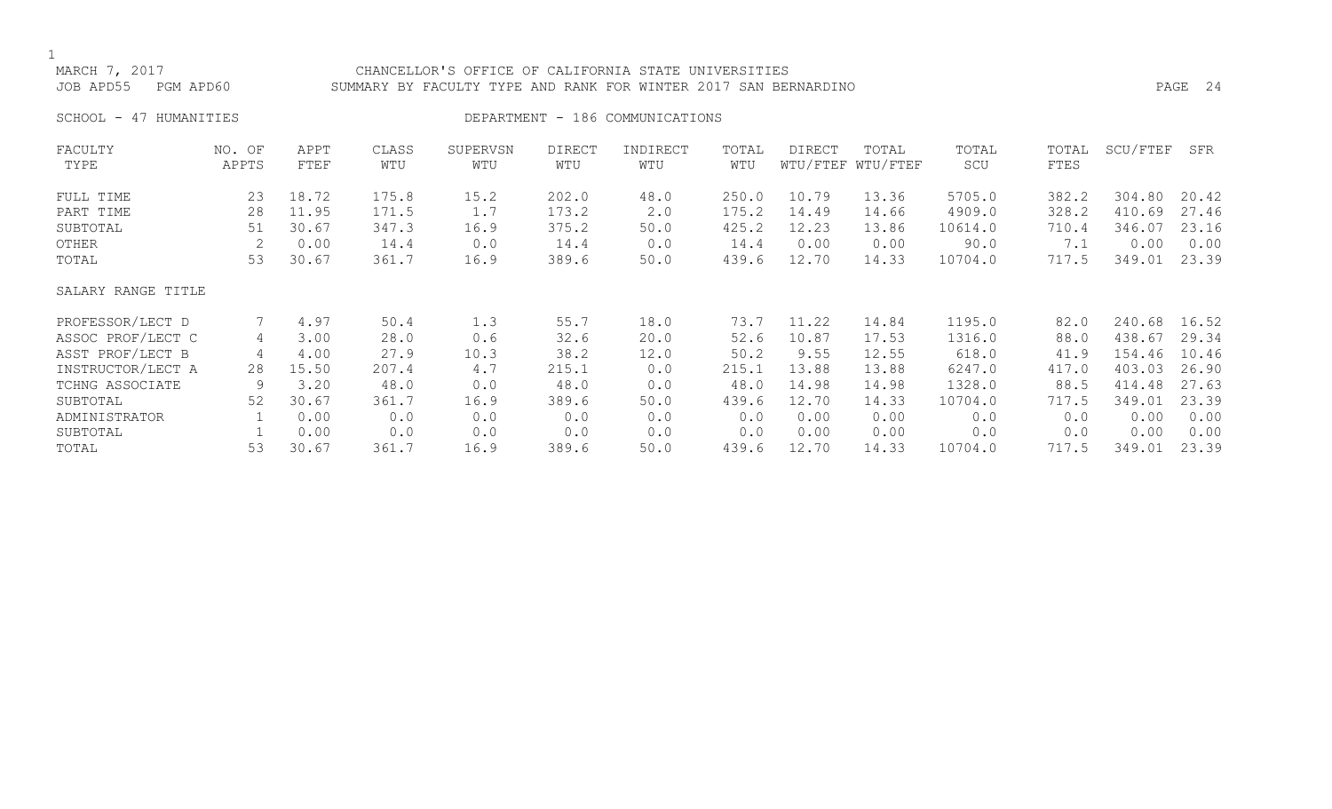# MARCH 7, 2017 CHANCELLOR'S OFFICE OF CALIFORNIA STATE UNIVERSITIES JOB APD55 PGM APD60 SUMMARY BY FACULTY TYPE AND RANK FOR WINTER 2017 SAN BERNARDINO PAGE 24

SCHOOL - 47 HUMANITIES SERVICES DEPARTMENT - 186 COMMUNICATIONS

| FACULTY            | NO. OF | APPT  | CLASS | SUPERVSN | <b>DIRECT</b> | INDIRECT | TOTAL | <b>DIRECT</b> | TOTAL             | TOTAL   | TOTAL | SCU/FTEF | SFR   |
|--------------------|--------|-------|-------|----------|---------------|----------|-------|---------------|-------------------|---------|-------|----------|-------|
| TYPE               | APPTS  | FTEF  | WTU   | WTU      | WTU           | WTU      | WTU   |               | WTU/FTEF WTU/FTEF | SCU     | FTES  |          |       |
| FULL TIME          | 23     | 18.72 | 175.8 | 15.2     | 202.0         | 48.0     | 250.0 | 10.79         | 13.36             | 5705.0  | 382.2 | 304.80   | 20.42 |
| PART TIME          | 28     | 11.95 | 171.5 | 1.7      | 173.2         | 2.0      | 175.2 | 14.49         | 14.66             | 4909.0  | 328.2 | 410.69   | 27.46 |
| SUBTOTAL           | 51     | 30.67 | 347.3 | 16.9     | 375.2         | 50.0     | 425.2 | 12.23         | 13.86             | 10614.0 | 710.4 | 346.07   | 23.16 |
| OTHER              |        | 0.00  | 14.4  | 0.0      | 14.4          | 0.0      | 14.4  | 0.00          | 0.00              | 90.0    | 7.1   | 0.00     | 0.00  |
| TOTAL              | 53     | 30.67 | 361.7 | 16.9     | 389.6         | 50.0     | 439.6 | 12.70         | 14.33             | 10704.0 | 717.5 | 349.01   | 23.39 |
| SALARY RANGE TITLE |        |       |       |          |               |          |       |               |                   |         |       |          |       |
| PROFESSOR/LECT D   |        | 4.97  | 50.4  | 1.3      | 55.7          | 18.0     | 73.7  | 11.22         | 14.84             | 1195.0  | 82.0  | 240.68   | 16.52 |
| ASSOC PROF/LECT C  | 4      | 3.00  | 28.0  | 0.6      | 32.6          | 20.0     | 52.6  | 10.87         | 17.53             | 1316.0  | 88.0  | 438.67   | 29.34 |
| ASST PROF/LECT B   | 4      | 4.00  | 27.9  | 10.3     | 38.2          | 12.0     | 50.2  | 9.55          | 12.55             | 618.0   | 41.9  | 154.46   | 10.46 |
| INSTRUCTOR/LECT A  | 28     | 15.50 | 207.4 | 4.7      | 215.1         | 0.0      | 215.1 | 13.88         | 13.88             | 6247.0  | 417.0 | 403.03   | 26.90 |
| TCHNG ASSOCIATE    | 9      | 3.20  | 48.0  | 0.0      | 48.0          | 0.0      | 48.0  | 14.98         | 14.98             | 1328.0  | 88.5  | 414.48   | 27.63 |
| SUBTOTAL           | 52     | 30.67 | 361.7 | 16.9     | 389.6         | 50.0     | 439.6 | 12.70         | 14.33             | 10704.0 | 717.5 | 349.01   | 23.39 |
| ADMINISTRATOR      |        | 0.00  | 0.0   | 0.0      | 0.0           | 0.0      | 0.0   | 0.00          | 0.00              | 0.0     | 0.0   | 0.00     | 0.00  |
| SUBTOTAL           |        | 0.00  | 0.0   | 0.0      | 0.0           | 0.0      | 0.0   | 0.00          | 0.00              | 0.0     | 0.0   | 0.00     | 0.00  |
| TOTAL              | 53     | 30.67 | 361.7 | 16.9     | 389.6         | 50.0     | 439.6 | 12.70         | 14.33             | 10704.0 | 717.5 | 349.01   | 23.39 |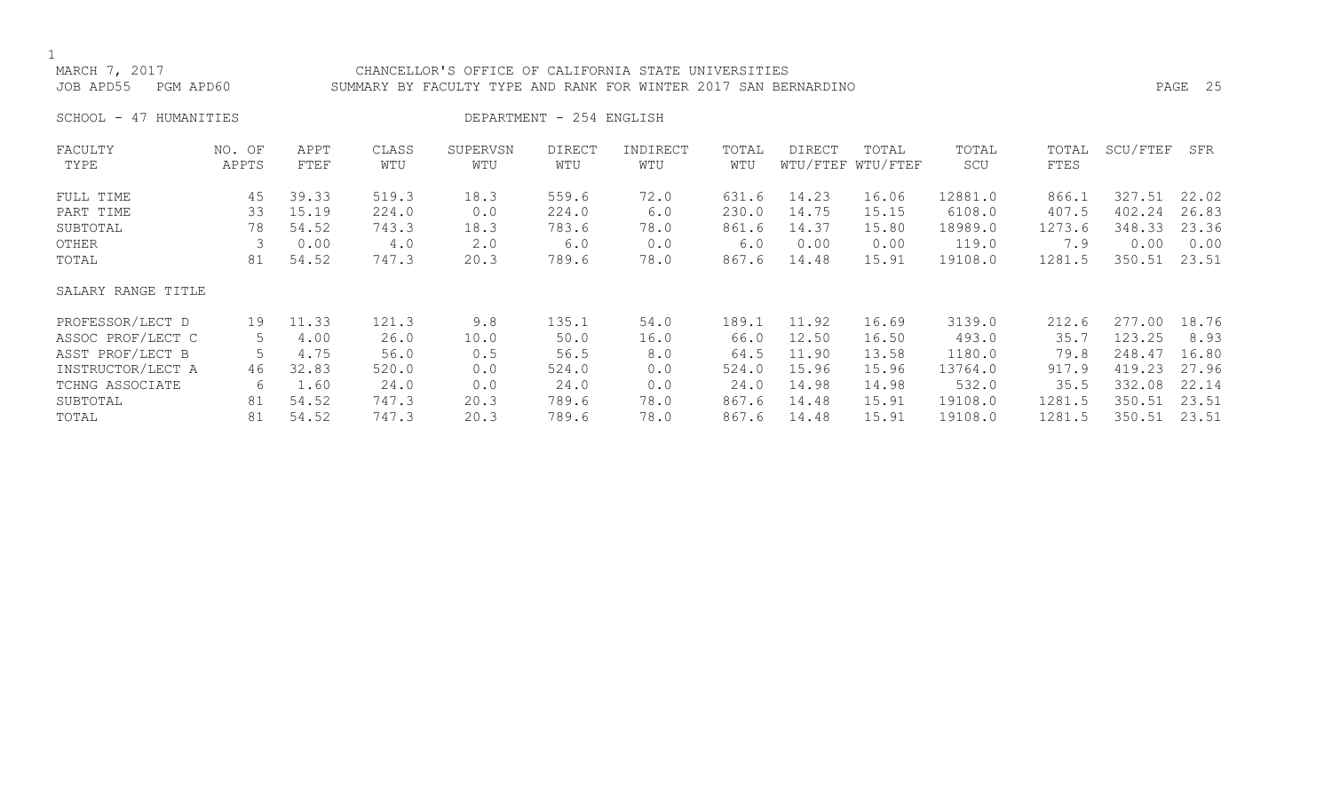# MARCH 7, 2017 CHANCELLOR'S OFFICE OF CALIFORNIA STATE UNIVERSITIES JOB APD55 PGM APD60 SUMMARY BY FACULTY TYPE AND RANK FOR WINTER 2017 SAN BERNARDINO PAGE 25

SCHOOL - 47 HUMANITIES DEPARTMENT - 254 ENGLISH

| FACULTY            | NO. OF | APPT  | CLASS | SUPERVSN | <b>DIRECT</b> | INDIRECT | TOTAL | DIRECT | TOTAL             | TOTAL   | TOTAL  | SCU/FTEF | SFR   |
|--------------------|--------|-------|-------|----------|---------------|----------|-------|--------|-------------------|---------|--------|----------|-------|
| TYPE               | APPTS  | FTEF  | WTU   | WTU      | WTU           | WTU      | WTU   |        | WTU/FTEF WTU/FTEF | SCU     | FTES   |          |       |
| FULL TIME          | 45     | 39.33 | 519.3 | 18.3     | 559.6         | 72.0     | 631.6 | 14.23  | 16.06             | 12881.0 | 866.1  | 327.51   | 22.02 |
| PART TIME          | 33     | 15.19 | 224.0 | 0.0      | 224.0         | 6.0      | 230.0 | 14.75  | 15.15             | 6108.0  | 407.5  | 402.24   | 26.83 |
| SUBTOTAL           | 78     | 54.52 | 743.3 | 18.3     | 783.6         | 78.0     | 861.6 | 14.37  | 15.80             | 18989.0 | 1273.6 | 348.33   | 23.36 |
| OTHER              |        | 0.00  | 4.0   | 2.0      | 6.0           | 0.0      | 6.0   | 0.00   | 0.00              | 119.0   | 7.9    | 0.00     | 0.00  |
| TOTAL              | 81     | 54.52 | 747.3 | 20.3     | 789.6         | 78.0     | 867.6 | 14.48  | 15.91             | 19108.0 | 1281.5 | 350.51   | 23.51 |
| SALARY RANGE TITLE |        |       |       |          |               |          |       |        |                   |         |        |          |       |
| PROFESSOR/LECT D   | 19     | 11.33 | 121.3 | 9.8      | 135.1         | 54.0     | 189.1 | 11.92  | 16.69             | 3139.0  | 212.6  | 277.00   | 18.76 |
| ASSOC PROF/LECT C  | 5      | 4.00  | 26.0  | 10.0     | 50.0          | 16.0     | 66.0  | 12.50  | 16.50             | 493.0   | 35.7   | 123.25   | 8.93  |
| ASST PROF/LECT B   |        | 4.75  | 56.0  | 0.5      | 56.5          | 8.0      | 64.5  | 11.90  | 13.58             | 1180.0  | 79.8   | 248.47   | 16.80 |
| INSTRUCTOR/LECT A  | 46     | 32.83 | 520.0 | 0.0      | 524.0         | 0.0      | 524.0 | 15.96  | 15.96             | 13764.0 | 917.9  | 419.23   | 27.96 |
| TCHNG ASSOCIATE    | 6      | 1.60  | 24.0  | 0.0      | 24.0          | 0.0      | 24.0  | 14.98  | 14.98             | 532.0   | 35.5   | 332.08   | 22.14 |
| SUBTOTAL           | 81     | 54.52 | 747.3 | 20.3     | 789.6         | 78.0     | 867.6 | 14.48  | 15.91             | 19108.0 | 1281.5 | 350.51   | 23.51 |
| TOTAL              | 81     | 54.52 | 747.3 | 20.3     | 789.6         | 78.0     | 867.6 | 14.48  | 15.91             | 19108.0 | 1281.5 | 350.51   | 23.51 |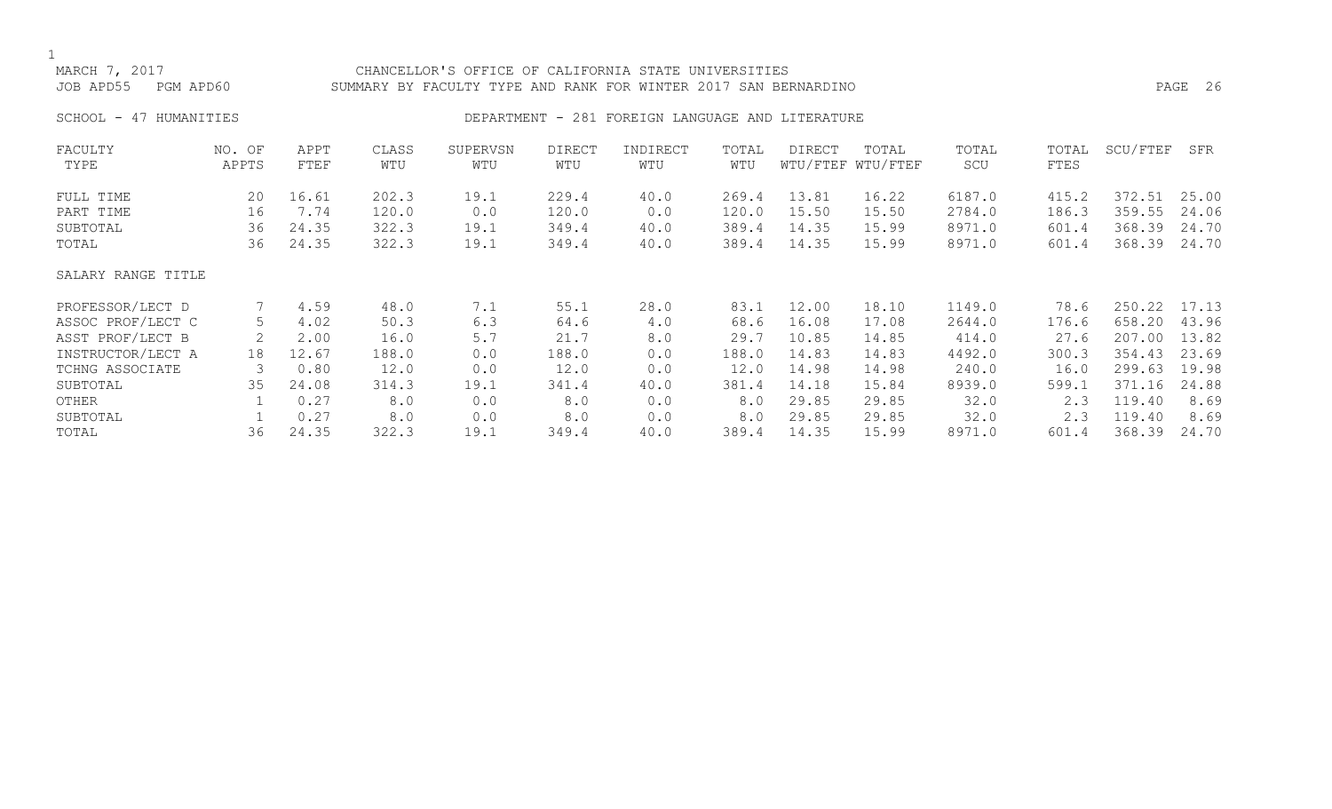| MARCH 7, 2017<br>JOB APD55<br>PGM APD60                                                           |                      |                                       |                                       | CHANCELLOR'S OFFICE OF CALIFORNIA STATE UNIVERSITIES<br>SUMMARY BY FACULTY TYPE AND RANK FOR WINTER 2017 SAN BERNARDINO |                                       |                                                  |                                       |                                           |                                           |                                              |                                        |                                                | PAGE 26                                   |
|---------------------------------------------------------------------------------------------------|----------------------|---------------------------------------|---------------------------------------|-------------------------------------------------------------------------------------------------------------------------|---------------------------------------|--------------------------------------------------|---------------------------------------|-------------------------------------------|-------------------------------------------|----------------------------------------------|----------------------------------------|------------------------------------------------|-------------------------------------------|
| SCHOOL - 47 HUMANITIES                                                                            |                      |                                       |                                       |                                                                                                                         |                                       | DEPARTMENT - 281 FOREIGN LANGUAGE AND LITERATURE |                                       |                                           |                                           |                                              |                                        |                                                |                                           |
| FACULTY<br>TYPE                                                                                   | NO. OF<br>APPTS      | APPT<br>FTEF                          | CLASS<br>WTU                          | SUPERVSN<br>WTU                                                                                                         | <b>DIRECT</b><br>WTU                  | INDIRECT<br>WTU                                  | TOTAL<br>WTU                          | DIRECT                                    | TOTAL<br>WTU/FTEF WTU/FTEF                | TOTAL<br>SCU                                 | TOTAL<br>FTES                          | SCU/FTEF                                       | SFR                                       |
| FULL TIME<br>PART TIME<br>SUBTOTAL<br>TOTAL                                                       | 20<br>16<br>36<br>36 | 16.61<br>7.74<br>24.35<br>24.35       | 202.3<br>120.0<br>322.3<br>322.3      | 19.1<br>0.0<br>19.1<br>19.1                                                                                             | 229.4<br>120.0<br>349.4<br>349.4      | 40.0<br>0.0<br>40.0<br>40.0                      | 269.4<br>120.0<br>389.4<br>389.4      | 13.81<br>15.50<br>14.35<br>14.35          | 16.22<br>15.50<br>15.99<br>15.99          | 6187.0<br>2784.0<br>8971.0<br>8971.0         | 415.2<br>186.3<br>601.4<br>601.4       | 372.51<br>359.55<br>368.39<br>368.39           | 25.00<br>24.06<br>24.70<br>24.70          |
| SALARY RANGE TITLE                                                                                |                      |                                       |                                       |                                                                                                                         |                                       |                                                  |                                       |                                           |                                           |                                              |                                        |                                                |                                           |
| PROFESSOR/LECT D<br>ASSOC PROF/LECT C<br>ASST PROF/LECT B<br>INSTRUCTOR/LECT A<br>TCHNG ASSOCIATE | 5<br>18<br>3         | 4.59<br>4.02<br>2.00<br>12.67<br>0.80 | 48.0<br>50.3<br>16.0<br>188.0<br>12.0 | 7.1<br>6.3<br>5.7<br>0.0<br>0.0                                                                                         | 55.1<br>64.6<br>21.7<br>188.0<br>12.0 | 28.0<br>4.0<br>8.0<br>0.0<br>0.0                 | 83.1<br>68.6<br>29.7<br>188.0<br>12.0 | 12.00<br>16.08<br>10.85<br>14.83<br>14.98 | 18.10<br>17.08<br>14.85<br>14.83<br>14.98 | 1149.0<br>2644.0<br>414.0<br>4492.0<br>240.0 | 78.6<br>176.6<br>27.6<br>300.3<br>16.0 | 250.22<br>658.20<br>207.00<br>354.43<br>299.63 | 17.13<br>43.96<br>13.82<br>23.69<br>19.98 |
| SUBTOTAL<br>OTHER<br>SUBTOTAL                                                                     | 35<br>36             | 24.08<br>0.27<br>0.27                 | 314.3<br>8.0<br>8.0                   | 19.1<br>0.0<br>0.0                                                                                                      | 341.4<br>8.0<br>8.0                   | 40.0<br>0.0<br>0.0                               | 381.4<br>8.0<br>8.0<br>389.4          | 14.18<br>29.85<br>29.85<br>14.35          | 15.84<br>29.85<br>29.85                   | 8939.0<br>32.0<br>32.0                       | 599.1<br>2.3<br>2.3                    | 371.16<br>119.40<br>119.40                     | 24.88<br>8.69<br>8.69<br>24.70            |
| TOTAL                                                                                             |                      | 24.35                                 | 322.3                                 | 19.1                                                                                                                    | 349.4                                 | 40.0                                             |                                       |                                           | 15.99                                     | 8971.0                                       | 601.4                                  | 368.39                                         |                                           |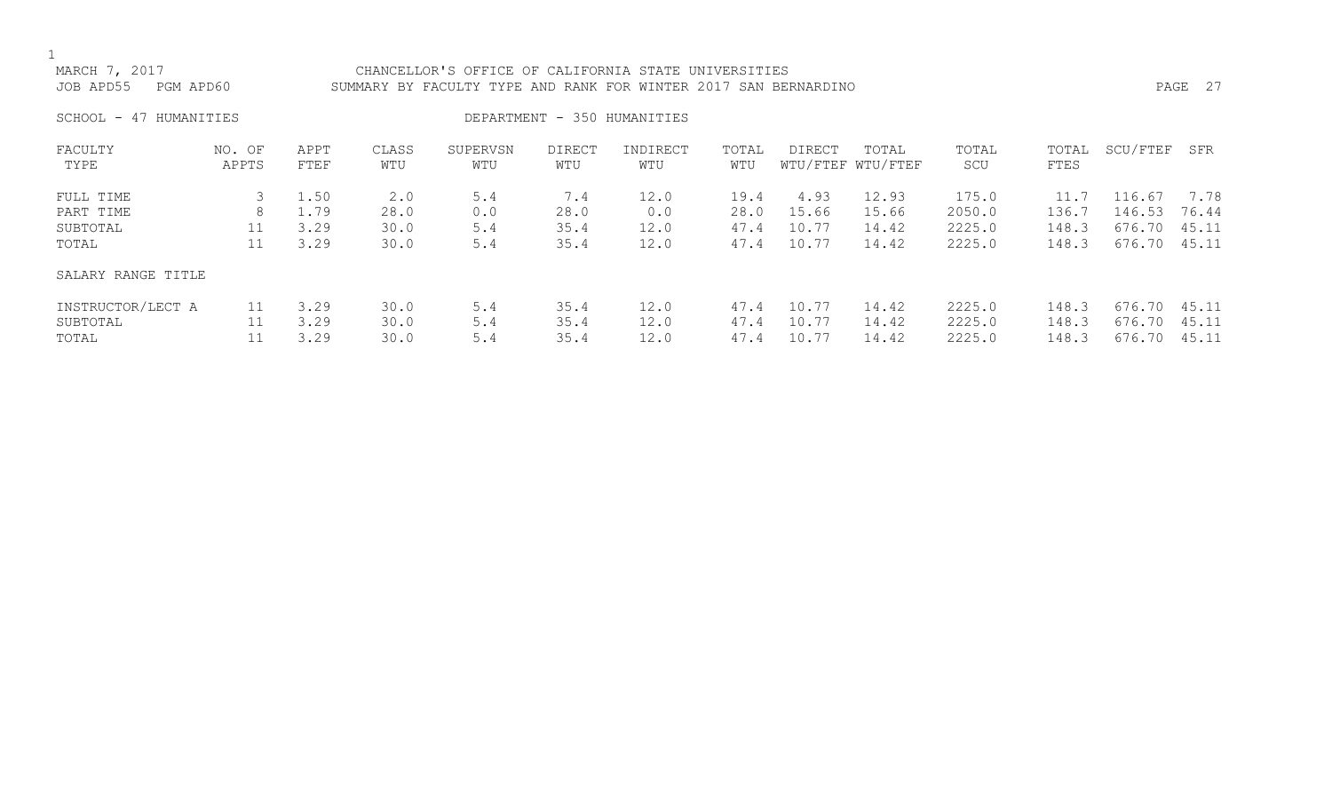# MARCH 7, 2017 CHANCELLOR'S OFFICE OF CALIFORNIA STATE UNIVERSITIES JOB APD55 PGM APD60 SUMMARY BY FACULTY TYPE AND RANK FOR WINTER 2017 SAN BERNARDINO PAGE 27

SCHOOL - 47 HUMANITIES DEPARTMENT - 350 HUMANITIES

| FACULTY            | NO. OF | APPT | CLASS | SUPERVSN | <b>DIRECT</b> | INDIRECT | TOTAL | DIRECT | TOTAL             | TOTAL  | TOTAL | SCU/FTEF | SFR   |
|--------------------|--------|------|-------|----------|---------------|----------|-------|--------|-------------------|--------|-------|----------|-------|
| TYPE               | APPTS  | FTEF | WTU   | WTU      | WTU           | WTU      | WTU   |        | WTU/FTEF WTU/FTEF | SCU    | FTES  |          |       |
| FULL TIME          |        | 1.50 |       | 5.4      | 7.4           | 12.0     | 19.4  | 4.93   | 12.93             | 175.0  | 11.7  | 116.67   | 7.78  |
|                    |        |      | 2.0   |          |               |          |       |        |                   |        |       |          |       |
| PART TIME          | 8      | 1.79 | 28.0  | 0.0      | 28.0          | 0.0      | 28.0  | 15.66  | 15.66             | 2050.0 | 136.7 | 146.53   | 76.44 |
| SUBTOTAL           | 11     | 3.29 | 30.0  | 5.4      | 35.4          | 12.0     | 47.4  | 10.77  | 14.42             | 2225.0 | 148.3 | 676.70   | 45.11 |
| TOTAL              | 11     | 3.29 | 30.0  | 5.4      | 35.4          | 12.0     | 47.4  | 10.77  | 14.42             | 2225.0 | 148.3 | 676.70   | 45.11 |
| SALARY RANGE TITLE |        |      |       |          |               |          |       |        |                   |        |       |          |       |
| INSTRUCTOR/LECT A  | 11     | 3.29 | 30.0  | 5.4      | 35.4          | 12.0     | 47.4  | 10.77  | 14.42             | 2225.0 | 148.3 | 676.70   | 45.11 |
| SUBTOTAL           |        | 3.29 | 30.0  | 5.4      | 35.4          | 12.0     | 47.4  | 10.77  | 14.42             | 2225.0 | 148.3 | 676.70   | 45.11 |
| TOTAL              |        | 3.29 | 30.0  | 5.4      | 35.4          | 12.0     | 47.4  | 10.77  | 14.42             | 2225.0 | 148.3 | 676.70   | 45.11 |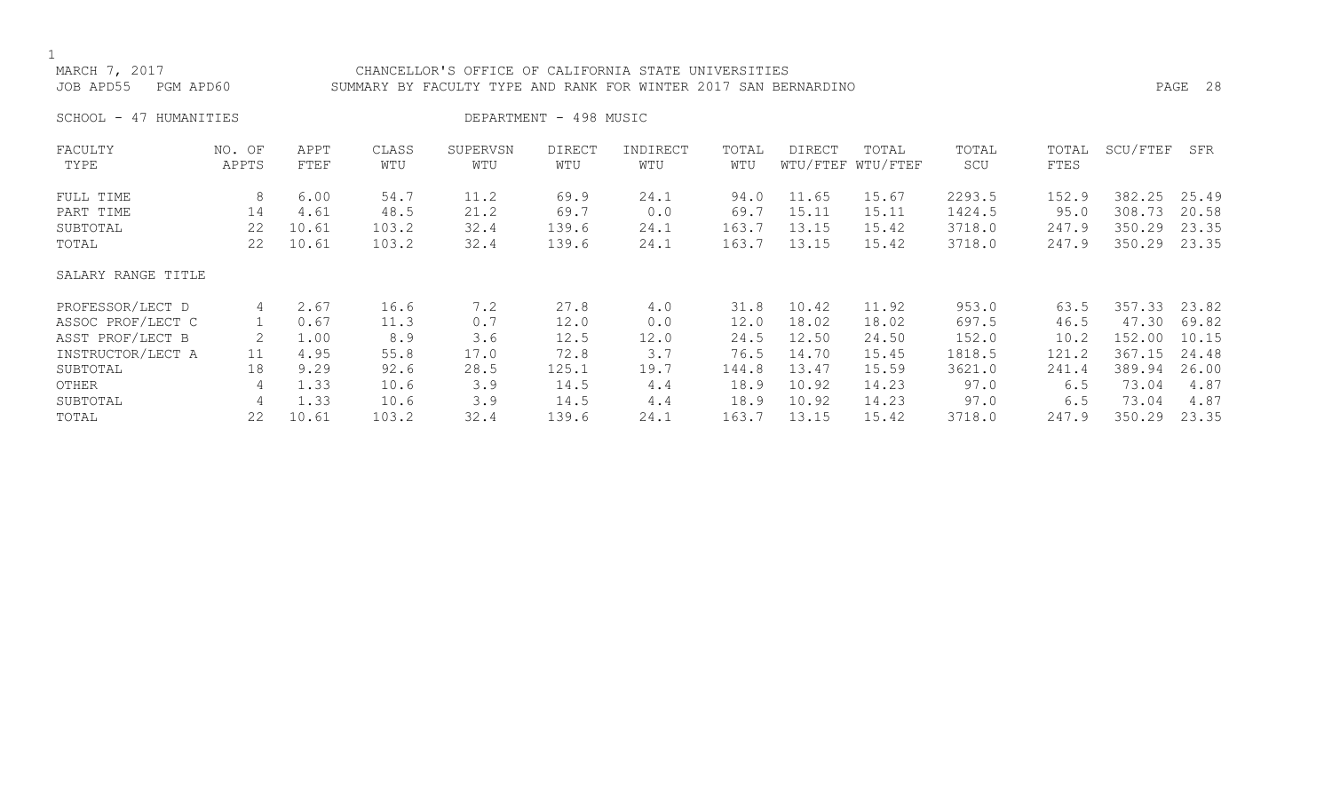# MARCH 7, 2017 CHANCELLOR'S OFFICE OF CALIFORNIA STATE UNIVERSITIES JOB APD55 PGM APD60 SUMMARY BY FACULTY TYPE AND RANK FOR WINTER 2017 SAN BERNARDINO PAGE 28

SCHOOL - 47 HUMANITIES DEPARTMENT - 498 MUSIC

| FACULTY            | NO. OF | APPT  | CLASS | SUPERVSN | <b>DIRECT</b> | INDIRECT | TOTAL | <b>DIRECT</b> | TOTAL             | TOTAL  | TOTAL | SCU/FTEF | SFR   |
|--------------------|--------|-------|-------|----------|---------------|----------|-------|---------------|-------------------|--------|-------|----------|-------|
| TYPE               | APPTS  | FTEF  | WTU   | WTU      | WTU           | WTU      | WTU   |               | WTU/FTEF WTU/FTEF | SCU    | FTES  |          |       |
| FULL TIME          | 8      | 6.00  | 54.7  | 11.2     | 69.9          | 24.1     | 94.0  | 11.65         | 15.67             | 2293.5 | 152.9 | 382.25   | 25.49 |
| PART TIME          | 14     | 4.61  | 48.5  | 21.2     | 69.7          | 0.0      | 69.7  | 15.11         | 15.11             | 1424.5 | 95.0  | 308.73   | 20.58 |
| SUBTOTAL           | 22     | 10.61 | 103.2 | 32.4     | 139.6         | 24.1     | 163.7 | 13.15         | 15.42             | 3718.0 | 247.9 | 350.29   | 23.35 |
| TOTAL              | 22     | 10.61 | 103.2 | 32.4     | 139.6         | 24.1     | 163.7 | 13.15         | 15.42             | 3718.0 | 247.9 | 350.29   | 23.35 |
| SALARY RANGE TITLE |        |       |       |          |               |          |       |               |                   |        |       |          |       |
| PROFESSOR/LECT D   | 4      | 2.67  | 16.6  | 7.2      | 27.8          | 4.0      | 31.8  | 10.42         | 11.92             | 953.0  | 63.5  | 357.33   | 23.82 |
| ASSOC PROF/LECT C  |        | 0.67  | 11.3  | 0.7      | 12.0          | 0.0      | 12.0  | 18.02         | 18.02             | 697.5  | 46.5  | 47.30    | 69.82 |
| ASST PROF/LECT B   |        | 1.00  | 8.9   | 3.6      | 12.5          | 12.0     | 24.5  | 12.50         | 24.50             | 152.0  | 10.2  | 152.00   | 10.15 |
| INSTRUCTOR/LECT A  | 11     | 4.95  | 55.8  | 17.0     | 72.8          | 3.7      | 76.5  | 14.70         | 15.45             | 1818.5 | 121.2 | 367.15   | 24.48 |
| SUBTOTAL           | 18     | 9.29  | 92.6  | 28.5     | 125.1         | 19.7     | 144.8 | 13.47         | 15.59             | 3621.0 | 241.4 | 389.94   | 26.00 |
| OTHER              | 4      | 1.33  | 10.6  | 3.9      | 14.5          | 4.4      | 18.9  | 10.92         | 14.23             | 97.0   | 6.5   | 73.04    | 4.87  |
| SUBTOTAL           | 4      | 1.33  | 10.6  | 3.9      | 14.5          | 4.4      | 18.9  | 10.92         | 14.23             | 97.0   | 6.5   | 73.04    | 4.87  |
| TOTAL              | 22     | 10.61 | 103.2 | 32.4     | 139.6         | 24.1     | 163.7 | 13.15         | 15.42             | 3718.0 | 247.9 | 350.29   | 23.35 |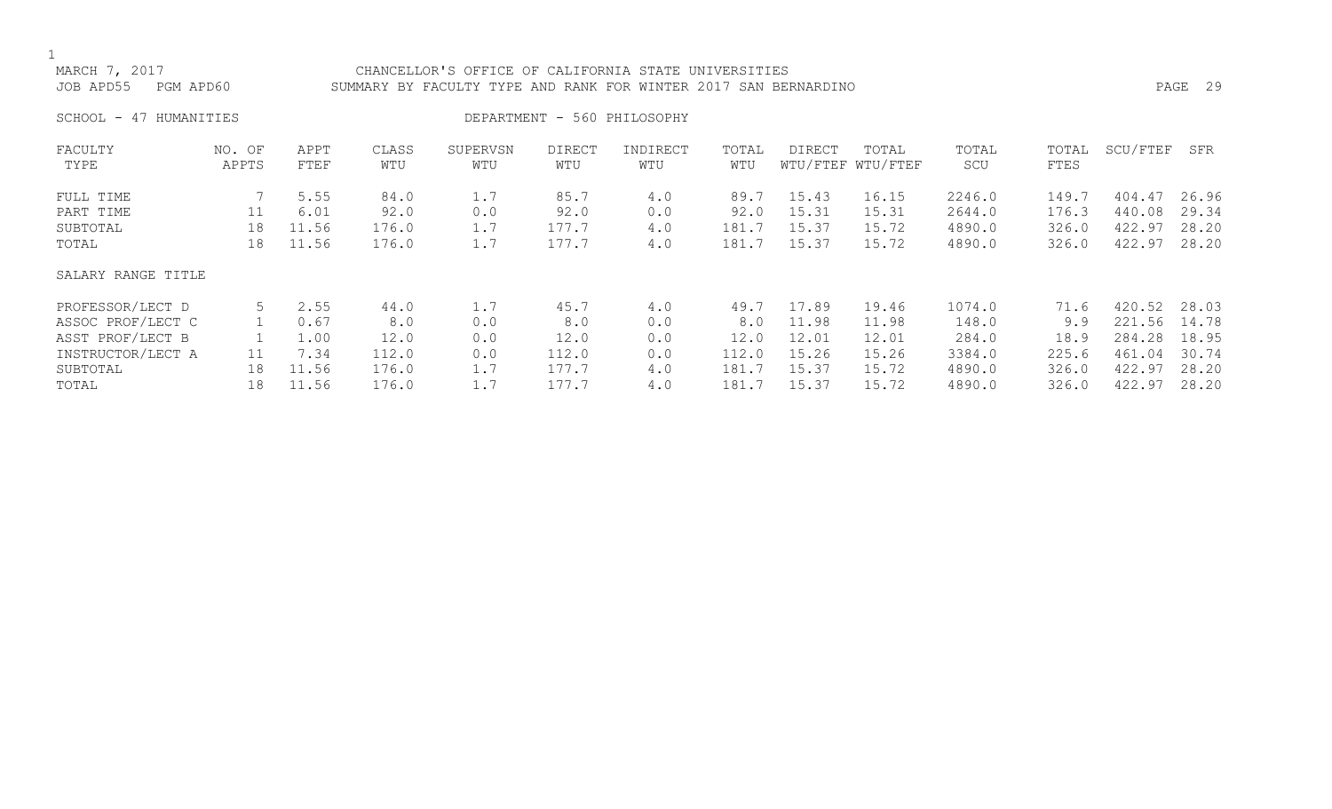## MARCH 7, 2017 CHANCELLOR'S OFFICE OF CALIFORNIA STATE UNIVERSITIES JOB APD55 PGM APD60 SUMMARY BY FACULTY TYPE AND RANK FOR WINTER 2017 SAN BERNARDINO PAGE 29

SCHOOL - 47 HUMANITIES DEPARTMENT - 560 PHILOSOPHY

| FACULTY            | NO. OF | APPT  | CLASS | SUPERVSN | DIRECT | INDIRECT | TOTAL | DIRECT | TOTAL             | TOTAL  | TOTAL | SCU/FTEF | SFR   |
|--------------------|--------|-------|-------|----------|--------|----------|-------|--------|-------------------|--------|-------|----------|-------|
| TYPE               | APPTS  | FTEF  | WTU   | WTU      | WTU    | WTU      | WTU   |        | WTU/FTEF WTU/FTEF | SCU    | FTES  |          |       |
| FULL TIME          |        | 5.55  | 84.0  | 1.7      | 85.7   | 4.0      | 89.7  | 15.43  | 16.15             | 2246.0 | 149.7 | 404.47   | 26.96 |
| PART TIME          | 11     | 6.01  | 92.0  | 0.0      | 92.0   | 0.0      | 92.0  | 15.31  | 15.31             | 2644.0 | 176.3 | 440.08   | 29.34 |
| SUBTOTAL           | 18     | 11.56 | 176.0 | 1.7      | 177.7  | 4.0      | 181.7 | 15.37  | 15.72             | 4890.0 | 326.0 | 422.97   | 28.20 |
| TOTAL              | 18     | 11.56 | 176.0 | 1.7      | 177.7  | 4.0      | 181.7 | 15.37  | 15.72             | 4890.0 | 326.0 | 422.97   | 28.20 |
| SALARY RANGE TITLE |        |       |       |          |        |          |       |        |                   |        |       |          |       |
| PROFESSOR/LECT D   | 5      | 2.55  | 44.0  | 1.7      | 45.7   | 4.0      | 49.7  | 17.89  | 19.46             | 1074.0 | 71.6  | 420.52   | 28.03 |
| ASSOC PROF/LECT C  |        | 0.67  | 8.0   | 0.0      | 8.0    | 0.0      | 8.0   | 11.98  | 11.98             | 148.0  | 9.9   | 221.56   | 14.78 |
| ASST PROF/LECT B   |        | 1.00  | 12.0  | 0.0      | 12.0   | 0.0      | 12.0  | 12.01  | 12.01             | 284.0  | 18.9  | 284.28   | 18.95 |
| INSTRUCTOR/LECT A  | 11     | 7.34  | 112.0 | 0.0      | 112.0  | 0.0      | 112.0 | 15.26  | 15.26             | 3384.0 | 225.6 | 461.04   | 30.74 |
| SUBTOTAL           | 18     | 11.56 | 176.0 | 1.7      | 177.7  | 4.0      | 181.7 | 15.37  | 15.72             | 4890.0 | 326.0 | 422.97   | 28.20 |
| TOTAL              | 18     | 11.56 | 176.0 | 1.7      | 177.7  | 4.0      | 181.7 | 15.37  | 15.72             | 4890.0 | 326.0 | 422.97   | 28.20 |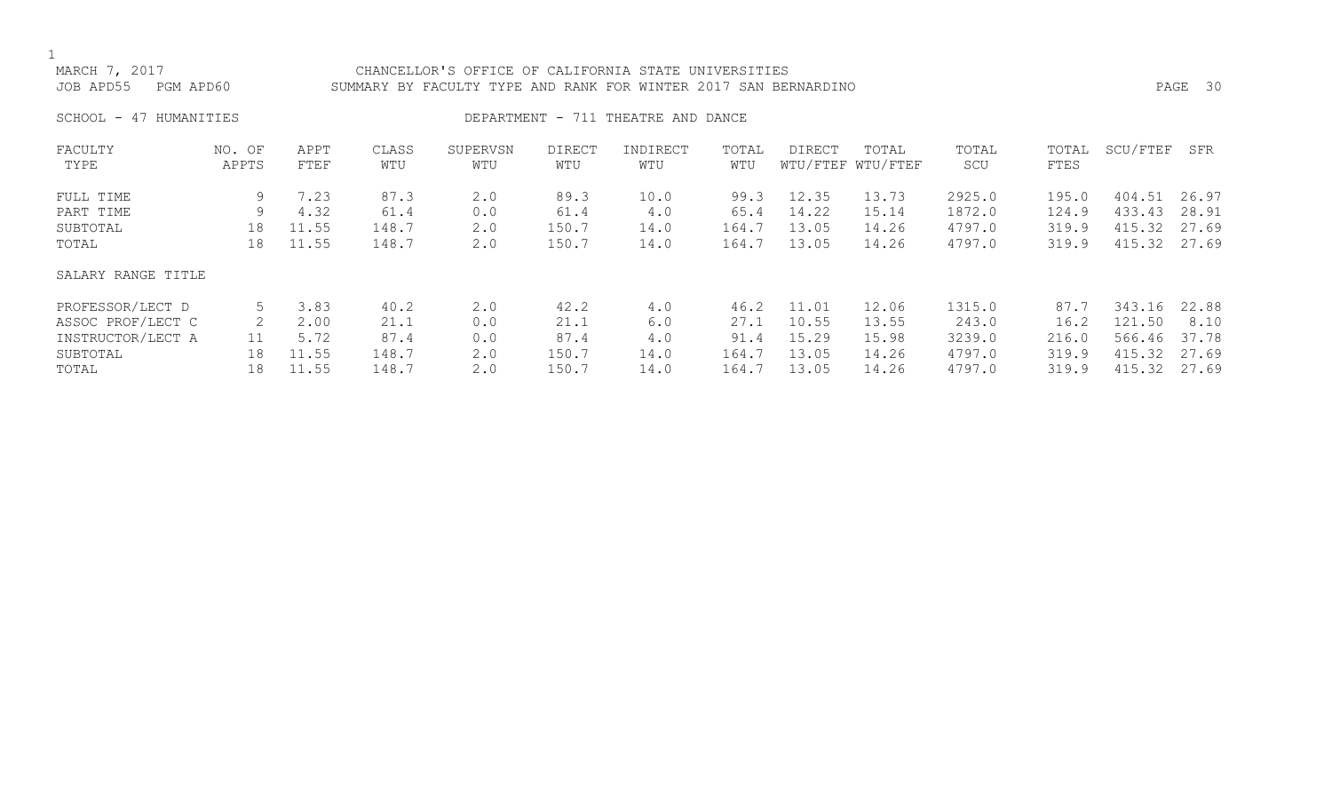| MARCH 7, 2017<br>JOB APD55    PGM APD60 | CHANCELLOR'S OFFICE OF CALIFORNIA STATE UNIVERSITIES<br>SUMMARY BY FACULTY TYPE AND RANK FOR WINTER 2017 SAN BERNARDINO | PAGE 30 |
|-----------------------------------------|-------------------------------------------------------------------------------------------------------------------------|---------|
| SCHOOL - 47 HUMANITIES                  | DEPARTMENT - 711 THEATRE AND DANCE                                                                                      |         |

| FACULTY<br>TYPE    | NO. OF<br>APPTS | APPT<br>FTEF | CLASS<br>WTU | SUPERVSN<br>WTU | DIRECT<br>WTU | INDIRECT<br>WTU | TOTAL<br>WTU | <b>DIRECT</b> | TOTAL<br>WTU/FTEF WTU/FTEF | TOTAL<br>SCU | TOTAL<br>FTES | SCU/FTEF | SFR   |
|--------------------|-----------------|--------------|--------------|-----------------|---------------|-----------------|--------------|---------------|----------------------------|--------------|---------------|----------|-------|
|                    |                 |              |              |                 |               |                 |              |               |                            |              |               |          |       |
| FULL TIME          | 9               | 7.23         | 87.3         | 2.0             | 89.3          | 10.0            | 99.3         | 12.35         | 13.73                      | 2925.0       | 195.0         | 404.51   | 26.97 |
| PART TIME          | 9               | 4.32         | 61.4         | 0.0             | 61.4          | 4.0             | 65.4         | 14.22         | 15.14                      | 1872.0       | 124.9         | 433.43   | 28.91 |
| SUBTOTAL           | 18              | 11.55        | 148.7        | 2.0             | 150.7         | 14.0            | 164.7        | 13.05         | 14.26                      | 4797.0       | 319.9         | 415.32   | 27.69 |
| TOTAL              | 18              | 11.55        | 148.7        | 2.0             | 150.7         | 14.0            | 164.7        | 13.05         | 14.26                      | 4797.0       | 319.9         | 415.32   | 27.69 |
| SALARY RANGE TITLE |                 |              |              |                 |               |                 |              |               |                            |              |               |          |       |
| PROFESSOR/LECT D   |                 | 3.83         | 40.2         | 2.0             | 42.2          | 4.0             | 46.2         | 11.01         | 12.06                      | 1315.0       | 87.7          | 343.16   | 22.88 |
| ASSOC PROF/LECT C  | 2               | 2.00         | 21.1         | 0.0             | 21.1          | 6.0             | 27.1         | 10.55         | 13.55                      | 243.0        | 16.2          | 121.50   | 8.10  |
| INSTRUCTOR/LECT A  | 11              | 5.72         | 87.4         | 0.0             | 87.4          | 4.0             | 91.4         | 15.29         | 15.98                      | 3239.0       | 216.0         | 566.46   | 37.78 |
| SUBTOTAL           | 18              | 11.55        | 148.7        | 2.0             | 150.7         | 14.0            | 164.7        | 13.05         | 14.26                      | 4797.0       | 319.9         | 415.32   | 27.69 |
| TOTAL              | 18              | 11.55        | 148.7        | 2.0             | 150.7         | 14.0            | 164.7        | 13.05         | 14.26                      | 4797.0       | 319.9         | 415.32   | 27.69 |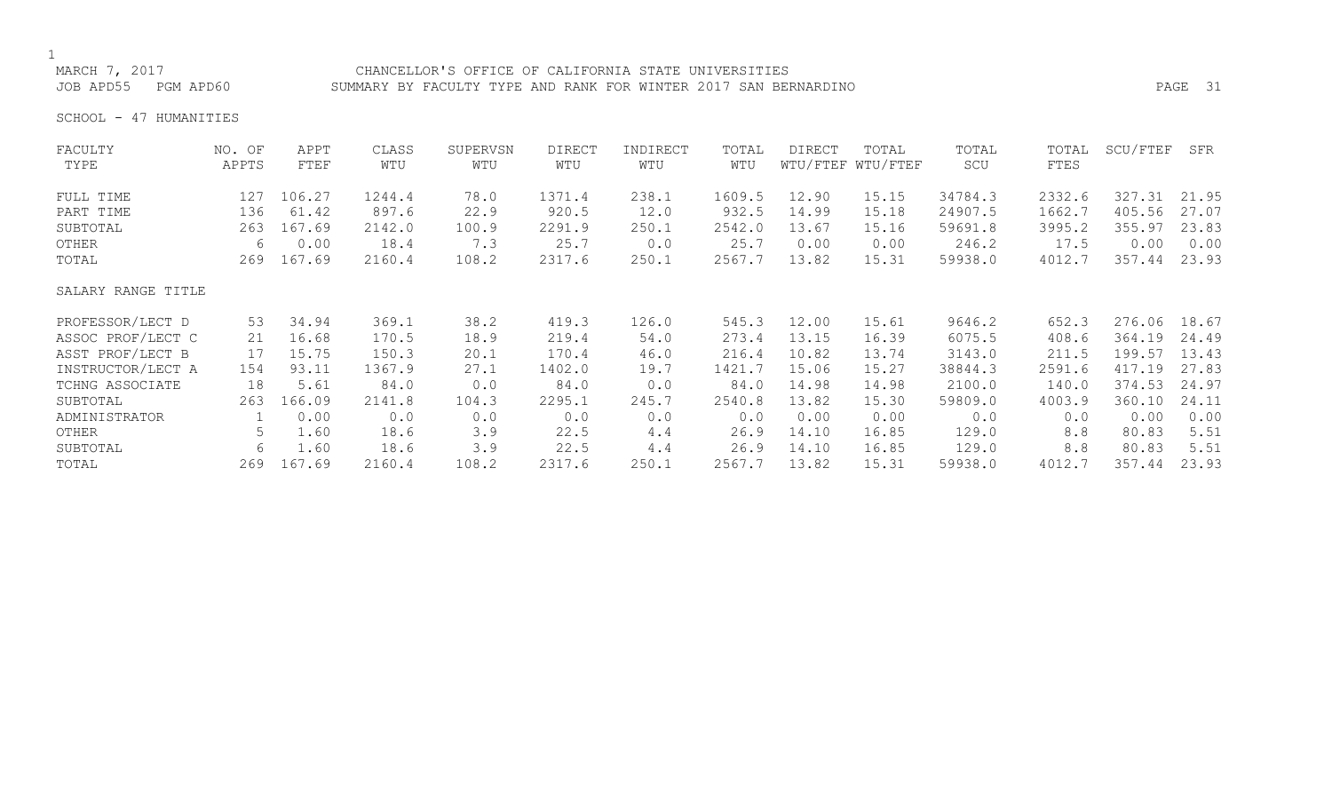# 1<br>MARCH 7, 2017

## CHANCELLOR'S OFFICE OF CALIFORNIA STATE UNIVERSITIES JOB APD55 PGM APD60 SUMMARY BY FACULTY TYPE AND RANK FOR WINTER 2017 SAN BERNARDINO PAGE 31

SCHOOL - 47 HUMANITIES

| FACULTY            | NO. OF | APPT   | CLASS  | SUPERVSN | <b>DIRECT</b> | INDIRECT | TOTAL  | <b>DIRECT</b> | TOTAL             | TOTAL   | TOTAL  | SCU/FTEF | SFR   |
|--------------------|--------|--------|--------|----------|---------------|----------|--------|---------------|-------------------|---------|--------|----------|-------|
| TYPE               | APPTS  | FTEF   | WTU    | WTU      | WTU           | WTU      | WTU    |               | WTU/FTEF WTU/FTEF | SCU     | FTES   |          |       |
| FULL TIME          | 127    | 106.27 | 1244.4 | 78.0     | 1371.4        | 238.1    | 1609.5 | 12.90         | 15.15             | 34784.3 | 2332.6 | 327.31   | 21.95 |
| PART TIME          | 136    | 61.42  | 897.6  | 22.9     | 920.5         | 12.0     | 932.5  | 14.99         | 15.18             | 24907.5 | 1662.7 | 405.56   | 27.07 |
| SUBTOTAL           | 263    | 167.69 | 2142.0 | 100.9    | 2291.9        | 250.1    | 2542.0 | 13.67         | 15.16             | 59691.8 | 3995.2 | 355.97   | 23.83 |
| OTHER              | 6      | 0.00   | 18.4   | 7.3      | 25.7          | 0.0      | 25.7   | 0.00          | 0.00              | 246.2   | 17.5   | 0.00     | 0.00  |
| TOTAL              | 269    | 167.69 | 2160.4 | 108.2    | 2317.6        | 250.1    | 2567.7 | 13.82         | 15.31             | 59938.0 | 4012.7 | 357.44   | 23.93 |
| SALARY RANGE TITLE |        |        |        |          |               |          |        |               |                   |         |        |          |       |
| PROFESSOR/LECT D   | 53     | 34.94  | 369.1  | 38.2     | 419.3         | 126.0    | 545.3  | 12.00         | 15.61             | 9646.2  | 652.3  | 276.06   | 18.67 |
| ASSOC PROF/LECT C  | 21     | 16.68  | 170.5  | 18.9     | 219.4         | 54.0     | 273.4  | 13.15         | 16.39             | 6075.5  | 408.6  | 364.19   | 24.49 |
| ASST PROF/LECT B   | 17     | 15.75  | 150.3  | 20.1     | 170.4         | 46.0     | 216.4  | 10.82         | 13.74             | 3143.0  | 211.5  | 199.57   | 13.43 |
| INSTRUCTOR/LECT A  | 154    | 93.11  | 1367.9 | 27.1     | 1402.0        | 19.7     | 1421.7 | 15.06         | 15.27             | 38844.3 | 2591.6 | 417.19   | 27.83 |
| TCHNG ASSOCIATE    | 18     | 5.61   | 84.0   | 0.0      | 84.0          | 0.0      | 84.0   | 14.98         | 14.98             | 2100.0  | 140.0  | 374.53   | 24.97 |
| SUBTOTAL           | 263    | 166.09 | 2141.8 | 104.3    | 2295.1        | 245.7    | 2540.8 | 13.82         | 15.30             | 59809.0 | 4003.9 | 360.10   | 24.11 |
| ADMINISTRATOR      |        | 0.00   | 0.0    | 0.0      | 0.0           | 0.0      | 0.0    | 0.00          | 0.00              | 0.0     | 0.0    | 0.00     | 0.00  |
| OTHER              | 5.     | 1.60   | 18.6   | 3.9      | 22.5          | 4.4      | 26.9   | 14.10         | 16.85             | 129.0   | 8.8    | 80.83    | 5.51  |
| SUBTOTAL           | 6      | 1.60   | 18.6   | 3.9      | 22.5          | 4.4      | 26.9   | 14.10         | 16.85             | 129.0   | 8.8    | 80.83    | 5.51  |
| TOTAL              | 269    | 167.69 | 2160.4 | 108.2    | 2317.6        | 250.1    | 2567.7 | 13.82         | 15.31             | 59938.0 | 4012.7 | 357.44   | 23.93 |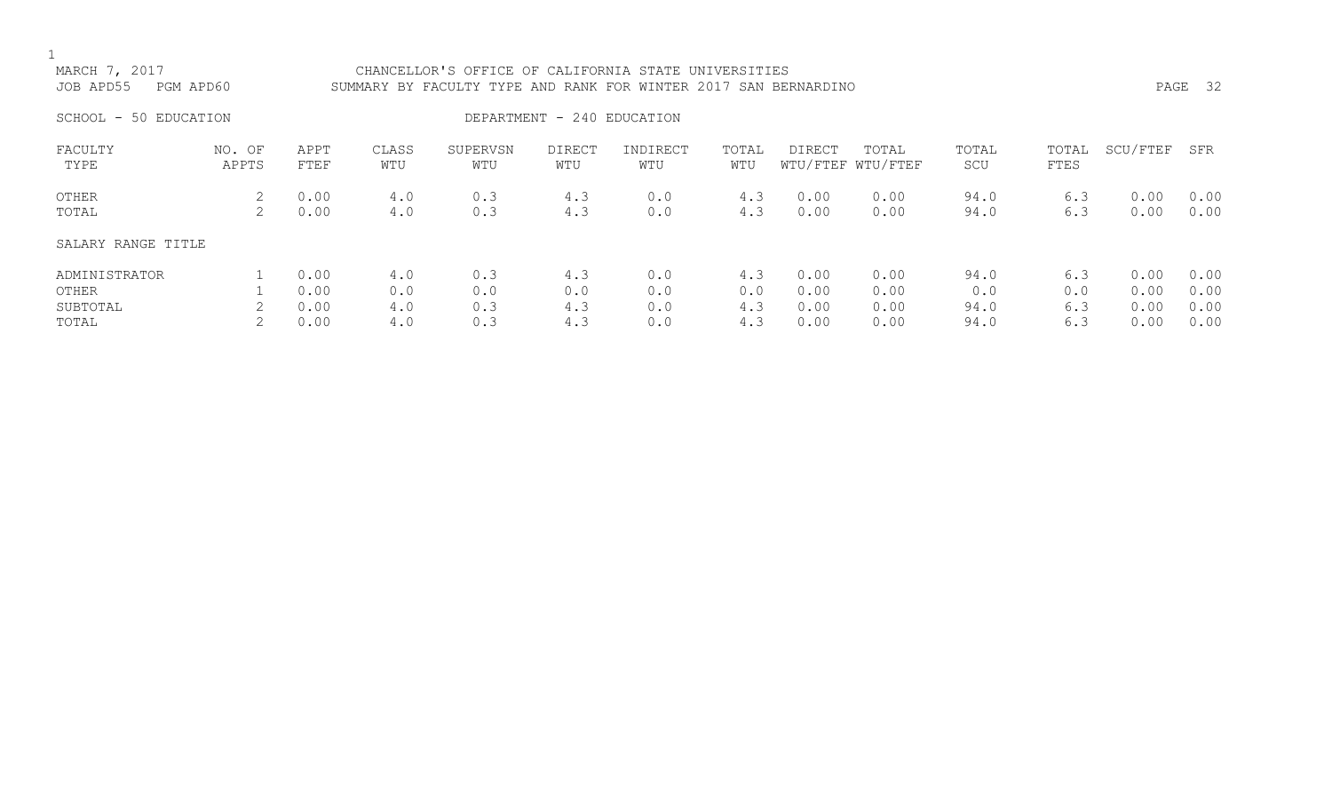# MARCH 7, 2017 CHANCELLOR'S OFFICE OF CALIFORNIA STATE UNIVERSITIES JOB APD55 PGM APD60 SUMMARY BY FACULTY TYPE AND RANK FOR WINTER 2017 SAN BERNARDINO PAGE 32 SCHOOL - 50 EDUCATION  $\overline{D}$

| FACULTY<br>TYPE    | OF<br>NO.<br>APPTS | APPT<br>FTEF | CLASS<br>WTU | SUPERVSN<br>WTU | <b>DIRECT</b><br>WTU | INDIRECT<br>WTU | TOTAL<br>WTU | DIRECT | TOTAL<br>WTU/FTEF WTU/FTEF | TOTAL<br>SCU | TOTAL<br>FTES | SCU/FTEF | SFR  |
|--------------------|--------------------|--------------|--------------|-----------------|----------------------|-----------------|--------------|--------|----------------------------|--------------|---------------|----------|------|
| OTHER              | 2                  | 0.00         | 4.0          | 0.3             | 4.3                  | 0.0             | 4.3          | 0.00   | 0.00                       | 94.0         | 6.3           | 0.00     | 0.00 |
| TOTAL              | 2.                 | 0.00         | 4.0          | 0.3             | 4.3                  | 0.0             | 4.3          | 0.00   | 0.00                       | 94.0         | 6.3           | 0.00     | 0.00 |
| SALARY RANGE TITLE |                    |              |              |                 |                      |                 |              |        |                            |              |               |          |      |
| ADMINISTRATOR      |                    | 0.00         | 4.0          | 0.3             | 4.3                  | 0.0             | 4.3          | 0.00   | 0.00                       | 94.0         | 6.3           | 0.00     | 0.00 |
| OTHER              |                    | 0.00         | 0.0          | 0.0             | 0.0                  | 0.0             | 0.0          | 0.00   | 0.00                       | 0.0          | 0.0           | 0.00     | 0.00 |
| SUBTOTAL           |                    | 0.00         | 4.0          | 0.3             | 4.3                  | 0.0             | 4.3          | 0.00   | 0.00                       | 94.0         | 6.3           | 0.00     | 0.00 |
| TOTAL              |                    | 0.00         | 4.0          | 0.3             | 4.3                  | 0.0             | 4.3          | 0.00   | 0.00                       | 94.0         | 6.3           | 0.00     | 0.00 |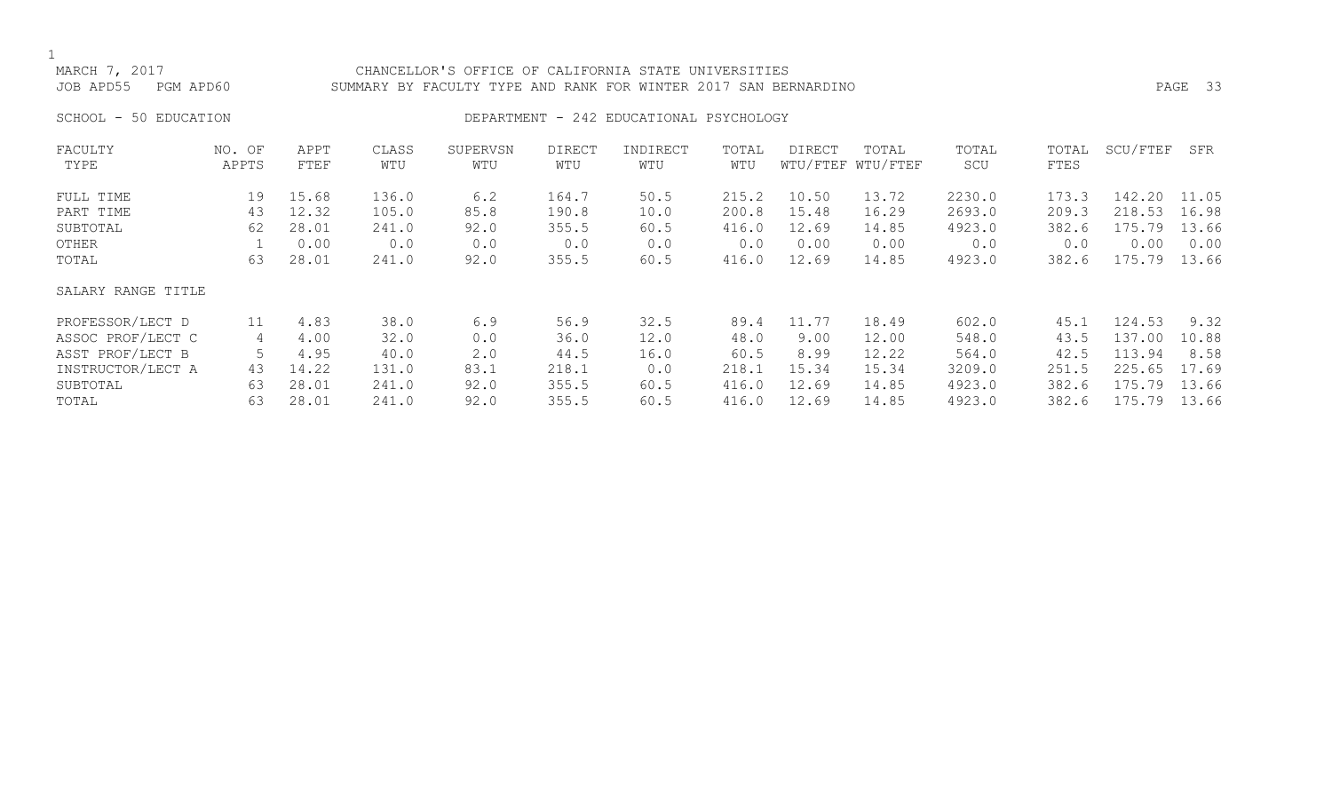# MARCH 7, 2017 CHANCELLOR'S OFFICE OF CALIFORNIA STATE UNIVERSITIES JOB APD55 PGM APD60 SUMMARY BY FACULTY TYPE AND RANK FOR WINTER 2017 SAN BERNARDINO PAGE 33

# SCHOOL - 50 EDUCATION **DEPARTMENT - 242 EDUCATIONAL PSYCHOLOGY**

| FACULTY            | NO. OF | APPT  | CLASS | SUPERVSN | <b>DIRECT</b> | INDIRECT | TOTAL | DIRECT | TOTAL             | TOTAL  | TOTAL | SCU/FTEF | SFR   |
|--------------------|--------|-------|-------|----------|---------------|----------|-------|--------|-------------------|--------|-------|----------|-------|
| TYPE               | APPTS  | FTEF  | WTU   | WTU      | WTU           | WTU      | WTU   |        | WTU/FTEF WTU/FTEF | SCU    | FTES  |          |       |
| FULL TIME          | 19     | 15.68 | 136.0 | 6.2      | 164.7         | 50.5     | 215.2 | 10.50  | 13.72             | 2230.0 | 173.3 | 142.20   | 11.05 |
| PART TIME          | 43     | 12.32 | 105.0 | 85.8     | 190.8         | 10.0     | 200.8 | 15.48  | 16.29             | 2693.0 | 209.3 | 218.53   | 16.98 |
| SUBTOTAL           | 62     | 28.01 | 241.0 | 92.0     | 355.5         | 60.5     | 416.0 | 12.69  | 14.85             | 4923.0 | 382.6 | 175.79   | 13.66 |
| OTHER              |        | 0.00  | 0.0   | 0.0      | 0.0           | 0.0      | 0.0   | 0.00   | 0.00              | 0.0    | 0.0   | 0.00     | 0.00  |
| TOTAL              | 63     | 28.01 | 241.0 | 92.0     | 355.5         | 60.5     | 416.0 | 12.69  | 14.85             | 4923.0 | 382.6 | 175.79   | 13.66 |
| SALARY RANGE TITLE |        |       |       |          |               |          |       |        |                   |        |       |          |       |
| PROFESSOR/LECT D   | 11     | 4.83  | 38.0  | 6.9      | 56.9          | 32.5     | 89.4  | 11.77  | 18.49             | 602.0  | 45.1  | 124.53   | 9.32  |
| ASSOC PROF/LECT C  | 4      | 4.00  | 32.0  | 0.0      | 36.0          | 12.0     | 48.0  | 9.00   | 12.00             | 548.0  | 43.5  | 137.00   | 10.88 |
| ASST PROF/LECT B   |        | 4.95  | 40.0  | 2.0      | 44.5          | 16.0     | 60.5  | 8.99   | 12.22             | 564.0  | 42.5  | 113.94   | 8.58  |
| INSTRUCTOR/LECT A  | 43     | 14.22 | 131.0 | 83.1     | 218.1         | 0.0      | 218.1 | 15.34  | 15.34             | 3209.0 | 251.5 | 225.65   | 17.69 |
| SUBTOTAL           | 63     | 28.01 | 241.0 | 92.0     | 355.5         | 60.5     | 416.0 | 12.69  | 14.85             | 4923.0 | 382.6 | 175.79   | 13.66 |
| TOTAL              | 63     | 28.01 | 241.0 | 92.0     | 355.5         | 60.5     | 416.0 | 12.69  | 14.85             | 4923.0 | 382.6 | 175.79   | 13.66 |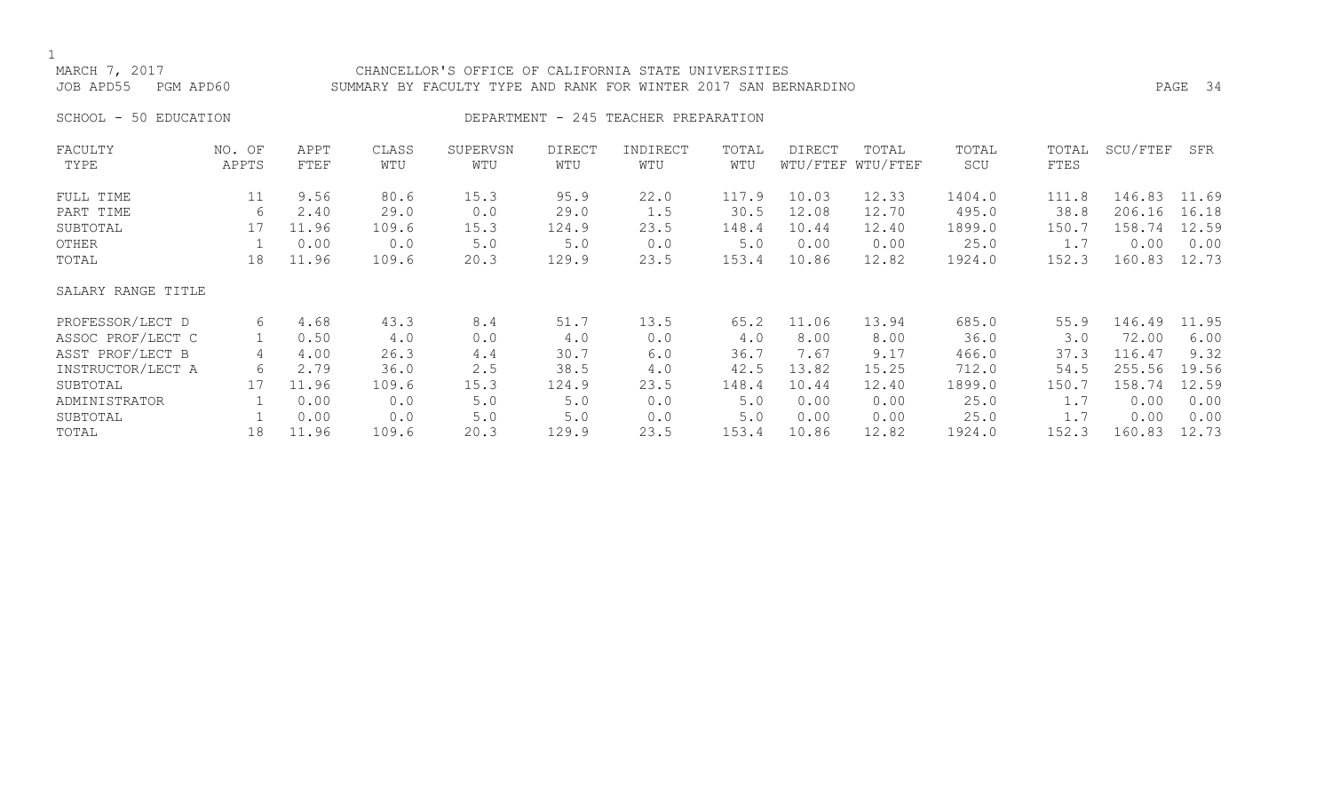# MARCH 7, 2017 CHANCELLOR'S OFFICE OF CALIFORNIA STATE UNIVERSITIES JOB APD55 PGM APD60 SUMMARY BY FACULTY TYPE AND RANK FOR WINTER 2017 SAN BERNARDINO PAGE 34

# SCHOOL - 50 EDUCATION **DEPARTMENT - 245 TEACHER PREPARATION**

| FACULTY            | NO. OF | APPT  | CLASS | SUPERVSN | DIRECT | INDIRECT | TOTAL | DIRECT | TOTAL             | TOTAL  | TOTAL | SCU/FTEF | SFR   |
|--------------------|--------|-------|-------|----------|--------|----------|-------|--------|-------------------|--------|-------|----------|-------|
| TYPE               | APPTS  | FTEF  | WTU   | WTU      | WTU    | WTU      | WTU   |        | WTU/FTEF WTU/FTEF | SCU    | FTES  |          |       |
| FULL TIME          | 11     | 9.56  | 80.6  | 15.3     | 95.9   | 22.0     | 117.9 | 10.03  | 12.33             | 1404.0 | 111.8 | 146.83   | 11.69 |
| PART TIME          | 6      | 2.40  | 29.0  | 0.0      | 29.0   | 1.5      | 30.5  | 12.08  | 12.70             | 495.0  | 38.8  | 206.16   | 16.18 |
| SUBTOTAL           | 17     | 11.96 | 109.6 | 15.3     | 124.9  | 23.5     | 148.4 | 10.44  | 12.40             | 1899.0 | 150.7 | 158.74   | 12.59 |
| OTHER              |        | 0.00  | 0.0   | $5.0$    | 5.0    | 0.0      | 5.0   | 0.00   | 0.00              | 25.0   | 1.7   | 0.00     | 0.00  |
| TOTAL              | 18     | 11.96 | 109.6 | 20.3     | 129.9  | 23.5     | 153.4 | 10.86  | 12.82             | 1924.0 | 152.3 | 160.83   | 12.73 |
| SALARY RANGE TITLE |        |       |       |          |        |          |       |        |                   |        |       |          |       |
| PROFESSOR/LECT D   | 6      | 4.68  | 43.3  | 8.4      | 51.7   | 13.5     | 65.2  | 11.06  | 13.94             | 685.0  | 55.9  | 146.49   | 11.95 |
| ASSOC PROF/LECT C  |        | 0.50  | 4.0   | 0.0      | 4.0    | 0.0      | 4.0   | 8.00   | 8.00              | 36.0   | 3.0   | 72.00    | 6.00  |
| ASST PROF/LECT B   | 4      | 4.00  | 26.3  | 4.4      | 30.7   | 6.0      | 36.7  | 7.67   | 9.17              | 466.0  | 37.3  | 116.47   | 9.32  |
| INSTRUCTOR/LECT A  | 6      | 2.79  | 36.0  | 2.5      | 38.5   | 4.0      | 42.5  | 13.82  | 15.25             | 712.0  | 54.5  | 255.56   | 19.56 |
| SUBTOTAL           | 17     | 11.96 | 109.6 | 15.3     | 124.9  | 23.5     | 148.4 | 10.44  | 12.40             | 1899.0 | 150.7 | 158.74   | 12.59 |
| ADMINISTRATOR      |        | 0.00  | 0.0   | $5.0$    | $5.0$  | 0.0      | 5.0   | 0.00   | 0.00              | 25.0   | 1.7   | 0.00     | 0.00  |
| SUBTOTAL           |        | 0.00  | 0.0   | 5.0      | $5.0$  | 0.0      | 5.0   | 0.00   | 0.00              | 25.0   | 1.7   | 0.00     | 0.00  |
| TOTAL              | 18     | 11.96 | 109.6 | 20.3     | 129.9  | 23.5     | 153.4 | 10.86  | 12.82             | 1924.0 | 152.3 | 160.83   | 12.73 |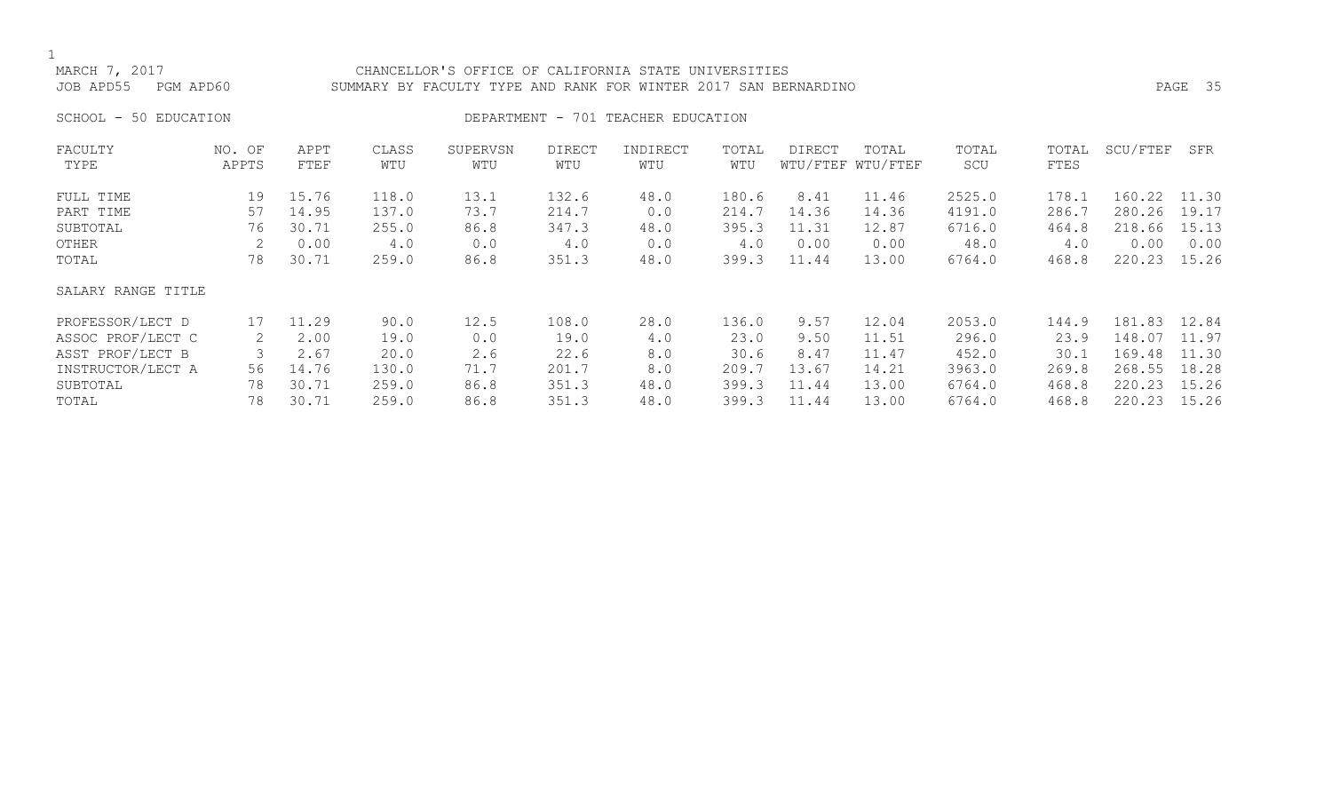# MARCH 7, 2017 CHANCELLOR'S OFFICE OF CALIFORNIA STATE UNIVERSITIES JOB APD55 PGM APD60 SUMMARY BY FACULTY TYPE AND RANK FOR WINTER 2017 SAN BERNARDINO PAGE 35

SCHOOL - 50 EDUCATION **DEPARTMENT** - 701 TEACHER EDUCATION

| FACULTY            | NO. OF | APPT  | CLASS | SUPERVSN | <b>DIRECT</b> | INDIRECT | TOTAL | <b>DIRECT</b> | TOTAL             | TOTAL  | TOTAL | SCU/FTEF | SFR   |
|--------------------|--------|-------|-------|----------|---------------|----------|-------|---------------|-------------------|--------|-------|----------|-------|
| TYPE               | APPTS  | FTEF  | WTU   | WTU      | WTU           | WTU      | WTU   |               | WTU/FTEF WTU/FTEF | SCU    | FTES  |          |       |
| FULL TIME          | 19     | 15.76 | 118.0 | 13.1     | 132.6         | 48.0     | 180.6 | 8.41          | 11.46             | 2525.0 | 178.1 | 160.22   | 11.30 |
| PART TIME          | 57     | 14.95 | 137.0 | 73.7     | 214.7         | 0.0      | 214.7 | 14.36         | 14.36             | 4191.0 | 286.7 | 280.26   | 19.17 |
| SUBTOTAL           | 76     | 30.71 | 255.0 | 86.8     | 347.3         | 48.0     | 395.3 | 11.31         | 12.87             | 6716.0 | 464.8 | 218.66   | 15.13 |
| OTHER              |        | 0.00  | 4.0   | 0.0      | 4.0           | 0.0      | 4.0   | 0.00          | 0.00              | 48.0   | 4.0   | 0.00     | 0.00  |
| TOTAL              | 78     | 30.71 | 259.0 | 86.8     | 351.3         | 48.0     | 399.3 | 11.44         | 13.00             | 6764.0 | 468.8 | 220.23   | 15.26 |
| SALARY RANGE TITLE |        |       |       |          |               |          |       |               |                   |        |       |          |       |
| PROFESSOR/LECT D   | 17     | 11.29 | 90.0  | 12.5     | 108.0         | 28.0     | 136.0 | 9.57          | 12.04             | 2053.0 | 144.9 | 181.83   | 12.84 |
| ASSOC PROF/LECT C  |        | 2.00  | 19.0  | 0.0      | 19.0          | 4.0      | 23.0  | 9.50          | 11.51             | 296.0  | 23.9  | 148.07   | 11.97 |
| ASST PROF/LECT B   |        | 2.67  | 20.0  | 2.6      | 22.6          | 8.0      | 30.6  | 8.47          | 11.47             | 452.0  | 30.1  | 169.48   | 11.30 |
| INSTRUCTOR/LECT A  | 56     | 14.76 | 130.0 | 71.7     | 201.7         | 8.0      | 209.7 | 13.67         | 14.21             | 3963.0 | 269.8 | 268.55   | 18.28 |
| SUBTOTAL           | 78     | 30.71 | 259.0 | 86.8     | 351.3         | 48.0     | 399.3 | 11.44         | 13.00             | 6764.0 | 468.8 | 220.23   | 15.26 |
| TOTAL              | 78     | 30.71 | 259.0 | 86.8     | 351.3         | 48.0     | 399.3 | 11.44         | 13.00             | 6764.0 | 468.8 | 220.23   | 15.26 |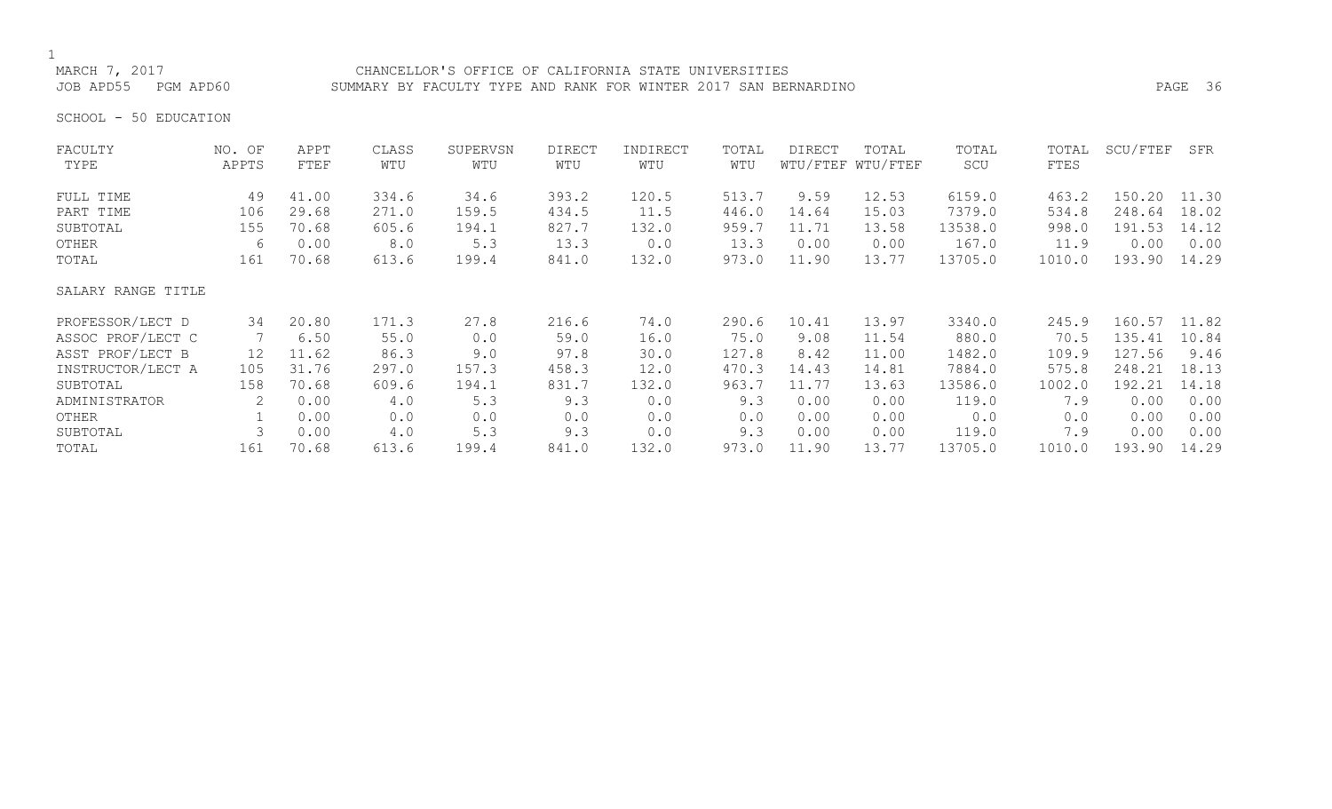# 1<br>MARCH 7, 2017

## CHANCELLOR'S OFFICE OF CALIFORNIA STATE UNIVERSITIES JOB APD55 PGM APD60 SUMMARY BY FACULTY TYPE AND RANK FOR WINTER 2017 SAN BERNARDINO PAGE 36

SCHOOL - 50 EDUCATION

| FACULTY            | NO. OF | APPT  | CLASS | SUPERVSN | <b>DIRECT</b> | INDIRECT | TOTAL | <b>DIRECT</b> | TOTAL             | TOTAL   | TOTAL  | SCU/FTEF | SFR   |
|--------------------|--------|-------|-------|----------|---------------|----------|-------|---------------|-------------------|---------|--------|----------|-------|
| TYPE               | APPTS  | FTEF  | WTU   | WTU      | WTU           | WTU      | WTU   |               | WTU/FTEF WTU/FTEF | SCU     | FTES   |          |       |
| FULL TIME          | 49     | 41.00 | 334.6 | 34.6     | 393.2         | 120.5    | 513.7 | 9.59          | 12.53             | 6159.0  | 463.2  | 150.20   | 11.30 |
| PART TIME          | 106    | 29.68 | 271.0 | 159.5    | 434.5         | 11.5     | 446.0 | 14.64         | 15.03             | 7379.0  | 534.8  | 248.64   | 18.02 |
| SUBTOTAL           | 155    | 70.68 | 605.6 | 194.1    | 827.7         | 132.0    | 959.7 | 11.71         | 13.58             | 13538.0 | 998.0  | 191.53   | 14.12 |
| OTHER              | 6      | 0.00  | 8.0   | 5.3      | 13.3          | 0.0      | 13.3  | 0.00          | 0.00              | 167.0   | 11.9   | 0.00     | 0.00  |
| TOTAL              | 161    | 70.68 | 613.6 | 199.4    | 841.0         | 132.0    | 973.0 | 11.90         | 13.77             | 13705.0 | 1010.0 | 193.90   | 14.29 |
| SALARY RANGE TITLE |        |       |       |          |               |          |       |               |                   |         |        |          |       |
| PROFESSOR/LECT D   | 34     | 20.80 | 171.3 | 27.8     | 216.6         | 74.0     | 290.6 | 10.41         | 13.97             | 3340.0  | 245.9  | 160.57   | 11.82 |
| ASSOC PROF/LECT C  |        | 6.50  | 55.0  | 0.0      | 59.0          | 16.0     | 75.0  | 9.08          | 11.54             | 880.0   | 70.5   | 135.41   | 10.84 |
| ASST PROF/LECT B   | 12     | 11.62 | 86.3  | 9.0      | 97.8          | 30.0     | 127.8 | 8.42          | 11.00             | 1482.0  | 109.9  | 127.56   | 9.46  |
| INSTRUCTOR/LECT A  | 105    | 31.76 | 297.0 | 157.3    | 458.3         | 12.0     | 470.3 | 14.43         | 14.81             | 7884.0  | 575.8  | 248.21   | 18.13 |
| SUBTOTAL           | 158    | 70.68 | 609.6 | 194.1    | 831.7         | 132.0    | 963.7 | 11.77         | 13.63             | 13586.0 | 1002.0 | 192.21   | 14.18 |
| ADMINISTRATOR      | 2      | 0.00  | 4.0   | 5.3      | 9.3           | 0.0      | 9.3   | 0.00          | 0.00              | 119.0   | 7.9    | 0.00     | 0.00  |
| OTHER              |        | 0.00  | 0.0   | 0.0      | 0.0           | 0.0      | 0.0   | 0.00          | 0.00              | 0.0     | 0.0    | 0.00     | 0.00  |
| SUBTOTAL           |        | 0.00  | 4.0   | 5.3      | 9.3           | 0.0      | 9.3   | 0.00          | 0.00              | 119.0   | 7.9    | 0.00     | 0.00  |
| TOTAL              | 161    | 70.68 | 613.6 | 199.4    | 841.0         | 132.0    | 973.0 | 11.90         | 13.77             | 13705.0 | 1010.0 | 193.90   | 14.29 |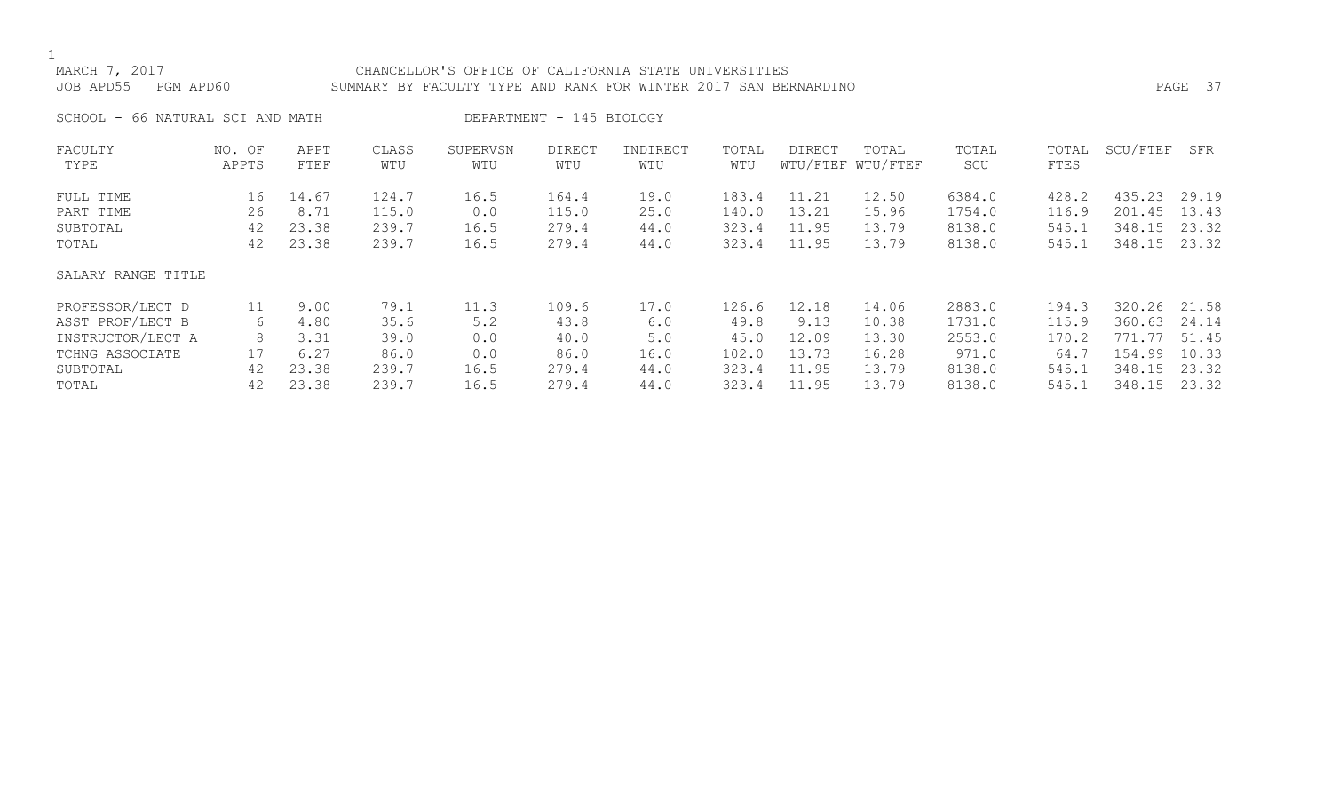# MARCH 7, 2017 CHANCELLOR'S OFFICE OF CALIFORNIA STATE UNIVERSITIES JOB APD55 PGM APD60 SUMMARY BY FACULTY TYPE AND RANK FOR WINTER 2017 SAN BERNARDINO PAGE 37

SCHOOL - 66 NATURAL SCI AND MATH DEPARTMENT - 145 BIOLOGY

| FACULTY            | NO. OF | APPT  | CLASS | SUPERVSN | <b>DIRECT</b> | INDIRECT | TOTAL | DIRECT | TOTAL             | TOTAL  | TOTAL | SCU/FTEF      | SFR   |
|--------------------|--------|-------|-------|----------|---------------|----------|-------|--------|-------------------|--------|-------|---------------|-------|
| TYPE               | APPTS  | FTEF  | WTU   | WTU      | WTU           | WTU      | WTU   |        | WTU/FTEF WTU/FTEF | SCU    | FTES  |               |       |
| FULL TIME          | 16     | 14.67 | 124.7 | 16.5     | 164.4         | 19.0     | 183.4 | 11.21  | 12.50             | 6384.0 | 428.2 | 435.23        | 29.19 |
| PART TIME          | 26     | 8.71  | 115.0 | 0.0      | 115.0         | 25.0     | 140.0 | 13.21  | 15.96             | 1754.0 | 116.9 | 201.45        | 13.43 |
| SUBTOTAL           | 42     | 23.38 | 239.7 | 16.5     | 279.4         | 44.0     | 323.4 | 11.95  | 13.79             | 8138.0 | 545.1 | 348.15        | 23.32 |
| TOTAL              | 42     | 23.38 | 239.7 | 16.5     | 279.4         | 44.0     | 323.4 | 11.95  | 13.79             | 8138.0 | 545.1 | 348.15        | 23.32 |
| SALARY RANGE TITLE |        |       |       |          |               |          |       |        |                   |        |       |               |       |
| PROFESSOR/LECT D   | 11     | 9.00  | 79.1  | 11.3     | 109.6         | 17.0     | 126.6 | 12.18  | 14.06             | 2883.0 | 194.3 | 320.26        | 21.58 |
| ASST PROF/LECT B   | 6      | 4.80  | 35.6  | 5.2      | 43.8          | 6.0      | 49.8  | 9.13   | 10.38             | 1731.0 | 115.9 | 360.63        | 24.14 |
| INSTRUCTOR/LECT A  | 8      | 3.31  | 39.0  | 0.0      | 40.0          | 5.0      | 45.0  | 12.09  | 13.30             | 2553.0 | 170.2 | $-177$<br>771 | 51.45 |
| TCHNG ASSOCIATE    | 17     | 6.27  | 86.0  | 0.0      | 86.0          | 16.0     | 102.0 | 13.73  | 16.28             | 971.0  | 64.7  | 154.99        | 10.33 |
| SUBTOTAL           | 42     | 23.38 | 239.7 | 16.5     | 279.4         | 44.0     | 323.4 | 11.95  | 13.79             | 8138.0 | 545.1 | 348.15        | 23.32 |
| TOTAL              | 42     | 23.38 | 239.7 | 16.5     | 279.4         | 44.0     | 323.4 | 11.95  | 13.79             | 8138.0 | 545.1 | 348.15        | 23.32 |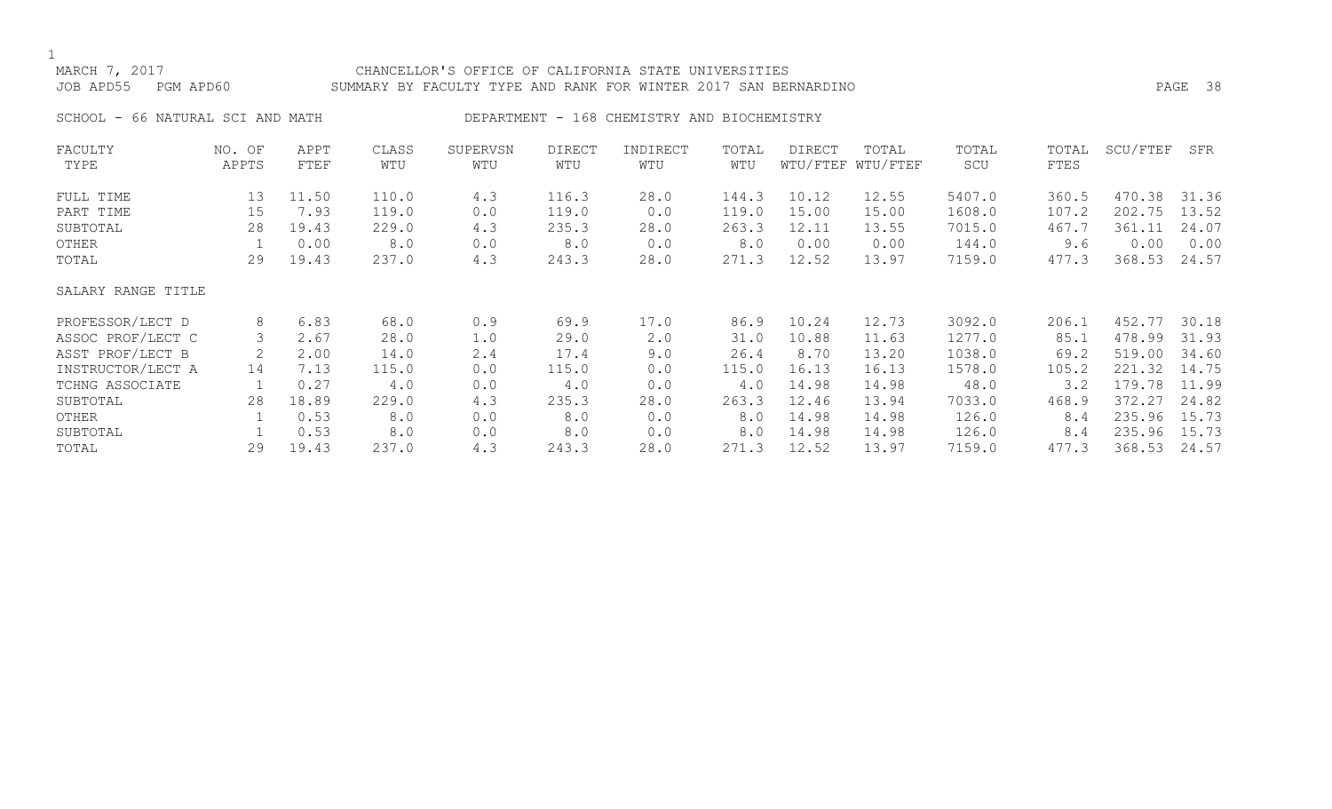# MARCH 7, 2017 CHANCELLOR'S OFFICE OF CALIFORNIA STATE UNIVERSITIES JOB APD55 PGM APD60 SUMMARY BY FACULTY TYPE AND RANK FOR WINTER 2017 SAN BERNARDINO PAGE 38

SCHOOL - 66 NATURAL SCI AND MATH DEPARTMENT - 168 CHEMISTRY AND BIOCHEMISTRY

| FACULTY            | NO. OF | APPT  | CLASS | SUPERVSN | <b>DIRECT</b> | INDIRECT | TOTAL | <b>DIRECT</b> | TOTAL             | TOTAL  | TOTAL | SCU/FTEF | SFR   |
|--------------------|--------|-------|-------|----------|---------------|----------|-------|---------------|-------------------|--------|-------|----------|-------|
| TYPE               | APPTS  | FTEF  | WTU   | WTU      | WTU           | WTU      | WTU   |               | WTU/FTEF WTU/FTEF | SCU    | FTES  |          |       |
| FULL TIME          | 13     | 11.50 | 110.0 | 4.3      | 116.3         | 28.0     | 144.3 | 10.12         | 12.55             | 5407.0 | 360.5 | 470.38   | 31.36 |
| PART TIME          | 15     | 7.93  | 119.0 | 0.0      | 119.0         | 0.0      | 119.0 | 15.00         | 15.00             | 1608.0 | 107.2 | 202.75   | 13.52 |
| SUBTOTAL           | 28     | 19.43 | 229.0 | 4.3      | 235.3         | 28.0     | 263.3 | 12.11         | 13.55             | 7015.0 | 467.7 | 361.11   | 24.07 |
| OTHER              |        | 0.00  | 8.0   | 0.0      | 8.0           | 0.0      | 8.0   | 0.00          | 0.00              | 144.0  | 9.6   | 0.00     | 0.00  |
| TOTAL              | 29     | 19.43 | 237.0 | 4.3      | 243.3         | 28.0     | 271.3 | 12.52         | 13.97             | 7159.0 | 477.3 | 368.53   | 24.57 |
| SALARY RANGE TITLE |        |       |       |          |               |          |       |               |                   |        |       |          |       |
| PROFESSOR/LECT D   | 8      | 6.83  | 68.0  | 0.9      | 69.9          | 17.0     | 86.9  | 10.24         | 12.73             | 3092.0 | 206.1 | 452.77   | 30.18 |
| ASSOC PROF/LECT C  | 3      | 2.67  | 28.0  | 1.0      | 29.0          | 2.0      | 31.0  | 10.88         | 11.63             | 1277.0 | 85.1  | 478.99   | 31.93 |
| ASST PROF/LECT B   |        | 2.00  | 14.0  | 2.4      | 17.4          | 9.0      | 26.4  | 8.70          | 13.20             | 1038.0 | 69.2  | 519.00   | 34.60 |
| INSTRUCTOR/LECT A  | 14     | 7.13  | 115.0 | 0.0      | 115.0         | 0.0      | 115.0 | 16.13         | 16.13             | 1578.0 | 105.2 | 221.32   | 14.75 |
| TCHNG ASSOCIATE    |        | 0.27  | 4.0   | 0.0      | 4.0           | 0.0      | 4.0   | 14.98         | 14.98             | 48.0   | 3.2   | 179.78   | 11.99 |
| SUBTOTAL           | 28     | 18.89 | 229.0 | 4.3      | 235.3         | 28.0     | 263.3 | 12.46         | 13.94             | 7033.0 | 468.9 | 372.27   | 24.82 |
| OTHER              |        | 0.53  | 8.0   | 0.0      | 8.0           | 0.0      | 8.0   | 14.98         | 14.98             | 126.0  | 8.4   | 235.96   | 15.73 |
| SUBTOTAL           |        | 0.53  | 8.0   | 0.0      | 8.0           | 0.0      | 8.0   | 14.98         | 14.98             | 126.0  | 8.4   | 235.96   | 15.73 |
| TOTAL              | 29     | 19.43 | 237.0 | 4.3      | 243.3         | 28.0     | 271.3 | 12.52         | 13.97             | 7159.0 | 477.3 | 368.53   | 24.57 |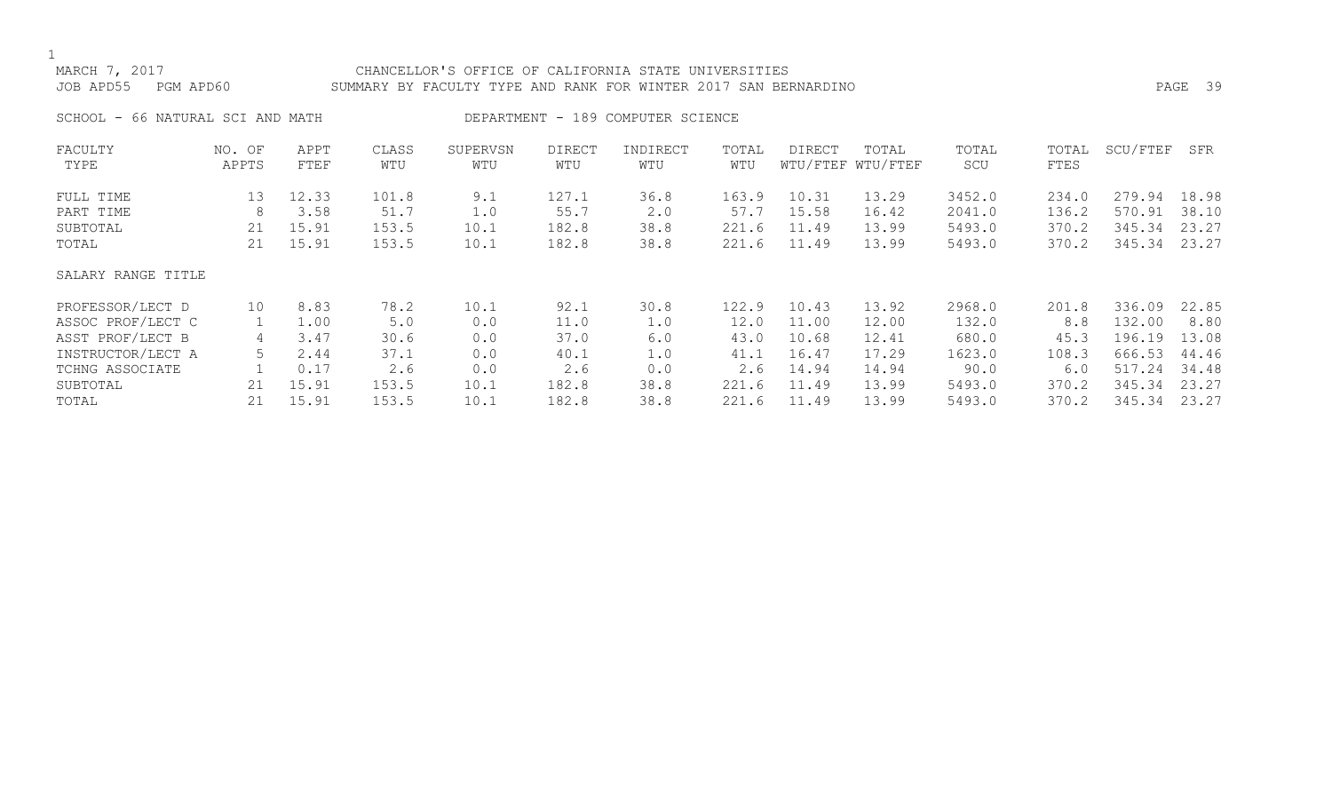# MARCH 7, 2017 CHANCELLOR'S OFFICE OF CALIFORNIA STATE UNIVERSITIES JOB APD55 PGM APD60 SUMMARY BY FACULTY TYPE AND RANK FOR WINTER 2017 SAN BERNARDINO PAGE 39

SCHOOL - 66 NATURAL SCI AND MATH DEPARTMENT - 189 COMPUTER SCIENCE

| FACULTY            | NO. OF | APPT  | CLASS | SUPERVSN | <b>DIRECT</b> | INDIRECT | TOTAL | DIRECT | TOTAL             | TOTAL  | TOTAL | SCU/FTEF | SFR   |
|--------------------|--------|-------|-------|----------|---------------|----------|-------|--------|-------------------|--------|-------|----------|-------|
| TYPE               | APPTS  | FTEF  | WTU   | WTU      | WTU           | WTU      | WTU   |        | WTU/FTEF WTU/FTEF | SCU    | FTES  |          |       |
| FULL TIME          | 13     | 12.33 | 101.8 | 9.1      | 127.1         | 36.8     | 163.9 | 10.31  | 13.29             | 3452.0 | 234.0 | 279.94   | 18.98 |
| PART TIME          | 8      | 3.58  | 51.7  | 1.0      | 55.7          | 2.0      | 57.7  | 15.58  | 16.42             | 2041.0 | 136.2 | 570.91   | 38.10 |
| SUBTOTAL           | 21     | 15.91 | 153.5 | 10.1     | 182.8         | 38.8     | 221.6 | 11.49  | 13.99             | 5493.0 | 370.2 | 345.34   | 23.27 |
| TOTAL              | 21     | 15.91 | 153.5 | 10.1     | 182.8         | 38.8     | 221.6 | 11.49  | 13.99             | 5493.0 | 370.2 | 345.34   | 23.27 |
| SALARY RANGE TITLE |        |       |       |          |               |          |       |        |                   |        |       |          |       |
| PROFESSOR/LECT D   | 10     | 8.83  | 78.2  | 10.1     | 92.1          | 30.8     | 122.9 | 10.43  | 13.92             | 2968.0 | 201.8 | 336.09   | 22.85 |
| ASSOC PROF/LECT C  |        | 1.00  | 5.0   | 0.0      | 11.0          | 1.0      | 12.0  | 11.00  | 12.00             | 132.0  | 8.8   | 132.00   | 8.80  |
| ASST PROF/LECT B   | 4      | 3.47  | 30.6  | 0.0      | 37.0          | 6.0      | 43.0  | 10.68  | 12.41             | 680.0  | 45.3  | 196.19   | 13.08 |
| INSTRUCTOR/LECT A  |        | 2.44  | 37.1  | 0.0      | 40.1          | 1.0      | 41.1  | 16.47  | 17.29             | 1623.0 | 108.3 | 666.53   | 44.46 |
| TCHNG ASSOCIATE    |        | 0.17  | 2.6   | 0.0      | 2.6           | 0.0      | 2.6   | 14.94  | 14.94             | 90.0   | 6.0   | 517.24   | 34.48 |
| SUBTOTAL           | 21     | 15.91 | 153.5 | 10.1     | 182.8         | 38.8     | 221.6 | 11.49  | 13.99             | 5493.0 | 370.2 | 345.34   | 23.27 |
| TOTAL              | 21     | 15.91 | 153.5 | 10.1     | 182.8         | 38.8     | 221.6 | 11.49  | 13.99             | 5493.0 | 370.2 | 345.34   | 23.27 |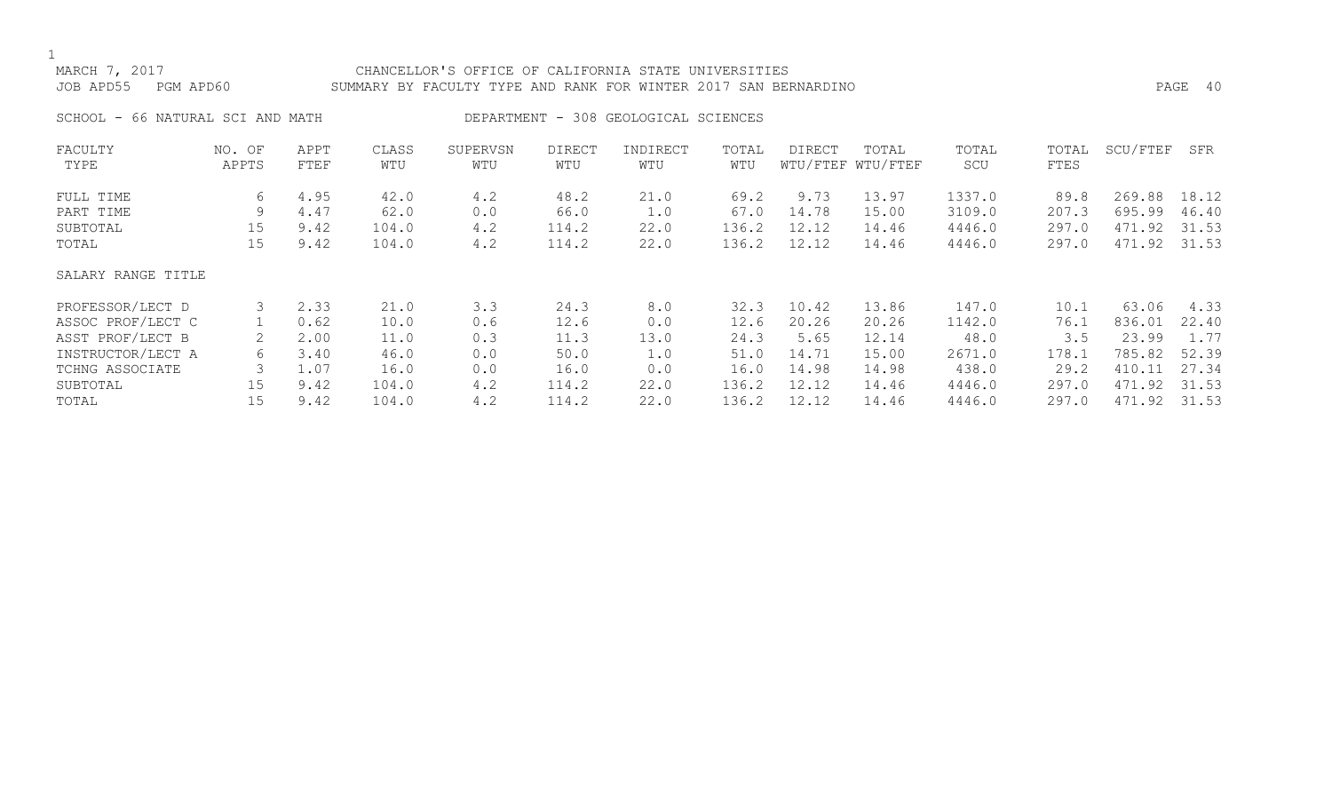# MARCH 7, 2017 CHANCELLOR'S OFFICE OF CALIFORNIA STATE UNIVERSITIES JOB APD55 PGM APD60 SUMMARY BY FACULTY TYPE AND RANK FOR WINTER 2017 SAN BERNARDINO PAGE 40

SCHOOL - 66 NATURAL SCI AND MATH DEPARTMENT - 308 GEOLOGICAL SCIENCES

| FACULTY            | NO. OF | APPT | CLASS | SUPERVSN | <b>DIRECT</b> | INDIRECT | TOTAL | DIRECT | TOTAL             | TOTAL  | TOTAL | SCU/FTEF | SFR   |
|--------------------|--------|------|-------|----------|---------------|----------|-------|--------|-------------------|--------|-------|----------|-------|
| TYPE               | APPTS  | FTEF | WTU   | WTU      | WTU           | WTU      | WTU   |        | WTU/FTEF WTU/FTEF | SCU    | FTES  |          |       |
| FULL TIME          | 6      | 4.95 | 42.0  | 4.2      | 48.2          | 21.0     | 69.2  | 9.73   | 13.97             | 1337.0 | 89.8  | 269.88   | 18.12 |
| PART TIME          | 9      | 4.47 | 62.0  | 0.0      | 66.0          | 1.0      | 67.0  | 14.78  | 15.00             | 3109.0 | 207.3 | 695.99   | 46.40 |
| SUBTOTAL           | 15     | 9.42 | 104.0 | 4.2      | 114.2         | 22.0     | 136.2 | 12.12  | 14.46             | 4446.0 | 297.0 | 471.92   | 31.53 |
| TOTAL              | 15     | 9.42 | 104.0 | 4.2      | 114.2         | 22.0     | 136.2 | 12.12  | 14.46             | 4446.0 | 297.0 | 471.92   | 31.53 |
| SALARY RANGE TITLE |        |      |       |          |               |          |       |        |                   |        |       |          |       |
| PROFESSOR/LECT D   | 3      | 2.33 | 21.0  | 3.3      | 24.3          | 8.0      | 32.3  | 10.42  | 13.86             | 147.0  | 10.1  | 63.06    | 4.33  |
| ASSOC PROF/LECT C  |        | 0.62 | 10.0  | 0.6      | 12.6          | 0.0      | 12.6  | 20.26  | 20.26             | 1142.0 | 76.1  | 836.01   | 22.40 |
| ASST PROF/LECT B   | 2      | 2.00 | 11.0  | 0.3      | 11.3          | 13.0     | 24.3  | 5.65   | 12.14             | 48.0   | 3.5   | 23.99    | 1.77  |
| INSTRUCTOR/LECT A  | 6      | 3.40 | 46.0  | 0.0      | 50.0          | 1.0      | 51.0  | 14.71  | 15.00             | 2671.0 | 178.1 | 785.82   | 52.39 |
| TCHNG ASSOCIATE    | 3      | 1.07 | 16.0  | 0.0      | 16.0          | 0.0      | 16.0  | 14.98  | 14.98             | 438.0  | 29.2  | 410.11   | 27.34 |
| SUBTOTAL           | 15     | 9.42 | 104.0 | 4.2      | 114.2         | 22.0     | 136.2 | 12.12  | 14.46             | 4446.0 | 297.0 | 471.92   | 31.53 |
| TOTAL              | 15     | 9.42 | 104.0 | 4.2      | 114.2         | 22.0     | 136.2 | 12.12  | 14.46             | 4446.0 | 297.0 | 471.92   | 31.53 |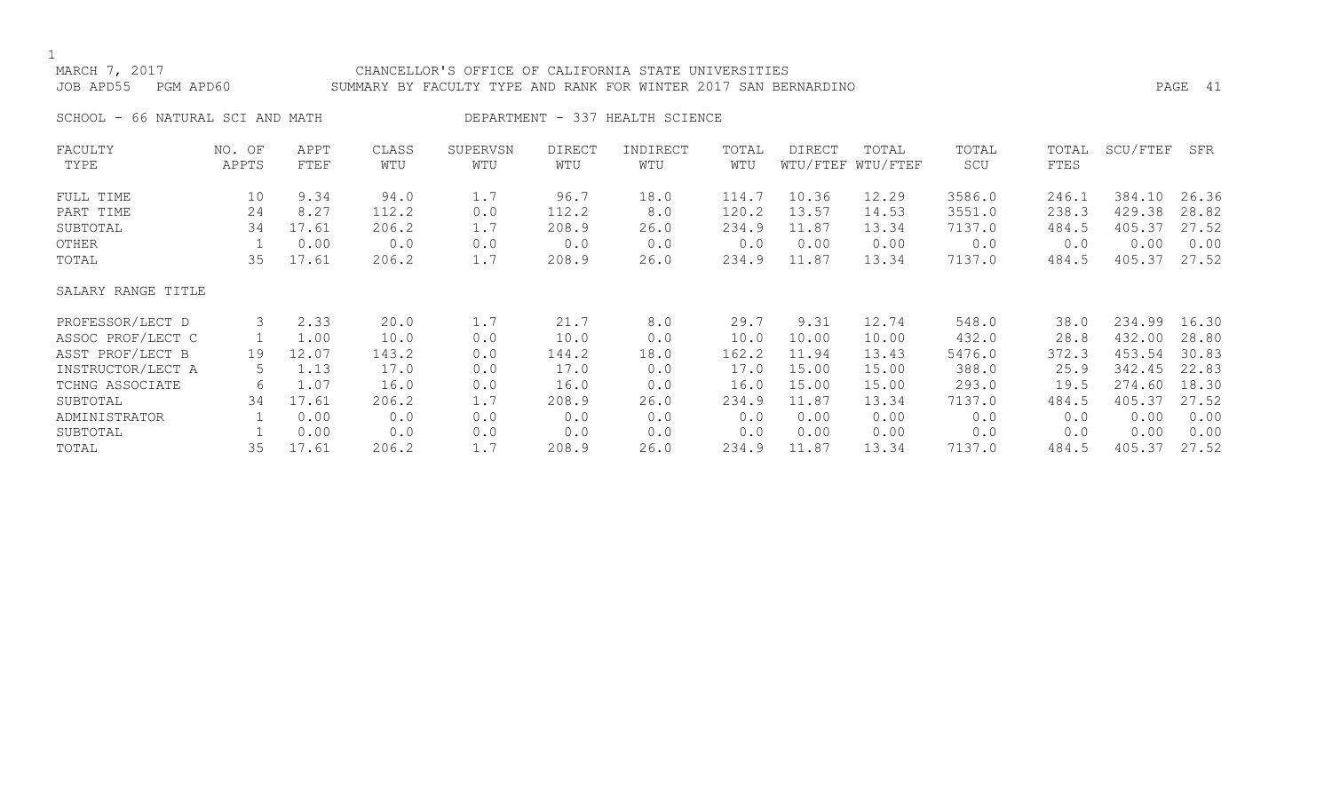# MARCH 7, 2017 CHANCELLOR'S OFFICE OF CALIFORNIA STATE UNIVERSITIES JOB APD55 PGM APD60 SUMMARY BY FACULTY TYPE AND RANK FOR WINTER 2017 SAN BERNARDINO PAGE 41

SCHOOL - 66 NATURAL SCI AND MATH DEPARTMENT - 337 HEALTH SCIENCE

| FACULTY            | NO. OF | APPT  | CLASS | SUPERVSN | <b>DIRECT</b> | INDIRECT | TOTAL | <b>DIRECT</b> | TOTAL             | TOTAL  | TOTAL | SCU/FTEF | SFR   |
|--------------------|--------|-------|-------|----------|---------------|----------|-------|---------------|-------------------|--------|-------|----------|-------|
| TYPE               | APPTS  | FTEF  | WTU   | WTU      | WTU           | WTU      | WTU   |               | WTU/FTEF WTU/FTEF | SCU    | FTES  |          |       |
| FULL TIME          | 10     | 9.34  | 94.0  | 1.7      | 96.7          | 18.0     | 114.7 | 10.36         | 12.29             | 3586.0 | 246.1 | 384.10   | 26.36 |
| PART TIME          | 24     | 8.27  | 112.2 | 0.0      | 112.2         | 8.0      | 120.2 | 13.57         | 14.53             | 3551.0 | 238.3 | 429.38   | 28.82 |
| SUBTOTAL           | 34     | 17.61 | 206.2 | 1.7      | 208.9         | 26.0     | 234.9 | 11.87         | 13.34             | 7137.0 | 484.5 | 405.37   | 27.52 |
| OTHER              |        | 0.00  | 0.0   | 0.0      | 0.0           | 0.0      | 0.0   | 0.00          | 0.00              | 0.0    | 0.0   | 0.00     | 0.00  |
| TOTAL              | 35     | 17.61 | 206.2 | 1.7      | 208.9         | 26.0     | 234.9 | 11.87         | 13.34             | 7137.0 | 484.5 | 405.37   | 27.52 |
| SALARY RANGE TITLE |        |       |       |          |               |          |       |               |                   |        |       |          |       |
| PROFESSOR/LECT D   | 3      | 2.33  | 20.0  | 1.7      | 21.7          | 8.0      | 29.7  | 9.31          | 12.74             | 548.0  | 38.0  | 234.99   | 16.30 |
| ASSOC PROF/LECT C  |        | 1.00  | 10.0  | 0.0      | 10.0          | 0.0      | 10.0  | 10.00         | 10.00             | 432.0  | 28.8  | 432.00   | 28.80 |
| ASST PROF/LECT B   | 19     | 12.07 | 143.2 | 0.0      | 144.2         | 18.0     | 162.2 | 11.94         | 13.43             | 5476.0 | 372.3 | 453.54   | 30.83 |
| INSTRUCTOR/LECT A  | 5.     | 1.13  | 17.0  | 0.0      | 17.0          | 0.0      | 17.0  | 15.00         | 15.00             | 388.0  | 25.9  | 342.45   | 22.83 |
| TCHNG ASSOCIATE    | 6      | 1.07  | 16.0  | 0.0      | 16.0          | 0.0      | 16.0  | 15.00         | 15.00             | 293.0  | 19.5  | 274.60   | 18.30 |
| SUBTOTAL           | 34     | 17.61 | 206.2 | 1.7      | 208.9         | 26.0     | 234.9 | 11.87         | 13.34             | 7137.0 | 484.5 | 405.37   | 27.52 |
| ADMINISTRATOR      |        | 0.00  | 0.0   | 0.0      | 0.0           | 0.0      | 0.0   | 0.00          | 0.00              | 0.0    | 0.0   | 0.00     | 0.00  |
| SUBTOTAL           |        | 0.00  | 0.0   | 0.0      | 0.0           | 0.0      | 0.0   | 0.00          | 0.00              | 0.0    | 0.0   | 0.00     | 0.00  |
| TOTAL              | 35     | 17.61 | 206.2 | 1.7      | 208.9         | 26.0     | 234.9 | 11.87         | 13.34             | 7137.0 | 484.5 | 405.37   | 27.52 |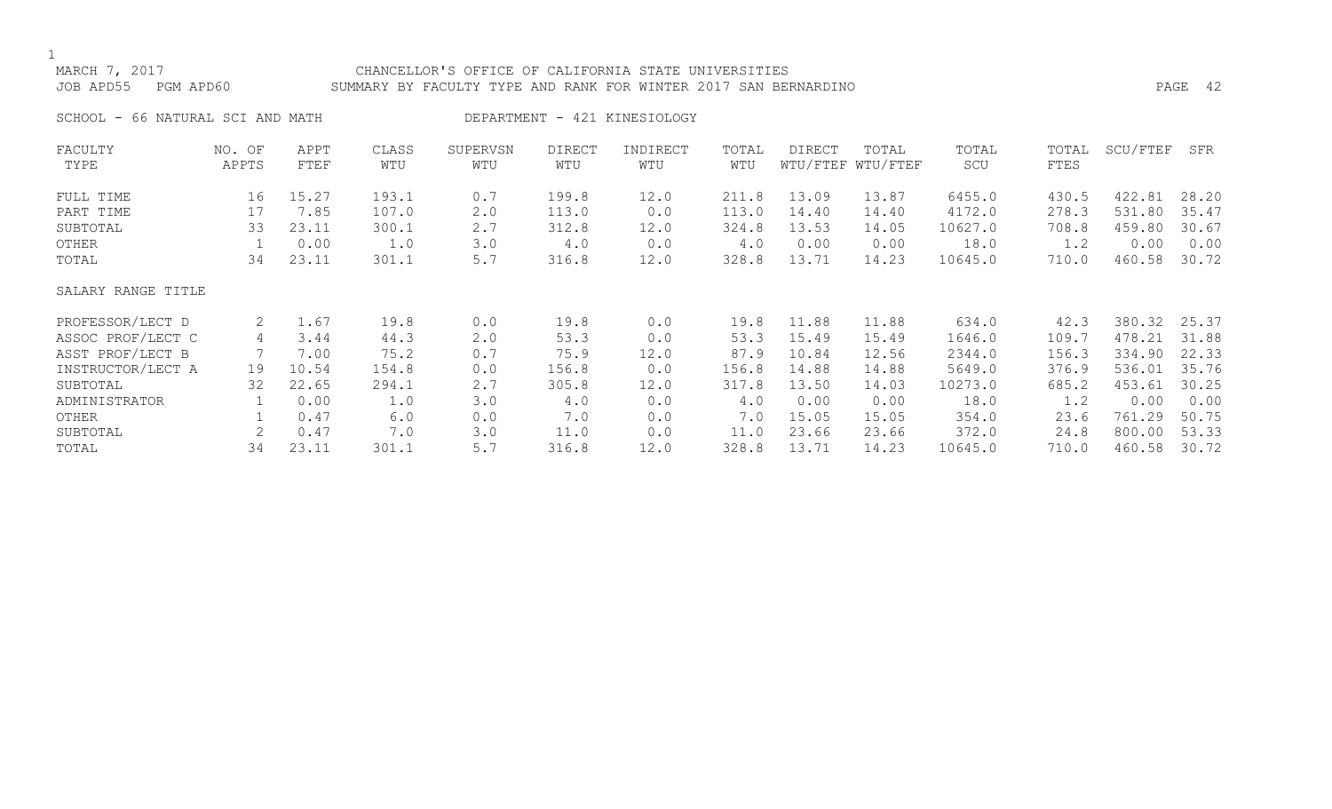# MARCH 7, 2017 CHANCELLOR'S OFFICE OF CALIFORNIA STATE UNIVERSITIES JOB APD55 PGM APD60 SUMMARY BY FACULTY TYPE AND RANK FOR WINTER 2017 SAN BERNARDINO PAGE 42

SCHOOL - 66 NATURAL SCI AND MATH DEPARTMENT - 421 KINESIOLOGY

| FACULTY            | NO. OF | APPT  | CLASS | SUPERVSN | <b>DIRECT</b> | INDIRECT | TOTAL | DIRECT | TOTAL             | TOTAL   | TOTAL | SCU/FTEF | SFR   |
|--------------------|--------|-------|-------|----------|---------------|----------|-------|--------|-------------------|---------|-------|----------|-------|
| TYPE               | APPTS  | FTEF  | WTU   | WTU      | WTU           | WTU      | WTU   |        | WTU/FTEF WTU/FTEF | SCU     | FTES  |          |       |
| FULL TIME          | 16     | 15.27 | 193.1 | 0.7      | 199.8         | 12.0     | 211.8 | 13.09  | 13.87             | 6455.0  | 430.5 | 422.81   | 28.20 |
| PART TIME          | 17     | 7.85  | 107.0 | 2.0      | 113.0         | 0.0      | 113.0 | 14.40  | 14.40             | 4172.0  | 278.3 | 531.80   | 35.47 |
| SUBTOTAL           | 33     | 23.11 | 300.1 | 2.7      | 312.8         | 12.0     | 324.8 | 13.53  | 14.05             | 10627.0 | 708.8 | 459.80   | 30.67 |
| OTHER              |        | 0.00  | 1.0   | 3.0      | 4.0           | 0.0      | 4.0   | 0.00   | 0.00              | 18.0    | 1.2   | 0.00     | 0.00  |
| TOTAL              | 34     | 23.11 | 301.1 | 5.7      | 316.8         | 12.0     | 328.8 | 13.71  | 14.23             | 10645.0 | 710.0 | 460.58   | 30.72 |
| SALARY RANGE TITLE |        |       |       |          |               |          |       |        |                   |         |       |          |       |
| PROFESSOR/LECT D   | 2      | 1.67  | 19.8  | 0.0      | 19.8          | 0.0      | 19.8  | 11.88  | 11.88             | 634.0   | 42.3  | 380.32   | 25.37 |
| ASSOC PROF/LECT C  | 4      | 3.44  | 44.3  | 2.0      | 53.3          | 0.0      | 53.3  | 15.49  | 15.49             | 1646.0  | 109.7 | 478.21   | 31.88 |
| ASST PROF/LECT B   |        | 7.00  | 75.2  | 0.7      | 75.9          | 12.0     | 87.9  | 10.84  | 12.56             | 2344.0  | 156.3 | 334.90   | 22.33 |
| INSTRUCTOR/LECT A  | 19     | 10.54 | 154.8 | 0.0      | 156.8         | 0.0      | 156.8 | 14.88  | 14.88             | 5649.0  | 376.9 | 536.01   | 35.76 |
| SUBTOTAL           | 32     | 22.65 | 294.1 | 2.7      | 305.8         | 12.0     | 317.8 | 13.50  | 14.03             | 10273.0 | 685.2 | 453.61   | 30.25 |
| ADMINISTRATOR      |        | 0.00  | 1.0   | 3.0      | 4.0           | 0.0      | 4.0   | 0.00   | 0.00              | 18.0    | 1.2   | 0.00     | 0.00  |
| OTHER              |        | 0.47  | 6.0   | 0.0      | 7.0           | 0.0      | 7.0   | 15.05  | 15.05             | 354.0   | 23.6  | 761.29   | 50.75 |
| SUBTOTAL           |        | 0.47  | 7.0   | 3.0      | 11.0          | 0.0      | 11.0  | 23.66  | 23.66             | 372.0   | 24.8  | 800.00   | 53.33 |
| TOTAL              | 34     | 23.11 | 301.1 | 5.7      | 316.8         | 12.0     | 328.8 | 13.71  | 14.23             | 10645.0 | 710.0 | 460.58   | 30.72 |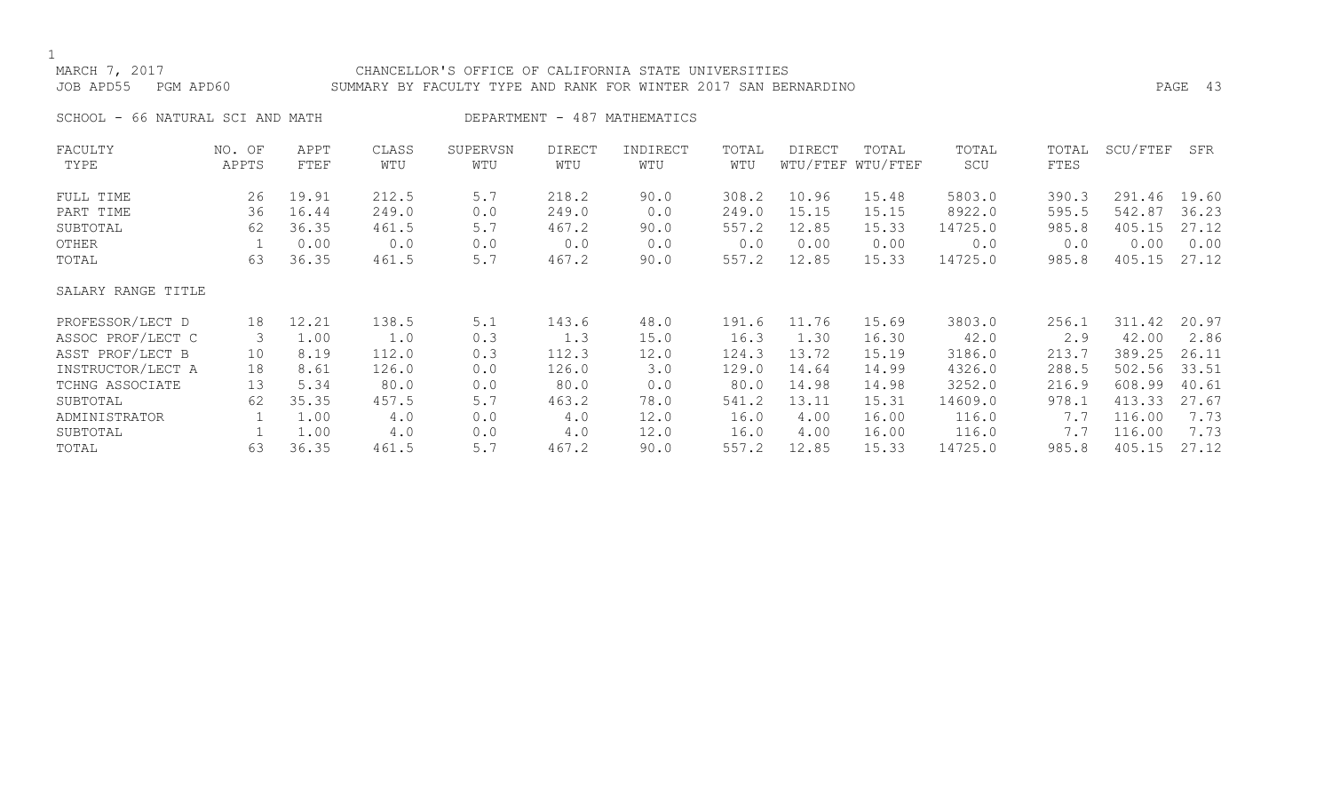# MARCH 7, 2017 CHANCELLOR'S OFFICE OF CALIFORNIA STATE UNIVERSITIES JOB APD55 PGM APD60 SUMMARY BY FACULTY TYPE AND RANK FOR WINTER 2017 SAN BERNARDINO PAGE 43

SCHOOL - 66 NATURAL SCI AND MATH CHART AND DEPARTMENT - 487 MATHEMATICS

| FACULTY            | NO. OF | APPT  | CLASS | SUPERVSN | <b>DIRECT</b> | INDIRECT | TOTAL | DIRECT | TOTAL             | TOTAL   | TOTAL | SCU/FTEF | SFR   |
|--------------------|--------|-------|-------|----------|---------------|----------|-------|--------|-------------------|---------|-------|----------|-------|
| TYPE               | APPTS  | FTEF  | WTU   | WTU      | WTU           | WTU      | WTU   |        | WTU/FTEF WTU/FTEF | SCU     | FTES  |          |       |
| FULL TIME          | 26     | 19.91 | 212.5 | 5.7      | 218.2         | 90.0     | 308.2 | 10.96  | 15.48             | 5803.0  | 390.3 | 291.46   | 19.60 |
| PART TIME          | 36     | 16.44 | 249.0 | 0.0      | 249.0         | 0.0      | 249.0 | 15.15  | 15.15             | 8922.0  | 595.5 | 542.87   | 36.23 |
| SUBTOTAL           | 62     | 36.35 | 461.5 | 5.7      | 467.2         | 90.0     | 557.2 | 12.85  | 15.33             | 14725.0 | 985.8 | 405.15   | 27.12 |
| OTHER              |        | 0.00  | 0.0   | 0.0      | 0.0           | 0.0      | 0.0   | 0.00   | 0.00              | 0.0     | 0.0   | 0.00     | 0.00  |
| TOTAL              | 63     | 36.35 | 461.5 | 5.7      | 467.2         | 90.0     | 557.2 | 12.85  | 15.33             | 14725.0 | 985.8 | 405.15   | 27.12 |
| SALARY RANGE TITLE |        |       |       |          |               |          |       |        |                   |         |       |          |       |
| PROFESSOR/LECT D   | 18     | 12.21 | 138.5 | 5.1      | 143.6         | 48.0     | 191.6 | 11.76  | 15.69             | 3803.0  | 256.1 | 311.42   | 20.97 |
| ASSOC PROF/LECT C  | 3      | 1.00  | 1.0   | 0.3      | 1.3           | 15.0     | 16.3  | 1.30   | 16.30             | 42.0    | 2.9   | 42.00    | 2.86  |
| ASST PROF/LECT B   | 10     | 8.19  | 112.0 | 0.3      | 112.3         | 12.0     | 124.3 | 13.72  | 15.19             | 3186.0  | 213.7 | 389.25   | 26.11 |
| INSTRUCTOR/LECT A  | 18     | 8.61  | 126.0 | 0.0      | 126.0         | 3.0      | 129.0 | 14.64  | 14.99             | 4326.0  | 288.5 | 502.56   | 33.51 |
| TCHNG ASSOCIATE    | 13     | 5.34  | 80.0  | 0.0      | 80.0          | 0.0      | 80.0  | 14.98  | 14.98             | 3252.0  | 216.9 | 608.99   | 40.61 |
| SUBTOTAL           | 62     | 35.35 | 457.5 | 5.7      | 463.2         | 78.0     | 541.2 | 13.11  | 15.31             | 14609.0 | 978.1 | 413.33   | 27.67 |
| ADMINISTRATOR      |        | 1.00  | 4.0   | 0.0      | 4.0           | 12.0     | 16.0  | 4.00   | 16.00             | 116.0   | 7.7   | 116.00   | 7.73  |
| SUBTOTAL           |        | 1.00  | 4.0   | 0.0      | 4.0           | 12.0     | 16.0  | 4.00   | 16.00             | 116.0   | 7.7   | 116.00   | 7.73  |
| TOTAL              | 63     | 36.35 | 461.5 | 5.7      | 467.2         | 90.0     | 557.2 | 12.85  | 15.33             | 14725.0 | 985.8 | 405.15   | 27.12 |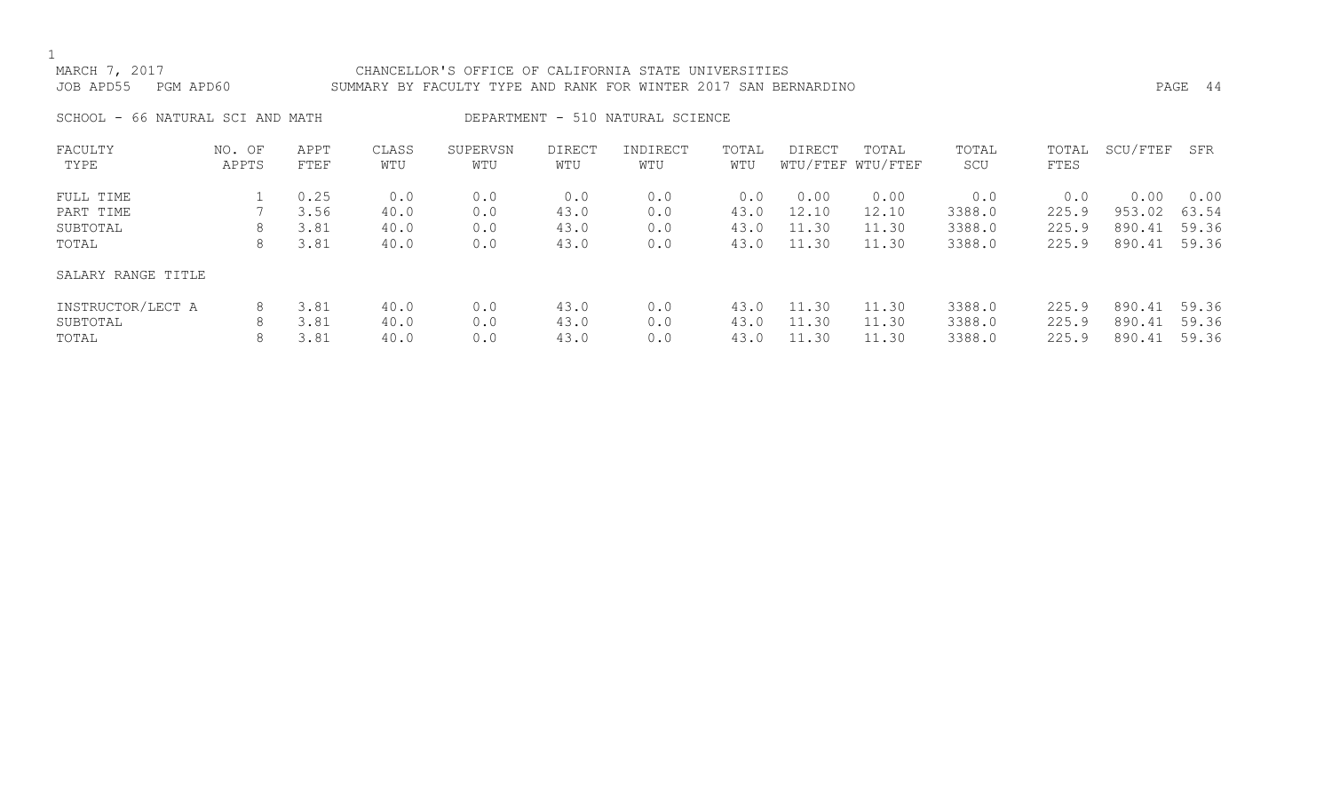# MARCH 7, 2017 CHANCELLOR'S OFFICE OF CALIFORNIA STATE UNIVERSITIES JOB APD55 PGM APD60 SUMMARY BY FACULTY TYPE AND RANK FOR WINTER 2017 SAN BERNARDINO PAGE 44

SCHOOL - 66 NATURAL SCI AND MATH DEPARTMENT - 510 NATURAL SCIENCE

| FACULTY            | NO. OF | APPT | CLASS | SUPERVSN | <b>DIRECT</b> | INDIRECT | TOTAL | DIRECT | TOTAL             | TOTAL  | TOTAL | SCU/FTEF | SFR   |
|--------------------|--------|------|-------|----------|---------------|----------|-------|--------|-------------------|--------|-------|----------|-------|
| TYPE               | APPTS  | FTEF | WTU   | WTU      | WTU           | WTU      | WTU   |        | WTU/FTEF WTU/FTEF | SCU    | FTES  |          |       |
| FULL TIME          |        | 0.25 | 0.0   | 0.0      | 0.0           | 0.0      | 0.0   | 0.00   | 0.00              | 0.0    | 0.0   | 0.00     | 0.00  |
| PART TIME          |        | 3.56 | 40.0  | 0.0      | 43.0          | 0.0      | 43.0  | 12.10  | 12.10             | 3388.0 | 225.9 | 953.02   | 63.54 |
| SUBTOTAL           | 8      | 3.81 | 40.0  | 0.0      | 43.0          | 0.0      | 43.0  | 11.30  | 11.30             | 3388.0 | 225.9 | 890.41   | 59.36 |
| TOTAL              | 8      | 3.81 | 40.0  | 0.0      | 43.0          | 0.0      | 43.0  | 11.30  | 11.30             | 3388.0 | 225.9 | 890.41   | 59.36 |
| SALARY RANGE TITLE |        |      |       |          |               |          |       |        |                   |        |       |          |       |
| INSTRUCTOR/LECT A  | 8      | 3.81 | 40.0  | 0.0      | 43.0          | 0.0      | 43.0  | 11.30  | 11.30             | 3388.0 | 225.9 | 890.41   | 59.36 |
| SUBTOTAL           | 8      | 3.81 | 40.0  | 0.0      | 43.0          | 0.0      | 43.0  | 11.30  | 11.30             | 3388.0 | 225.9 | 890.41   | 59.36 |
| TOTAL              | 8      | 3.81 | 40.0  | 0.0      | 43.0          | 0.0      | 43.0  | 11.30  | 11.30             | 3388.0 | 225.9 | 890.41   | 59.36 |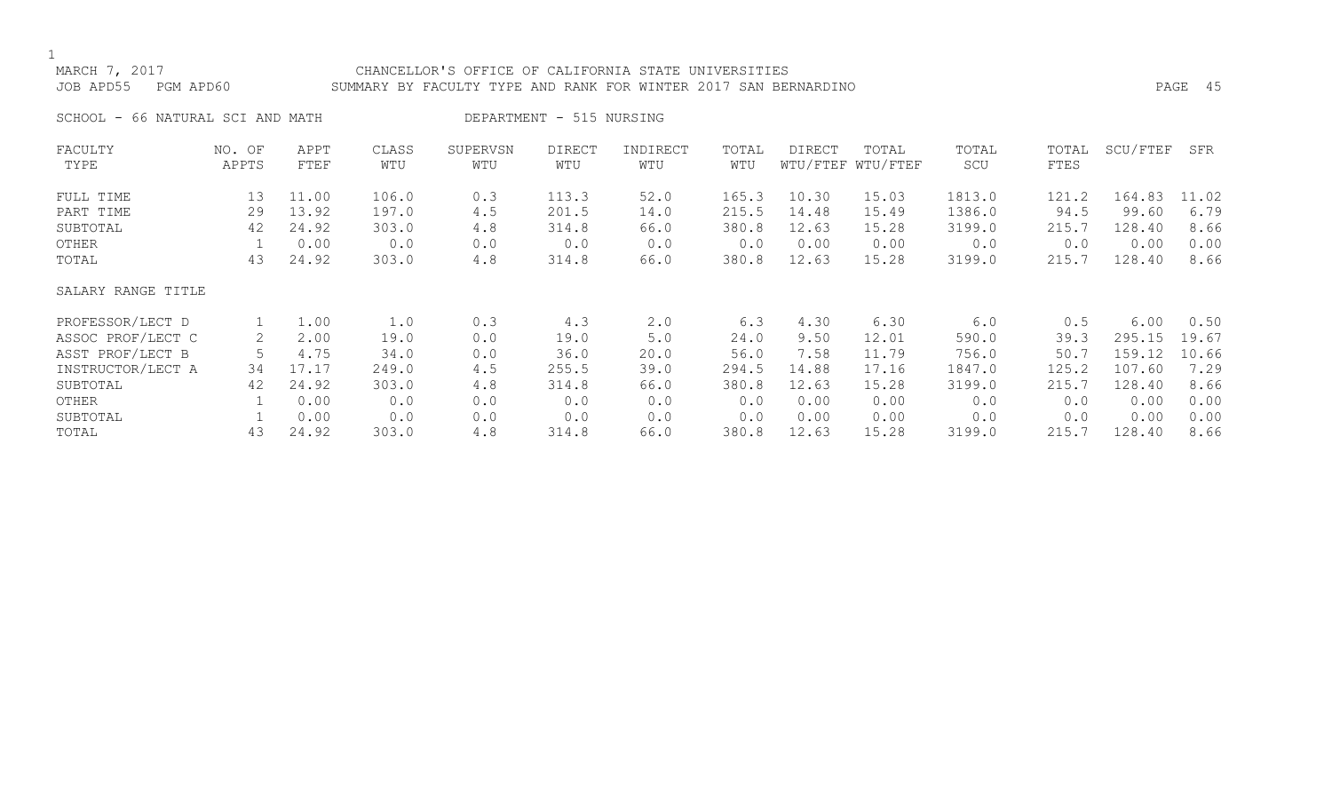# MARCH 7, 2017 CHANCELLOR'S OFFICE OF CALIFORNIA STATE UNIVERSITIES JOB APD55 PGM APD60 SUMMARY BY FACULTY TYPE AND RANK FOR WINTER 2017 SAN BERNARDINO PAGE 45

SCHOOL - 66 NATURAL SCI AND MATH DEPARTMENT - 515 NURSING

| FACULTY            | NO. OF | APPT  | CLASS | SUPERVSN | <b>DIRECT</b> | INDIRECT | TOTAL | DIRECT | TOTAL             | TOTAL  | TOTAL | SCU/FTEF | SFR   |
|--------------------|--------|-------|-------|----------|---------------|----------|-------|--------|-------------------|--------|-------|----------|-------|
| TYPE               | APPTS  | FTEF  | WTU   | WTU      | WTU           | WTU      | WTU   |        | WTU/FTEF WTU/FTEF | SCU    | FTES  |          |       |
| FULL TIME          | 13     | 11.00 | 106.0 | 0.3      | 113.3         | 52.0     | 165.3 | 10.30  | 15.03             | 1813.0 | 121.2 | 164.83   | 11.02 |
| PART TIME          | 29     | 13.92 | 197.0 | 4.5      | 201.5         | 14.0     | 215.5 | 14.48  | 15.49             | 1386.0 | 94.5  | 99.60    | 6.79  |
| SUBTOTAL           | 42     | 24.92 | 303.0 | 4.8      | 314.8         | 66.0     | 380.8 | 12.63  | 15.28             | 3199.0 | 215.7 | 128.40   | 8.66  |
| OTHER              |        | 0.00  | 0.0   | 0.0      | 0.0           | 0.0      | 0.0   | 0.00   | 0.00              | 0.0    | 0.0   | 0.00     | 0.00  |
| TOTAL              | 43     | 24.92 | 303.0 | 4.8      | 314.8         | 66.0     | 380.8 | 12.63  | 15.28             | 3199.0 | 215.7 | 128.40   | 8.66  |
| SALARY RANGE TITLE |        |       |       |          |               |          |       |        |                   |        |       |          |       |
| PROFESSOR/LECT D   |        | 1.00  | 1.0   | 0.3      | 4.3           | 2.0      | 6.3   | 4.30   | 6.30              | 6.0    | 0.5   | 6.00     | 0.50  |
| ASSOC PROF/LECT C  | 2      | 2.00  | 19.0  | 0.0      | 19.0          | 5.0      | 24.0  | 9.50   | 12.01             | 590.0  | 39.3  | 295.15   | 19.67 |
| ASST PROF/LECT B   |        | 4.75  | 34.0  | 0.0      | 36.0          | 20.0     | 56.0  | 7.58   | 11.79             | 756.0  | 50.7  | 159.12   | 10.66 |
| INSTRUCTOR/LECT A  | 34     | 17.17 | 249.0 | 4.5      | 255.5         | 39.0     | 294.5 | 14.88  | 17.16             | 1847.0 | 125.2 | 107.60   | 7.29  |
| SUBTOTAL           | 42     | 24.92 | 303.0 | 4.8      | 314.8         | 66.0     | 380.8 | 12.63  | 15.28             | 3199.0 | 215.7 | 128.40   | 8.66  |
| OTHER              |        | 0.00  | 0.0   | 0.0      | 0.0           | 0.0      | 0.0   | 0.00   | 0.00              | 0.0    | 0.0   | 0.00     | 0.00  |
| SUBTOTAL           |        | 0.00  | 0.0   | 0.0      | 0.0           | 0.0      | 0.0   | 0.00   | 0.00              | 0.0    | 0.0   | 0.00     | 0.00  |
| TOTAL              | 43     | 24.92 | 303.0 | 4.8      | 314.8         | 66.0     | 380.8 | 12.63  | 15.28             | 3199.0 | 215.7 | 128.40   | 8.66  |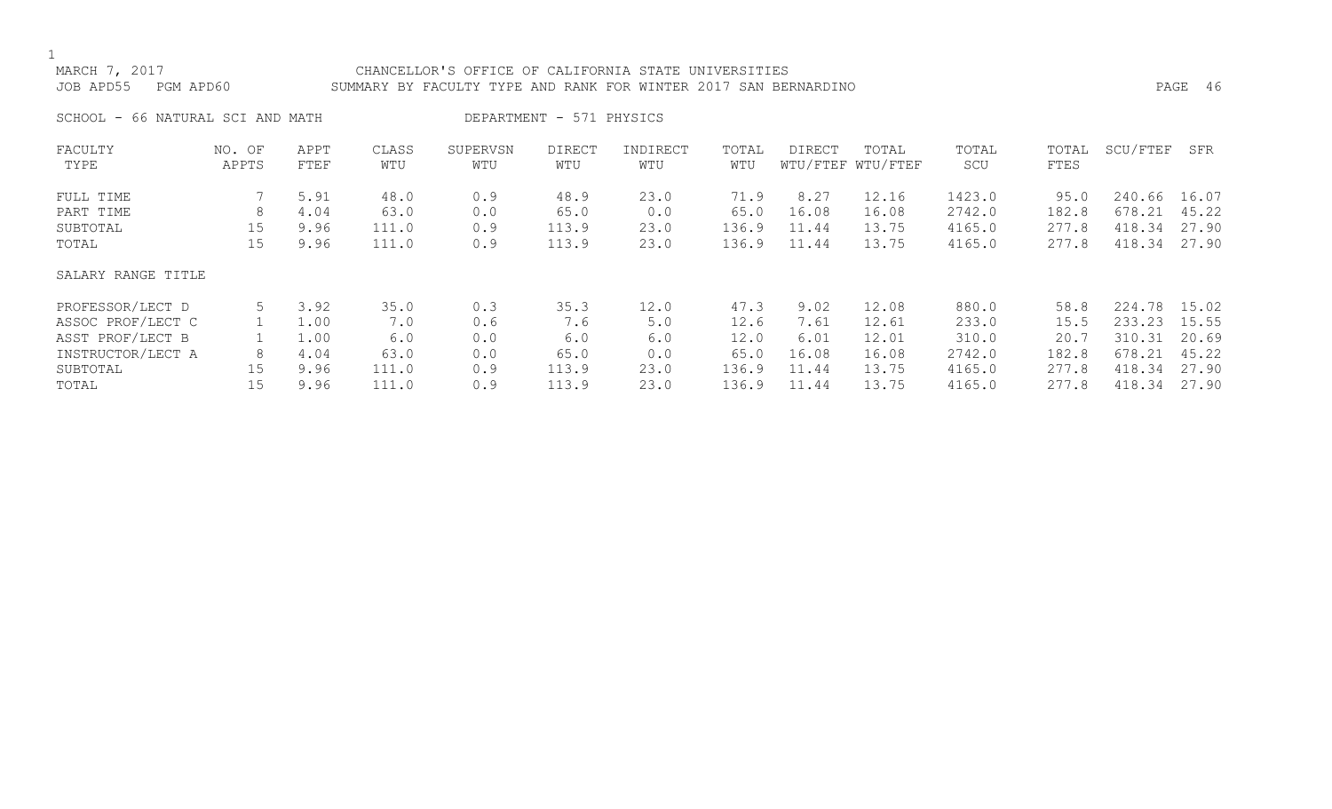# MARCH 7, 2017 CHANCELLOR'S OFFICE OF CALIFORNIA STATE UNIVERSITIES JOB APD55 PGM APD60 SUMMARY BY FACULTY TYPE AND RANK FOR WINTER 2017 SAN BERNARDINO PAGE 46

SCHOOL - 66 NATURAL SCI AND MATH DEPARTMENT - 571 PHYSICS

| FACULTY            | NO. OF | APPT | CLASS | SUPERVSN | <b>DIRECT</b> | INDIRECT | TOTAL | DIRECT | TOTAL             | TOTAL  | TOTAL | SCU/FTEF | SFR   |
|--------------------|--------|------|-------|----------|---------------|----------|-------|--------|-------------------|--------|-------|----------|-------|
| TYPE               | APPTS  | FTEF | WTU   | WTU      | WTU           | WTU      | WTU   |        | WTU/FTEF WTU/FTEF | SCU    | FTES  |          |       |
| FULL TIME          |        | 5.91 | 48.0  | 0.9      | 48.9          | 23.0     | 71.9  | 8.27   | 12.16             | 1423.0 | 95.0  | 240.66   | 16.07 |
| PART TIME          | 8      | 4.04 | 63.0  | 0.0      | 65.0          | 0.0      | 65.0  | 16.08  | 16.08             | 2742.0 | 182.8 | 678.21   | 45.22 |
| SUBTOTAL           | 15     | 9.96 | 111.0 | 0.9      | 113.9         | 23.0     | 136.9 | 11.44  | 13.75             | 4165.0 | 277.8 | 418.34   | 27.90 |
| TOTAL              | 15     | 9.96 | 111.0 | 0.9      | 113.9         | 23.0     | 136.9 | 11.44  | 13.75             | 4165.0 | 277.8 | 418.34   | 27.90 |
| SALARY RANGE TITLE |        |      |       |          |               |          |       |        |                   |        |       |          |       |
| PROFESSOR/LECT D   |        | 3.92 | 35.0  | 0.3      | 35.3          | 12.0     | 47.3  | 9.02   | 12.08             | 880.0  | 58.8  | 224.78   | 15.02 |
| ASSOC PROF/LECT C  |        | 1.00 | 7.0   | 0.6      | 7.6           | 5.0      | 12.6  | 7.61   | 12.61             | 233.0  | 15.5  | 233.23   | 15.55 |
| ASST PROF/LECT B   |        | 1.00 | 6.0   | 0.0      | 6.0           | 6.0      | 12.0  | 6.01   | 12.01             | 310.0  | 20.7  | 310.31   | 20.69 |
| INSTRUCTOR/LECT A  | 8      | 4.04 | 63.0  | 0.0      | 65.0          | 0.0      | 65.0  | 16.08  | 16.08             | 2742.0 | 182.8 | 678.21   | 45.22 |
| SUBTOTAL           | 15     | 9.96 | 111.0 | 0.9      | 113.9         | 23.0     | 136.9 | 11.44  | 13.75             | 4165.0 | 277.8 | 418.34   | 27.90 |
| TOTAL              | 15     | 9.96 | 111.0 | 0.9      | 113.9         | 23.0     | 136.9 | 11.44  | 13.75             | 4165.0 | 277.8 | 418.34   | 27.90 |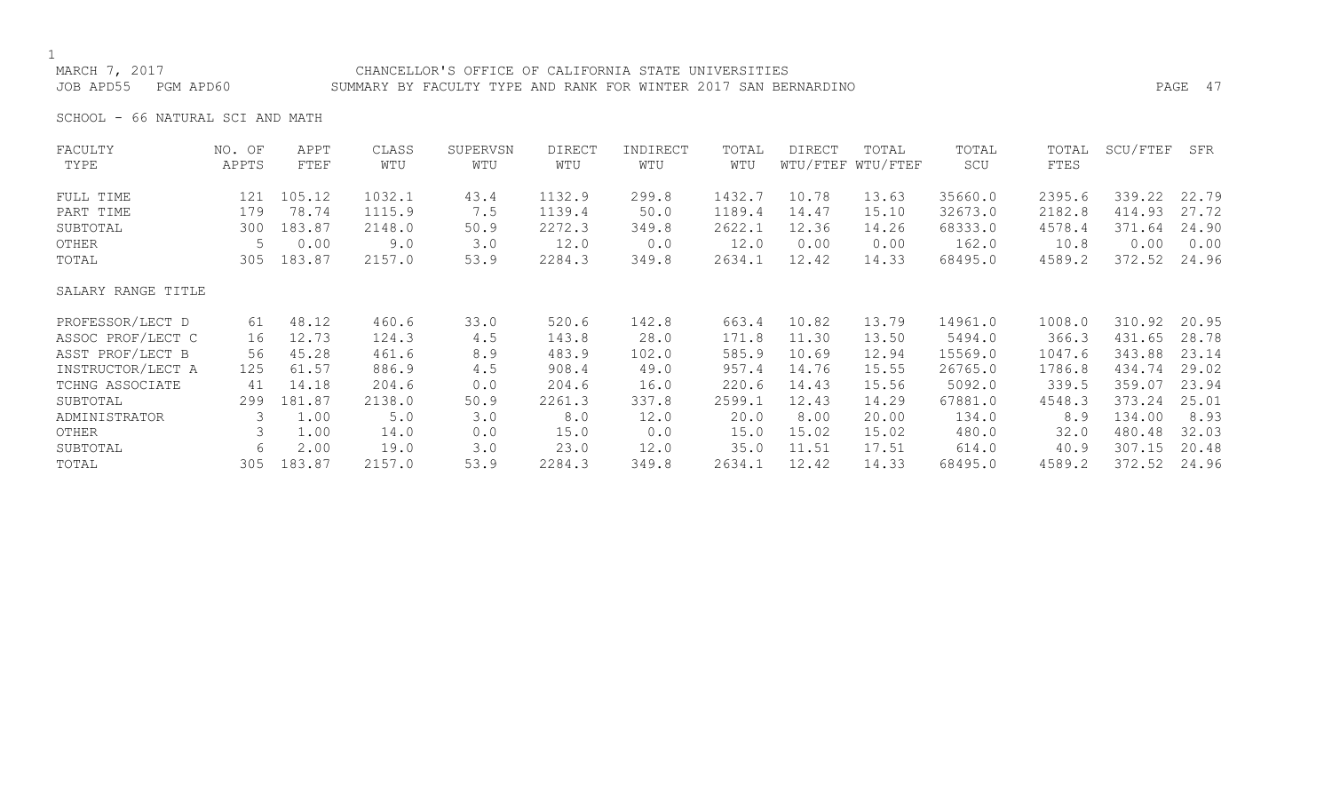# MARCH 7, 2017 CHANCELLOR'S OFFICE OF CALIFORNIA STATE UNIVERSITIES JOB APD55 PGM APD60 SUMMARY BY FACULTY TYPE AND RANK FOR WINTER 2017 SAN BERNARDINO PAGE 47

SCHOOL - 66 NATURAL SCI AND MATH

| FACULTY            | NO. OF | APPT   | CLASS  | SUPERVSN | <b>DIRECT</b> | INDIRECT | TOTAL  | DIRECT | TOTAL             | TOTAL   | TOTAL  | SCU/FTEF | SFR   |
|--------------------|--------|--------|--------|----------|---------------|----------|--------|--------|-------------------|---------|--------|----------|-------|
| TYPE               | APPTS  | FTEF   | WTU    | WTU      | WTU           | WTU      | WTU    |        | WTU/FTEF WTU/FTEF | SCU     | FTES   |          |       |
| FULL TIME          | 121    | 105.12 | 1032.1 | 43.4     | 1132.9        | 299.8    | 1432.7 | 10.78  | 13.63             | 35660.0 | 2395.6 | 339.22   | 22.79 |
| PART TIME          | 179    | 78.74  | 1115.9 | 7.5      | 1139.4        | 50.0     | 1189.4 | 14.47  | 15.10             | 32673.0 | 2182.8 | 414.93   | 27.72 |
| SUBTOTAL           | 300    | 183.87 | 2148.0 | 50.9     | 2272.3        | 349.8    | 2622.1 | 12.36  | 14.26             | 68333.0 | 4578.4 | 371.64   | 24.90 |
| OTHER              | 5      | 0.00   | 9.0    | 3.0      | 12.0          | 0.0      | 12.0   | 0.00   | 0.00              | 162.0   | 10.8   | 0.00     | 0.00  |
| TOTAL              | 305    | 183.87 | 2157.0 | 53.9     | 2284.3        | 349.8    | 2634.1 | 12.42  | 14.33             | 68495.0 | 4589.2 | 372.52   | 24.96 |
| SALARY RANGE TITLE |        |        |        |          |               |          |        |        |                   |         |        |          |       |
| PROFESSOR/LECT D   | 61     | 48.12  | 460.6  | 33.0     | 520.6         | 142.8    | 663.4  | 10.82  | 13.79             | 14961.0 | 1008.0 | 310.92   | 20.95 |
| ASSOC PROF/LECT C  | 16     | 12.73  | 124.3  | 4.5      | 143.8         | 28.0     | 171.8  | 11.30  | 13.50             | 5494.0  | 366.3  | 431.65   | 28.78 |
| ASST PROF/LECT B   | 56     | 45.28  | 461.6  | 8.9      | 483.9         | 102.0    | 585.9  | 10.69  | 12.94             | 15569.0 | 1047.6 | 343.88   | 23.14 |
| INSTRUCTOR/LECT A  | 125    | 61.57  | 886.9  | 4.5      | 908.4         | 49.0     | 957.4  | 14.76  | 15.55             | 26765.0 | 1786.8 | 434.74   | 29.02 |
| TCHNG ASSOCIATE    | 41     | 14.18  | 204.6  | 0.0      | 204.6         | 16.0     | 220.6  | 14.43  | 15.56             | 5092.0  | 339.5  | 359.07   | 23.94 |
| SUBTOTAL           | 299    | 181.87 | 2138.0 | 50.9     | 2261.3        | 337.8    | 2599.1 | 12.43  | 14.29             | 67881.0 | 4548.3 | 373.24   | 25.01 |
| ADMINISTRATOR      | 3      | 1.00   | 5.0    | 3.0      | 8.0           | 12.0     | 20.0   | 8.00   | 20.00             | 134.0   | 8.9    | 134.00   | 8.93  |
| OTHER              |        | 1.00   | 14.0   | 0.0      | 15.0          | 0.0      | 15.0   | 15.02  | 15.02             | 480.0   | 32.0   | 480.48   | 32.03 |
| SUBTOTAL           | 6      | 2.00   | 19.0   | 3.0      | 23.0          | 12.0     | 35.0   | 11.51  | 17.51             | 614.0   | 40.9   | 307.15   | 20.48 |
| TOTAL              | 305    | 183.87 | 2157.0 | 53.9     | 2284.3        | 349.8    | 2634.1 | 12.42  | 14.33             | 68495.0 | 4589.2 | 372.52   | 24.96 |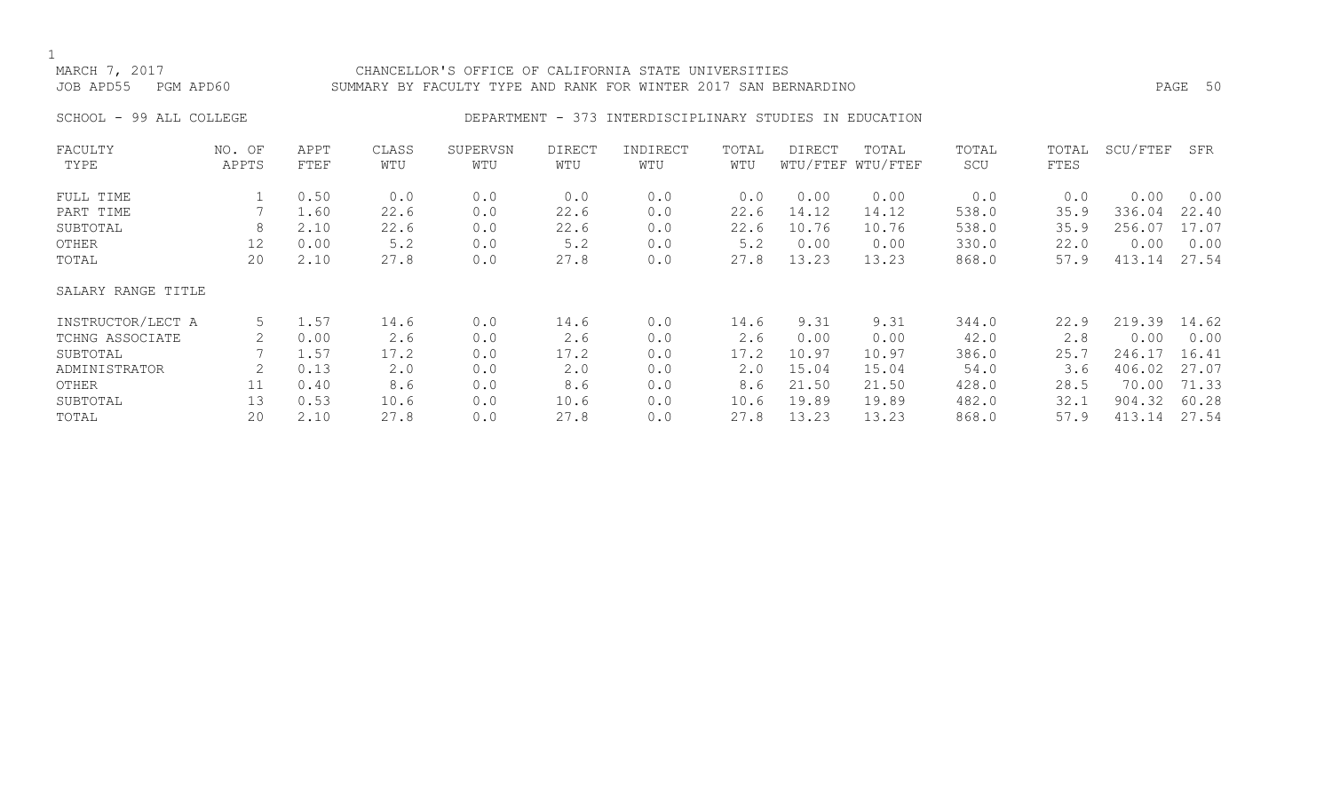# MARCH 7, 2017 CHANCELLOR'S OFFICE OF CALIFORNIA STATE UNIVERSITIES JOB APD55 PGM APD60 SUMMARY BY FACULTY TYPE AND RANK FOR WINTER 2017 SAN BERNARDINO PAGE 50

# SCHOOL - 99 ALL COLLEGE **DEPARTMENT - 373 INTERDISCIPLINARY STUDIES IN EDUCATION**

| FACULTY            | NO. OF | APPT | CLASS       | SUPERVSN | <b>DIRECT</b> | INDIRECT | TOTAL | DIRECT | TOTAL             | TOTAL | TOTAL | SCU/FTEF | SFR   |
|--------------------|--------|------|-------------|----------|---------------|----------|-------|--------|-------------------|-------|-------|----------|-------|
| TYPE               | APPTS  | FTEF | WTU         | WTU      | WTU           | WTU      | WTU   |        | WTU/FTEF WTU/FTEF | SCU   | FTES  |          |       |
| FULL TIME          |        | 0.50 | 0.0         | 0.0      | 0.0           | 0.0      | 0.0   | 0.00   | 0.00              | 0.0   | 0.0   | 0.00     | 0.00  |
| PART TIME          |        | 1.60 | 22.6        | 0.0      | 22.6          | 0.0      | 22.6  | 14.12  | 14.12             | 538.0 | 35.9  | 336.04   | 22.40 |
| SUBTOTAL           | 8      | 2.10 | 22.6        | 0.0      | 22.6          | 0.0      | 22.6  | 10.76  | 10.76             | 538.0 | 35.9  | 256.07   | 17.07 |
| OTHER              | 12     | 0.00 | 5.2         | 0.0      | 5.2           | 0.0      | 5.2   | 0.00   | 0.00              | 330.0 | 22.0  | 0.00     | 0.00  |
| TOTAL              | 20     | 2.10 | 27.8        | 0.0      | 27.8          | 0.0      | 27.8  | 13.23  | 13.23             | 868.0 | 57.9  | 413.14   | 27.54 |
| SALARY RANGE TITLE |        |      |             |          |               |          |       |        |                   |       |       |          |       |
| INSTRUCTOR/LECT A  | 5      | 1.57 | 14.6        | 0.0      | 14.6          | 0.0      | 14.6  | 9.31   | 9.31              | 344.0 | 22.9  | 219.39   | 14.62 |
| TCHNG ASSOCIATE    |        | 0.00 | 2.6         | 0.0      | 2.6           | 0.0      | 2.6   | 0.00   | 0.00              | 42.0  | 2.8   | 0.00     | 0.00  |
| SUBTOTAL           |        | 1.57 | 17.2        | 0.0      | 17.2          | 0.0      | 17.2  | 10.97  | 10.97             | 386.0 | 25.7  | 246.17   | 16.41 |
| ADMINISTRATOR      | 2      | 0.13 | $2 \cdot 0$ | 0.0      | 2.0           | 0.0      | 2.0   | 15.04  | 15.04             | 54.0  | 3.6   | 406.02   | 27.07 |
| OTHER              | 11     | 0.40 | 8.6         | 0.0      | 8.6           | 0.0      | 8.6   | 21.50  | 21.50             | 428.0 | 28.5  | 70.00    | 71.33 |
| SUBTOTAL           | 13     | 0.53 | 10.6        | 0.0      | 10.6          | 0.0      | 10.6  | 19.89  | 19.89             | 482.0 | 32.1  | 904.32   | 60.28 |
| TOTAL              | 20     | 2.10 | 27.8        | 0.0      | 27.8          | 0.0      | 27.8  | 13.23  | 13.23             | 868.0 | 57.9  | 413.14   | 27.54 |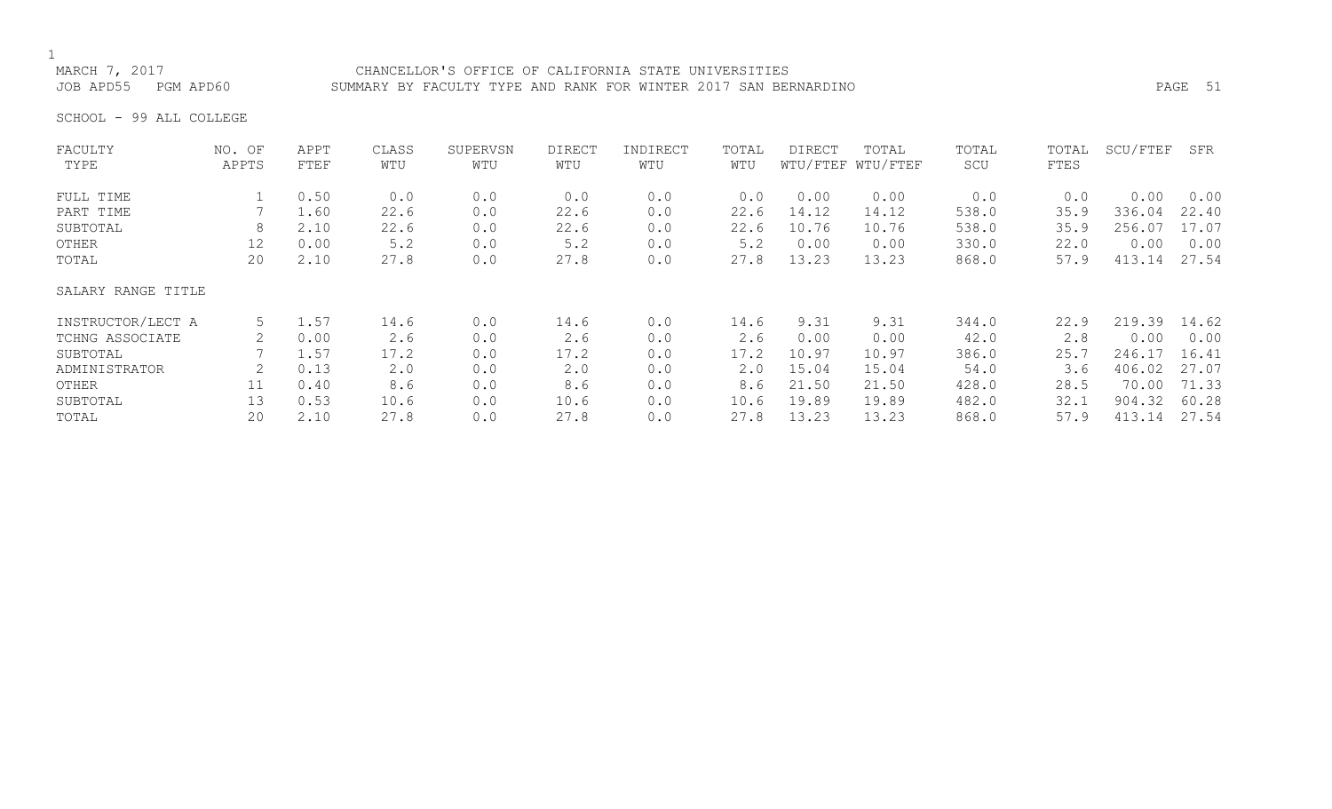# 1<br>MARCH 7, 2017

## CHANCELLOR'S OFFICE OF CALIFORNIA STATE UNIVERSITIES JOB APD55 PGM APD60 SUMMARY BY FACULTY TYPE AND RANK FOR WINTER 2017 SAN BERNARDINO PAGE 51

SCHOOL - 99 ALL COLLEGE

| FACULTY            | NO. OF | APPT | CLASS | SUPERVSN | <b>DIRECT</b> | INDIRECT | TOTAL | <b>DIRECT</b> | TOTAL             | TOTAL | TOTAL | SCU/FTEF | SFR   |
|--------------------|--------|------|-------|----------|---------------|----------|-------|---------------|-------------------|-------|-------|----------|-------|
| TYPE               | APPTS  | FTEF | WTU   | WTU      | WTU           | WTU      | WTU   |               | WTU/FTEF WTU/FTEF | SCU   | FTES  |          |       |
| FULL TIME          |        | 0.50 | 0.0   | 0.0      | 0.0           | 0.0      | 0.0   | 0.00          | 0.00              | 0.0   | 0.0   | 0.00     | 0.00  |
| PART TIME          |        | 1.60 | 22.6  | 0.0      | 22.6          | 0.0      | 22.6  | 14.12         | 14.12             | 538.0 | 35.9  | 336.04   | 22.40 |
| SUBTOTAL           | 8      | 2.10 | 22.6  | 0.0      | 22.6          | 0.0      | 22.6  | 10.76         | 10.76             | 538.0 | 35.9  | 256.07   | 17.07 |
| OTHER              | 12     | 0.00 | 5.2   | 0.0      | 5.2           | 0.0      | 5.2   | 0.00          | 0.00              | 330.0 | 22.0  | 0.00     | 0.00  |
| TOTAL              | 20     | 2.10 | 27.8  | 0.0      | 27.8          | 0.0      | 27.8  | 13.23         | 13.23             | 868.0 | 57.9  | 413.14   | 27.54 |
| SALARY RANGE TITLE |        |      |       |          |               |          |       |               |                   |       |       |          |       |
| INSTRUCTOR/LECT A  | 5      | 1.57 | 14.6  | 0.0      | 14.6          | 0.0      | 14.6  | 9.31          | 9.31              | 344.0 | 22.9  | 219.39   | 14.62 |
| TCHNG ASSOCIATE    |        | 0.00 | 2.6   | 0.0      | 2.6           | 0.0      | 2.6   | 0.00          | 0.00              | 42.0  | 2.8   | 0.00     | 0.00  |
| SUBTOTAL           |        | 1.57 | 17.2  | 0.0      | 17.2          | 0.0      | 17.2  | 10.97         | 10.97             | 386.0 | 25.7  | 246.17   | 16.41 |
| ADMINISTRATOR      |        | 0.13 | 2.0   | 0.0      | 2.0           | 0.0      | 2.0   | 15.04         | 15.04             | 54.0  | 3.6   | 406.02   | 27.07 |
| OTHER              | 11     | 0.40 | 8.6   | 0.0      | 8.6           | 0.0      | 8.6   | 21.50         | 21.50             | 428.0 | 28.5  | 70.00    | 71.33 |
| SUBTOTAL           | 13     | 0.53 | 10.6  | 0.0      | 10.6          | 0.0      | 10.6  | 19.89         | 19.89             | 482.0 | 32.1  | 904.32   | 60.28 |
| TOTAL              | 20     | 2.10 | 27.8  | 0.0      | 27.8          | 0.0      | 27.8  | 13.23         | 13.23             | 868.0 | 57.9  | 413.14   | 27.54 |